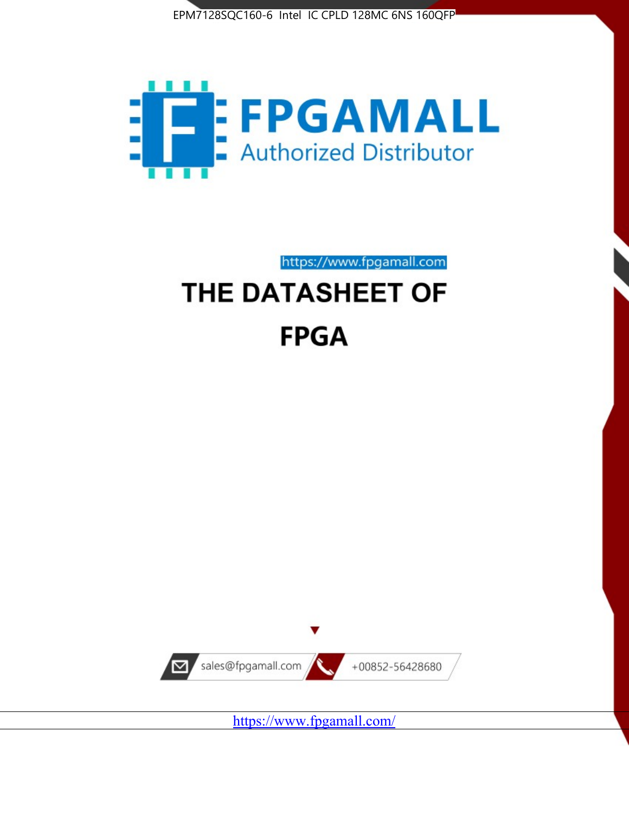



https://www.fpgamall.com

# THE DATASHEET OF **FPGA**



<https://www.fpgamall.com/>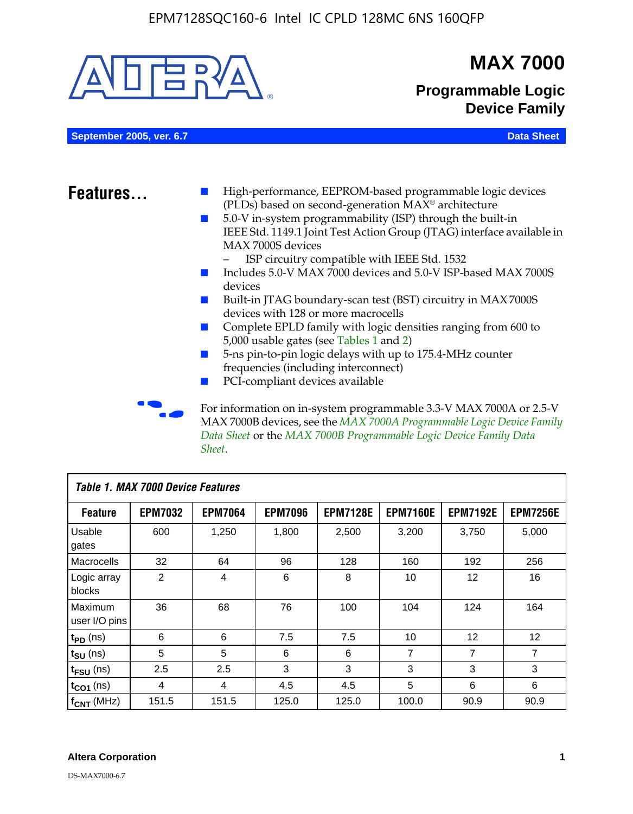

MAX 7000B devices, see the *MAX 7000A Programmable Logic Device Family Data Sheet* or the *MAX 7000B Programmable Logic Device Family Data Sheet*.

| <b>Table 1. MAX 7000 Device Features</b> |                |                |                |                 |                 |                 |                 |
|------------------------------------------|----------------|----------------|----------------|-----------------|-----------------|-----------------|-----------------|
| <b>Feature</b>                           | <b>EPM7032</b> | <b>EPM7064</b> | <b>EPM7096</b> | <b>EPM7128E</b> | <b>EPM7160E</b> | <b>EPM7192E</b> | <b>EPM7256E</b> |
| Usable<br>gates                          | 600            | 1,250          | 1,800          | 2,500           | 3,200           | 3,750           | 5,000           |
| Macrocells                               | 32             | 64             | 96             | 128             | 160             | 192             | 256             |
| Logic array<br>blocks                    | 2              | 4              | 6              | 8               | 10              | 12              | 16              |
| Maximum<br>user I/O pins                 | 36             | 68             | 76             | 100             | 104             | 124             | 164             |
| $t_{PD}$ (ns)                            | 6              | 6              | 7.5            | 7.5             | 10              | 12              | 12              |
| $t_{\text{SU}}$ (ns)                     | 5              | 5              | 6              | 6               | 7               | 7               | 7               |
| $t_{\text{FSU}}$ (ns)                    | 2.5            | 2.5            | 3              | 3               | 3               | 3               | 3               |
| $t_{CO1}$ (ns)                           | 4              | 4              | 4.5            | 4.5             | 5               | 6               | 6               |
| $f_{CNT}$ (MHz)                          | 151.5          | 151.5          | 125.0          | 125.0           | 100.0           | 90.9            | 90.9            |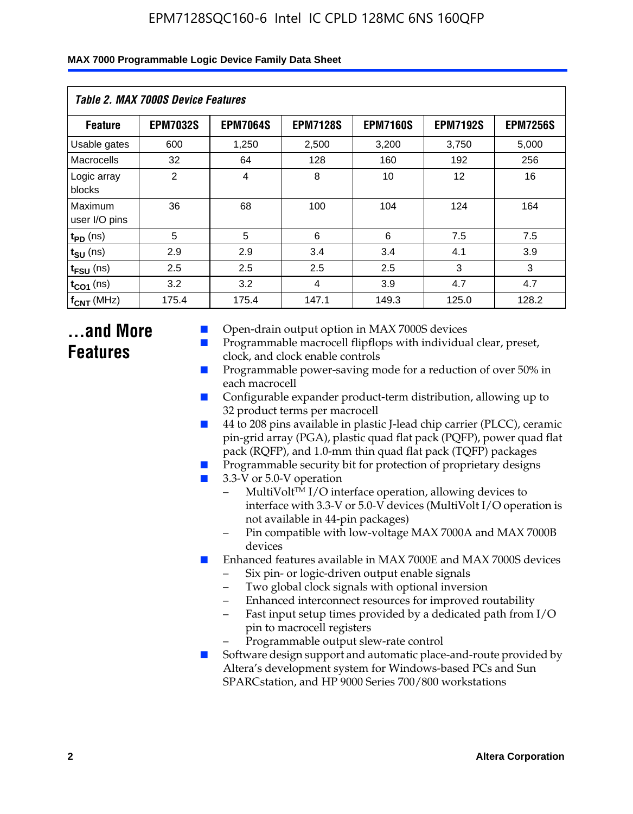| Table 2. MAX 7000S Device Features |                 |                 |                 |                 |                   |                 |  |
|------------------------------------|-----------------|-----------------|-----------------|-----------------|-------------------|-----------------|--|
| <b>Feature</b>                     | <b>EPM7032S</b> | <b>EPM7064S</b> | <b>EPM7128S</b> | <b>EPM7160S</b> | <b>EPM7192S</b>   | <b>EPM7256S</b> |  |
| Usable gates                       | 600             | 1,250           | 2,500           | 3,200           | 3,750             | 5,000           |  |
| Macrocells                         | 32              | 64              | 128             | 160             | 192               | 256             |  |
| Logic array<br>blocks              | $\overline{2}$  | $\overline{4}$  | 8               | 10              | $12 \overline{ }$ | 16              |  |
| Maximum<br>user I/O pins           | 36              | 68              | 100             | 104             | 124               | 164             |  |
| $t_{PD}$ (ns)                      | 5               | 5               | 6               | 6               | 7.5               | 7.5             |  |
| $t_{SU}$ (ns)                      | 2.9             | 2.9             | 3.4             | 3.4             | 4.1               | 3.9             |  |
| $t_{\text{FSU}}$ (ns)              | 2.5             | 2.5             | 2.5             | 2.5             | 3                 | 3               |  |
| $t_{CO1}$ (ns)                     | 3.2             | 3.2             | 4               | 3.9             | 4.7               | 4.7             |  |
| $f_{CNT}$ (MHz)                    | 175.4           | 175.4           | 147.1           | 149.3           | 125.0             | 128.2           |  |

# **...and More Features**

- Open-drain output option in MAX 7000S devices
- Programmable macrocell flipflops with individual clear, preset, clock, and clock enable controls
- Programmable power-saving mode for a reduction of over 50% in each macrocell
- Configurable expander product-term distribution, allowing up to 32 product terms per macrocell
- 44 to 208 pins available in plastic J-lead chip carrier (PLCC), ceramic pin-grid array (PGA), plastic quad flat pack (PQFP), power quad flat pack (RQFP), and 1.0-mm thin quad flat pack (TQFP) packages
- Programmable security bit for protection of proprietary designs
- 3.3-V or 5.0-V operation
	- MultiVolt<sup>TM</sup> I/O interface operation, allowing devices to interface with 3.3-V or 5.0-V devices (MultiVolt I/O operation is not available in 44-pin packages)
	- Pin compatible with low-voltage MAX 7000A and MAX 7000B devices
- Enhanced features available in MAX 7000E and MAX 7000S devices
	- Six pin- or logic-driven output enable signals
	- Two global clock signals with optional inversion
	- Enhanced interconnect resources for improved routability
	- Fast input setup times provided by a dedicated path from I/O pin to macrocell registers
	- Programmable output slew-rate control
- Software design support and automatic place-and-route provided by Altera's development system for Windows-based PCs and Sun SPARCstation, and HP 9000 Series 700/800 workstations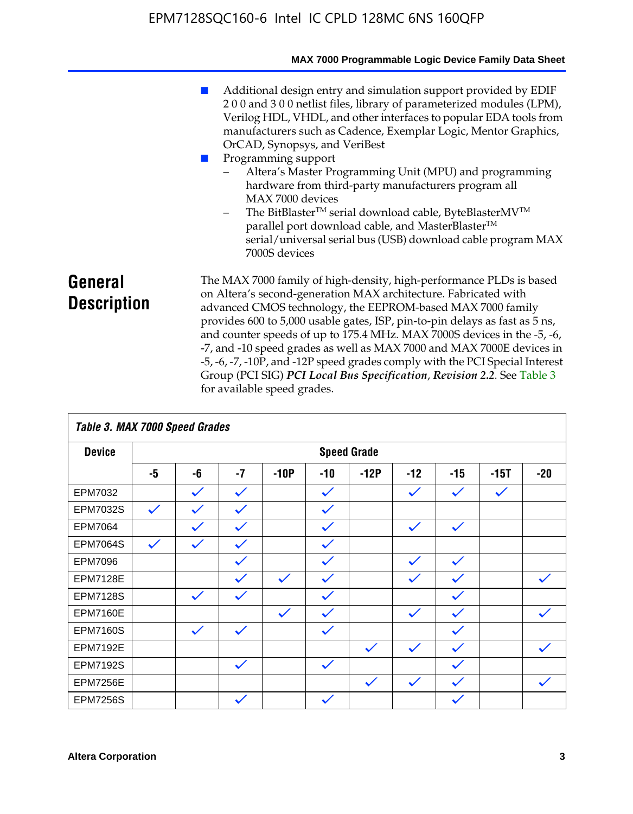|                               | MAX 7000 Programmable Logic Device Family Data Sheet                                                                                                                                                                                                                                                                                                                                                                                                                                                                                                                                                                                                                                                 |
|-------------------------------|------------------------------------------------------------------------------------------------------------------------------------------------------------------------------------------------------------------------------------------------------------------------------------------------------------------------------------------------------------------------------------------------------------------------------------------------------------------------------------------------------------------------------------------------------------------------------------------------------------------------------------------------------------------------------------------------------|
|                               | Additional design entry and simulation support provided by EDIF<br>200 and 300 netlist files, library of parameterized modules (LPM),<br>Verilog HDL, VHDL, and other interfaces to popular EDA tools from<br>manufacturers such as Cadence, Exemplar Logic, Mentor Graphics,<br>OrCAD, Synopsys, and VeriBest<br>Programming support<br>Altera's Master Programming Unit (MPU) and programming<br>hardware from third-party manufacturers program all<br>MAX 7000 devices<br>The BitBlaster™ serial download cable, ByteBlasterMV™<br>$\overline{\phantom{a}}$<br>parallel port download cable, and MasterBlaster™<br>serial/universal serial bus (USB) download cable program MAX<br>7000S devices |
| General<br><b>Description</b> | The MAX 7000 family of high-density, high-performance PLDs is based<br>on Altera's second-generation MAX architecture. Fabricated with<br>advanced CMOS technology, the EEPROM-based MAX 7000 family<br>provides 600 to 5,000 usable gates, ISP, pin-to-pin delays as fast as 5 ns,<br>and counter speeds of up to 175.4 MHz. MAX 7000S devices in the -5, -6,<br>-7, and -10 speed grades as well as MAX 7000 and MAX 7000E devices in<br>-5, -6, -7, -10P, and -12P speed grades comply with the PCI Special Interest<br>Group (PCI SIG) PCI Local Bus Specification, Revision 2.2. See Table 3                                                                                                    |

|                 | Table 3. MAX 7000 Speed Grades |              |              |              |              |                    |              |              |              |              |
|-----------------|--------------------------------|--------------|--------------|--------------|--------------|--------------------|--------------|--------------|--------------|--------------|
| <b>Device</b>   |                                |              |              |              |              | <b>Speed Grade</b> |              |              |              |              |
|                 | -5                             | -6           | $-7$         | $-10P$       | $-10$        | $-12P$             | $-12$        | $-15$        | $-15T$       | $-20$        |
| EPM7032         |                                | $\checkmark$ | $\checkmark$ |              | $\checkmark$ |                    | $\checkmark$ | $\checkmark$ | $\checkmark$ |              |
| EPM7032S        | $\checkmark$                   | $\checkmark$ | $\checkmark$ |              | $\checkmark$ |                    |              |              |              |              |
| <b>EPM7064</b>  |                                | $\checkmark$ | $\checkmark$ |              | $\checkmark$ |                    | $\checkmark$ | $\checkmark$ |              |              |
| <b>EPM7064S</b> | $\checkmark$                   | $\checkmark$ | $\checkmark$ |              | $\checkmark$ |                    |              |              |              |              |
| <b>EPM7096</b>  |                                |              | $\checkmark$ |              | $\checkmark$ |                    | $\checkmark$ | $\checkmark$ |              |              |
| <b>EPM7128E</b> |                                |              | $\checkmark$ | $\checkmark$ | $\checkmark$ |                    | $\checkmark$ | $\checkmark$ |              | $\checkmark$ |
| <b>EPM7128S</b> |                                | $\checkmark$ | $\checkmark$ |              | $\checkmark$ |                    |              | $\checkmark$ |              |              |
| <b>EPM7160E</b> |                                |              |              | $\checkmark$ | $\checkmark$ |                    | $\checkmark$ | $\checkmark$ |              | $\checkmark$ |
| <b>EPM7160S</b> |                                | $\checkmark$ | $\checkmark$ |              | $\checkmark$ |                    |              | $\checkmark$ |              |              |
| <b>EPM7192E</b> |                                |              |              |              |              | $\checkmark$       | $\checkmark$ | $\checkmark$ |              | $\checkmark$ |
| <b>EPM7192S</b> |                                |              | $\checkmark$ |              | $\checkmark$ |                    |              | $\checkmark$ |              |              |
| <b>EPM7256E</b> |                                |              |              |              |              | $\checkmark$       | $\checkmark$ | $\checkmark$ |              | $\checkmark$ |
| <b>EPM7256S</b> |                                |              | $\checkmark$ |              | $\checkmark$ |                    |              | $\checkmark$ |              |              |

for available speed grades.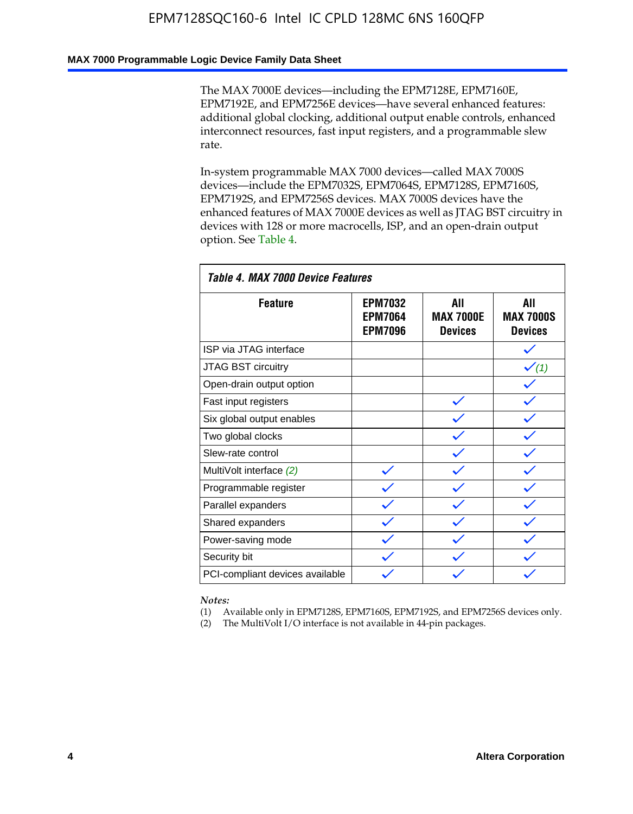### **MAX 7000 Programmable Logic Device Family Data Sheet**

The MAX 7000E devices—including the EPM7128E, EPM7160E, EPM7192E, and EPM7256E devices—have several enhanced features: additional global clocking, additional output enable controls, enhanced interconnect resources, fast input registers, and a programmable slew rate.

In-system programmable MAX 7000 devices—called MAX 7000S devices—include the EPM7032S, EPM7064S, EPM7128S, EPM7160S, EPM7192S, and EPM7256S devices. MAX 7000S devices have the enhanced features of MAX 7000E devices as well as JTAG BST circuitry in devices with 128 or more macrocells, ISP, and an open-drain output option. See Table 4.

| Table 4. MAX 7000 Device Features |                                                    |                                           |                                           |  |  |  |
|-----------------------------------|----------------------------------------------------|-------------------------------------------|-------------------------------------------|--|--|--|
| <b>Feature</b>                    | <b>EPM7032</b><br><b>EPM7064</b><br><b>EPM7096</b> | All<br><b>MAX 7000E</b><br><b>Devices</b> | All<br><b>MAX 7000S</b><br><b>Devices</b> |  |  |  |
| ISP via JTAG interface            |                                                    |                                           |                                           |  |  |  |
| JTAG BST circuitry                |                                                    |                                           | $\checkmark$ (1)                          |  |  |  |
| Open-drain output option          |                                                    |                                           |                                           |  |  |  |
| Fast input registers              |                                                    |                                           |                                           |  |  |  |
| Six global output enables         |                                                    |                                           |                                           |  |  |  |
| Two global clocks                 |                                                    |                                           |                                           |  |  |  |
| Slew-rate control                 |                                                    |                                           |                                           |  |  |  |
| MultiVolt interface (2)           |                                                    |                                           |                                           |  |  |  |
| Programmable register             |                                                    |                                           |                                           |  |  |  |
| Parallel expanders                |                                                    |                                           |                                           |  |  |  |
| Shared expanders                  |                                                    |                                           |                                           |  |  |  |
| Power-saving mode                 |                                                    |                                           |                                           |  |  |  |
| Security bit                      |                                                    |                                           |                                           |  |  |  |
| PCI-compliant devices available   |                                                    |                                           |                                           |  |  |  |

*Notes:*

(1) Available only in EPM7128S, EPM7160S, EPM7192S, and EPM7256S devices only.

(2) The MultiVolt I/O interface is not available in 44-pin packages.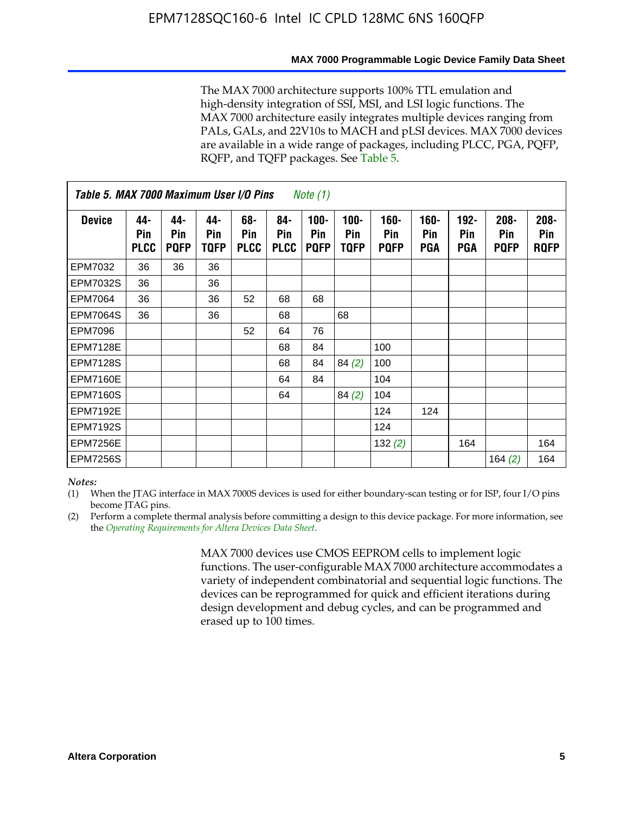#### **MAX 7000 Programmable Logic Device Family Data Sheet**

The MAX 7000 architecture supports 100% TTL emulation and high-density integration of SSI, MSI, and LSI logic functions. The MAX 7000 architecture easily integrates multiple devices ranging from PALs, GALs, and 22V10s to MACH and pLSI devices. MAX 7000 devices are available in a wide range of packages, including PLCC, PGA, PQFP, RQFP, and TQFP packages. See Table 5.

| Table 5. MAX 7000 Maximum User I/O Pins<br><i>Note</i> $(1)$ |                           |                           |                    |                           |                           |                               |                        |                            |                       |                              |                               |                               |
|--------------------------------------------------------------|---------------------------|---------------------------|--------------------|---------------------------|---------------------------|-------------------------------|------------------------|----------------------------|-----------------------|------------------------------|-------------------------------|-------------------------------|
| <b>Device</b>                                                | 44-<br>Pin<br><b>PLCC</b> | 44-<br>Pin<br><b>PQFP</b> | 44-<br>Pin<br>TQFP | 68-<br>Pin<br><b>PLCC</b> | 84-<br>Pin<br><b>PLCC</b> | $100 -$<br>Pin<br><b>PQFP</b> | $100 -$<br>Pin<br>TQFP | 160-<br>Pin<br><b>PQFP</b> | $160 -$<br>Pin<br>PGA | $192 -$<br><b>Pin</b><br>PGA | $208 -$<br>Pin<br><b>PQFP</b> | $208 -$<br>Pin<br><b>RQFP</b> |
| EPM7032                                                      | 36                        | 36                        | 36                 |                           |                           |                               |                        |                            |                       |                              |                               |                               |
| <b>EPM7032S</b>                                              | 36                        |                           | 36                 |                           |                           |                               |                        |                            |                       |                              |                               |                               |
| <b>EPM7064</b>                                               | 36                        |                           | 36                 | 52                        | 68                        | 68                            |                        |                            |                       |                              |                               |                               |
| <b>EPM7064S</b>                                              | 36                        |                           | 36                 |                           | 68                        |                               | 68                     |                            |                       |                              |                               |                               |
| <b>EPM7096</b>                                               |                           |                           |                    | 52                        | 64                        | 76                            |                        |                            |                       |                              |                               |                               |
| <b>EPM7128E</b>                                              |                           |                           |                    |                           | 68                        | 84                            |                        | 100                        |                       |                              |                               |                               |
| <b>EPM7128S</b>                                              |                           |                           |                    |                           | 68                        | 84                            | 84(2)                  | 100                        |                       |                              |                               |                               |
| EPM7160E                                                     |                           |                           |                    |                           | 64                        | 84                            |                        | 104                        |                       |                              |                               |                               |
| EPM7160S                                                     |                           |                           |                    |                           | 64                        |                               | 84(2)                  | 104                        |                       |                              |                               |                               |
| <b>EPM7192E</b>                                              |                           |                           |                    |                           |                           |                               |                        | 124                        | 124                   |                              |                               |                               |
| <b>EPM7192S</b>                                              |                           |                           |                    |                           |                           |                               |                        | 124                        |                       |                              |                               |                               |
| <b>EPM7256E</b>                                              |                           |                           |                    |                           |                           |                               |                        | 132 $(2)$                  |                       | 164                          |                               | 164                           |
| EPM7256S                                                     |                           |                           |                    |                           |                           |                               |                        |                            |                       |                              | 164 $(2)$                     | 164                           |

#### *Notes:*

(1) When the JTAG interface in MAX 7000S devices is used for either boundary-scan testing or for ISP, four I/O pins become JTAG pins.

(2) Perform a complete thermal analysis before committing a design to this device package. For more information, see the *Operating Requirements for Altera Devices Data Sheet*.

> MAX 7000 devices use CMOS EEPROM cells to implement logic functions. The user-configurable MAX 7000 architecture accommodates a variety of independent combinatorial and sequential logic functions. The devices can be reprogrammed for quick and efficient iterations during design development and debug cycles, and can be programmed and erased up to 100 times.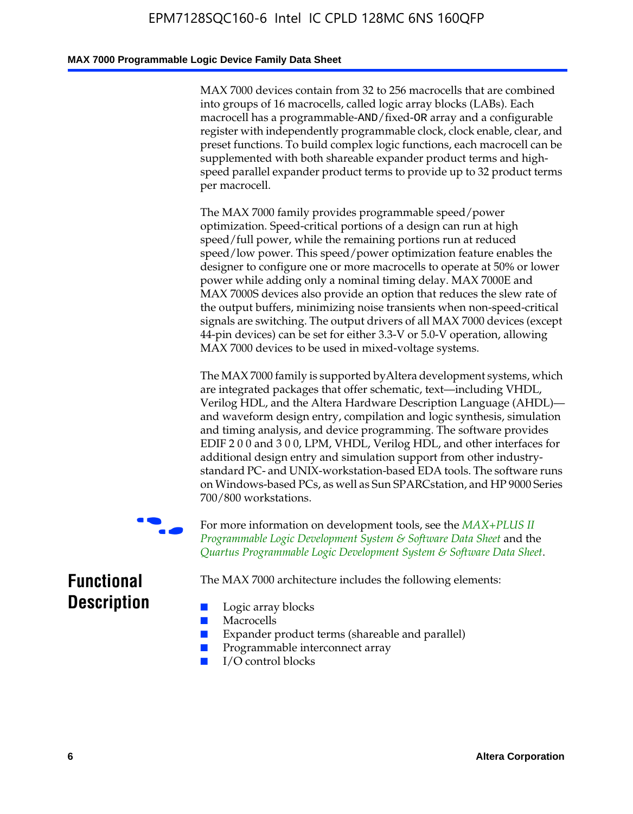#### **MAX 7000 Programmable Logic Device Family Data Sheet**

MAX 7000 devices contain from 32 to 256 macrocells that are combined into groups of 16 macrocells, called logic array blocks (LABs). Each macrocell has a programmable-AND/fixed-OR array and a configurable register with independently programmable clock, clock enable, clear, and preset functions. To build complex logic functions, each macrocell can be supplemented with both shareable expander product terms and highspeed parallel expander product terms to provide up to 32 product terms per macrocell.

The MAX 7000 family provides programmable speed/power optimization. Speed-critical portions of a design can run at high speed/full power, while the remaining portions run at reduced speed/low power. This speed/power optimization feature enables the designer to configure one or more macrocells to operate at 50% or lower power while adding only a nominal timing delay. MAX 7000E and MAX 7000S devices also provide an option that reduces the slew rate of the output buffers, minimizing noise transients when non-speed-critical signals are switching. The output drivers of all MAX 7000 devices (except 44-pin devices) can be set for either 3.3-V or 5.0-V operation, allowing MAX 7000 devices to be used in mixed-voltage systems.

The MAX 7000 family is supported byAltera development systems, which are integrated packages that offer schematic, text—including VHDL, Verilog HDL, and the Altera Hardware Description Language (AHDL) and waveform design entry, compilation and logic synthesis, simulation and timing analysis, and device programming. The [software provides](http://www.altera.com/literature/ds/dsmii.pdf)  [EDIF 2 0 0 and 3 0 0, LPM, VHDL, Verilog HDL, and other in](http://www.altera.com/literature/ds/dsmii.pdf)terfaces for [additional design entry and simulation support from other industry](http://www.altera.com/literature/ds/quartus.pdf)standard PC- and UNIX-workstation-based EDA tools. The software runs on Windows-based PCs, as well as Sun SPARCstation, and HP 9000 Series 700/800 workstations.

For more information on development tools, see the **MAX+PLUS II** *Programmable Logic Development System & Software Data Sheet* and the *Quartus Programmable Logic Development System & Software Data Sheet*.

The MAX 7000 architecture includes the following elements:

# **Functional Description**

- Logic array blocks
- **Macrocells**
- Expander product terms (shareable and parallel)
- Programmable interconnect array
- I/O control blocks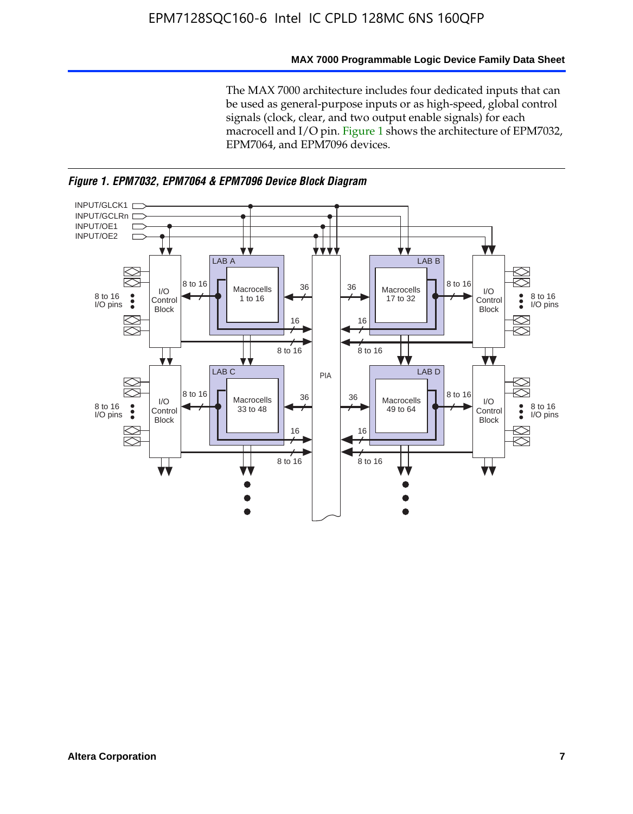#### **MAX 7000 Programmable Logic Device Family Data Sheet**

The MAX 7000 architecture includes four dedicated inputs that can be used as general-purpose inputs or as high-speed, global control signals (clock, clear, and two output enable signals) for each macrocell and I/O pin. Figure 1 shows the architecture of EPM7032, EPM7064, and EPM7096 devices.



*Figure 1. EPM7032, EPM7064 & EPM7096 Device Block Diagram*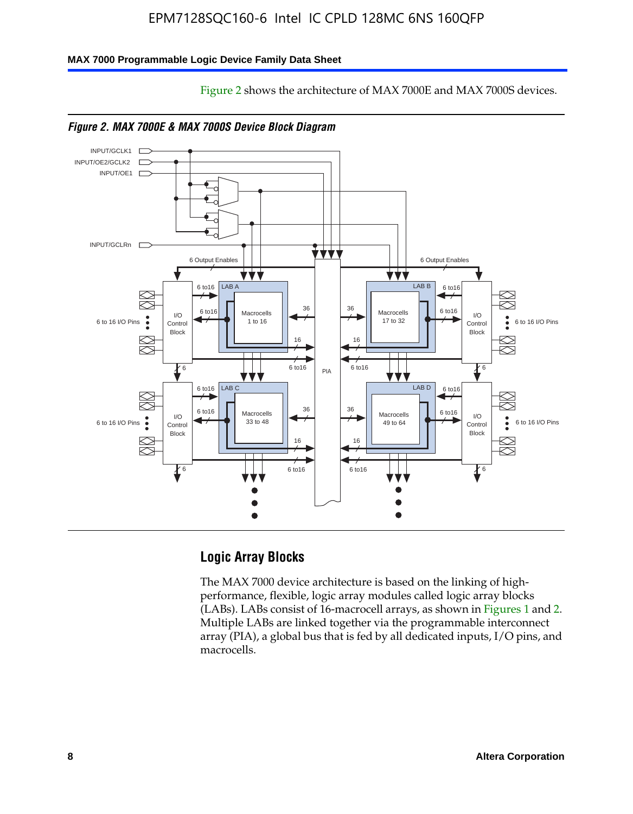Figure 2 shows the architecture of MAX 7000E and MAX 7000S devices.

#### **MAX 7000 Programmable Logic Device Family Data Sheet**





## **Logic Array Blocks**

The MAX 7000 device architecture is based on the linking of highperformance, flexible, logic array modules called logic array blocks (LABs). LABs consist of 16-macrocell arrays, as shown in Figures 1 and 2. Multiple LABs are linked together via the programmable interconnect array (PIA), a global bus that is fed by all dedicated inputs, I/O pins, and macrocells.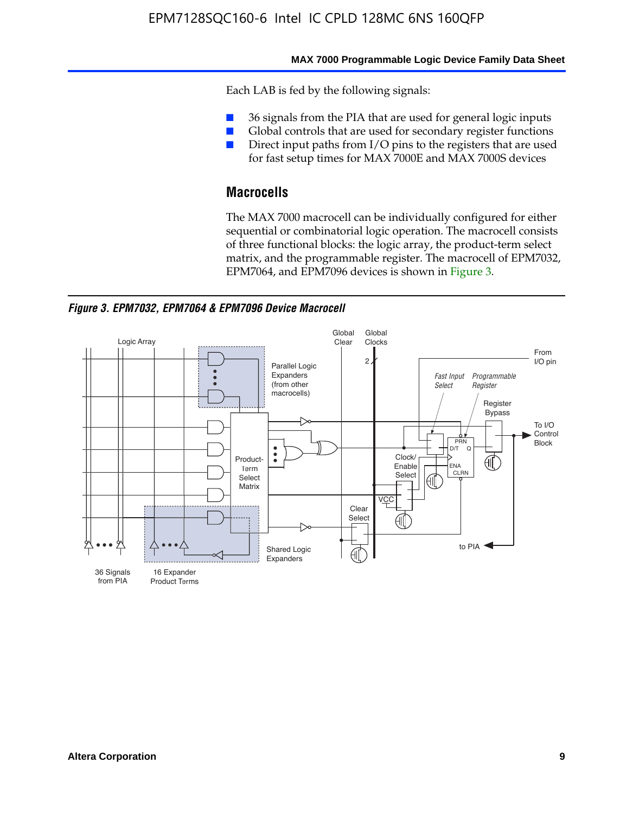#### **MAX 7000 Programmable Logic Device Family Data Sheet**

Each LAB is fed by the following signals:

- 36 signals from the PIA that are used for general logic inputs
- Global controls that are used for secondary register functions
- Direct input paths from I/O pins to the registers that are used for fast setup times for MAX 7000E and MAX 7000S devices

# **Macrocells**

The MAX 7000 macrocell can be individually configured for either sequential or combinatorial logic operation. The macrocell consists of three functional blocks: the logic array, the product-term select matrix, and the programmable register. The macrocell of EPM7032, EPM7064, and EPM7096 devices is shown in Figure 3.

*Figure 3. EPM7032, EPM7064 & EPM7096 Device Macrocell*

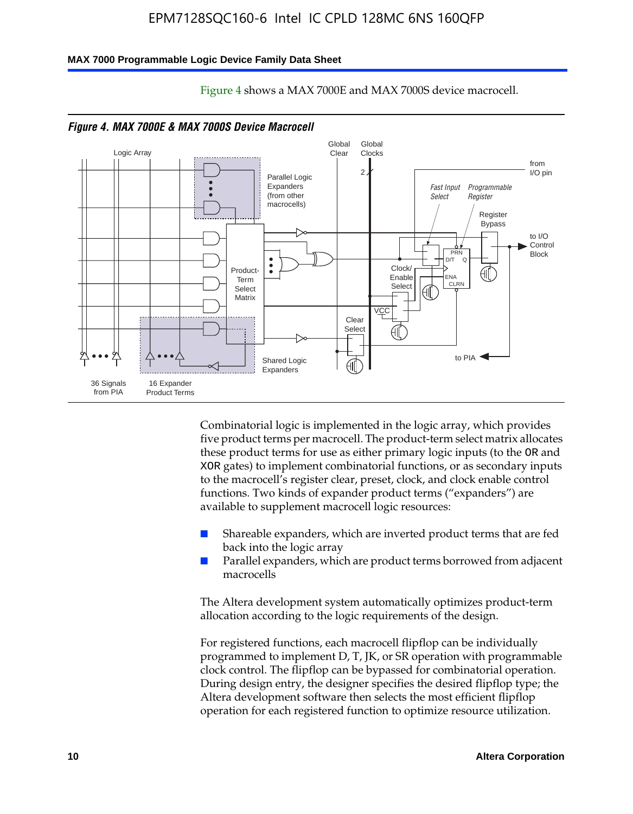#### **MAX 7000 Programmable Logic Device Family Data Sheet**



Figure 4 shows a MAX 7000E and MAX 7000S device macrocell.

Combinatorial logic is implemented in the logic array, which provides five product terms per macrocell. The product-term select matrix allocates these product terms for use as either primary logic inputs (to the OR and XOR gates) to implement combinatorial functions, or as secondary inputs to the macrocell's register clear, preset, clock, and clock enable control functions. Two kinds of expander product terms ("expanders") are available to supplement macrocell logic resources:

- Shareable expanders, which are inverted product terms that are fed back into the logic array
- Parallel expanders, which are product terms borrowed from adjacent macrocells

The Altera development system automatically optimizes product-term allocation according to the logic requirements of the design.

For registered functions, each macrocell flipflop can be individually programmed to implement D, T, JK, or SR operation with programmable clock control. The flipflop can be bypassed for combinatorial operation. During design entry, the designer specifies the desired flipflop type; the Altera development software then selects the most efficient flipflop operation for each registered function to optimize resource utilization.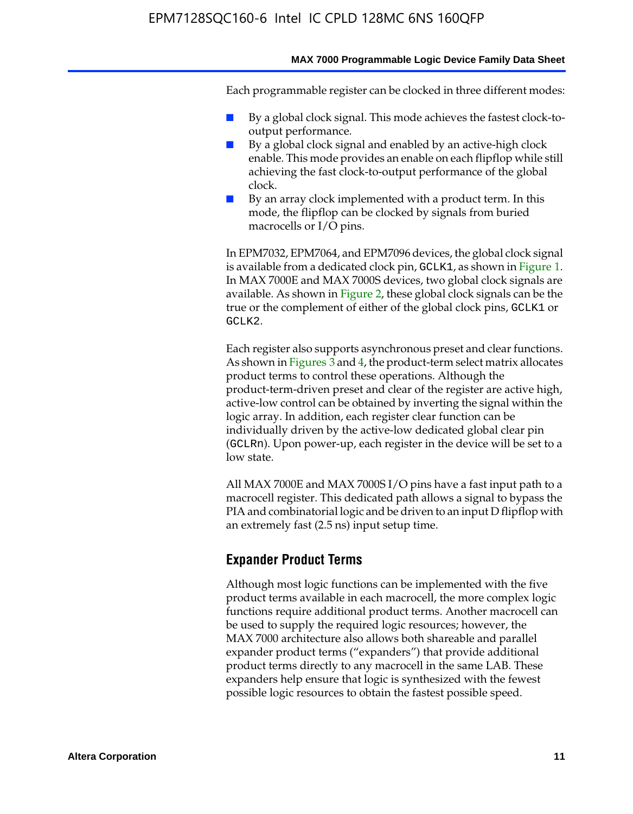#### **MAX 7000 Programmable Logic Device Family Data Sheet**

Each programmable register can be clocked in three different modes:

- By a global clock signal. This mode achieves the fastest clock-tooutput performance.
- By a global clock signal and enabled by an active-high clock enable. This mode provides an enable on each flipflop while still achieving the fast clock-to-output performance of the global clock.
- By an array clock implemented with a product term. In this mode, the flipflop can be clocked by signals from buried macrocells or I/O pins.

In EPM7032, EPM7064, and EPM7096 devices, the global clock signal is available from a dedicated clock pin, GCLK1, as shown in Figure 1. In MAX 7000E and MAX 7000S devices, two global clock signals are available. As shown in Figure 2, these global clock signals can be the true or the complement of either of the global clock pins, GCLK1 or GCLK2.

Each register also supports asynchronous preset and clear functions. As shown in Figures 3 and 4, the product-term select matrix allocates product terms to control these operations. Although the product-term-driven preset and clear of the register are active high, active-low control can be obtained by inverting the signal within the logic array. In addition, each register clear function can be individually driven by the active-low dedicated global clear pin (GCLRn). Upon power-up, each register in the device will be set to a low state.

All MAX 7000E and MAX 7000S I/O pins have a fast input path to a macrocell register. This dedicated path allows a signal to bypass the PIA and combinatorial logic and be driven to an input D flipflop with an extremely fast (2.5 ns) input setup time.

### **Expander Product Terms**

Although most logic functions can be implemented with the five product terms available in each macrocell, the more complex logic functions require additional product terms. Another macrocell can be used to supply the required logic resources; however, the MAX 7000 architecture also allows both shareable and parallel expander product terms ("expanders") that provide additional product terms directly to any macrocell in the same LAB. These expanders help ensure that logic is synthesized with the fewest possible logic resources to obtain the fastest possible speed.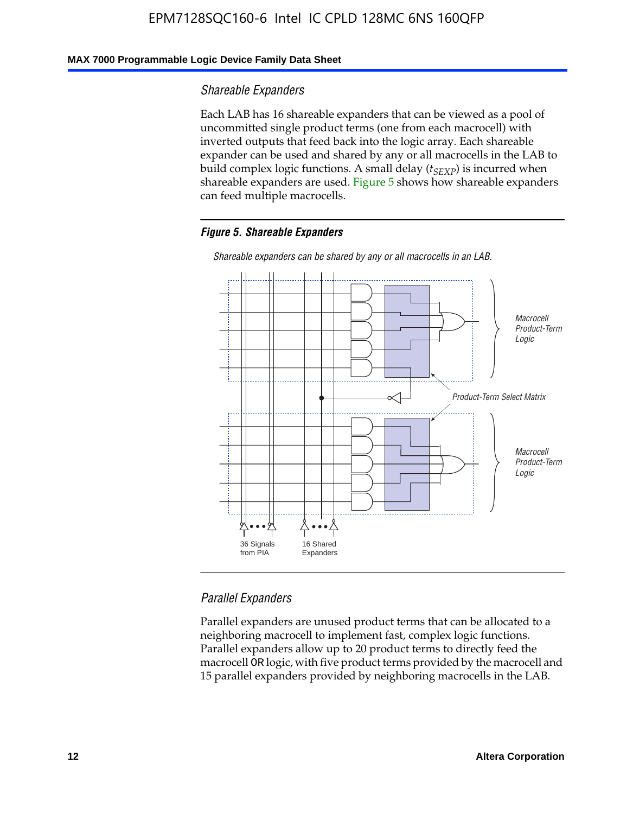### **MAX 7000 Programmable Logic Device Family Data Sheet**

### *Shareable Expanders*

Each LAB has 16 shareable expanders that can be viewed as a pool of uncommitted single product terms (one from each macrocell) with inverted outputs that feed back into the logic array. Each shareable expander can be used and shared by any or all macrocells in the LAB to build complex logic functions. A small delay ( $t_{SEXP}$ ) is incurred when shareable expanders are used. Figure 5 shows how shareable expanders can feed multiple macrocells.

#### *Figure 5. Shareable Expanders*



*Shareable expanders can be shared by any or all macrocells in an LAB.*

### *Parallel Expanders*

Parallel expanders are unused product terms that can be allocated to a neighboring macrocell to implement fast, complex logic functions. Parallel expanders allow up to 20 product terms to directly feed the macrocell OR logic, with five product terms provided by the macrocell and 15 parallel expanders provided by neighboring macrocells in the LAB.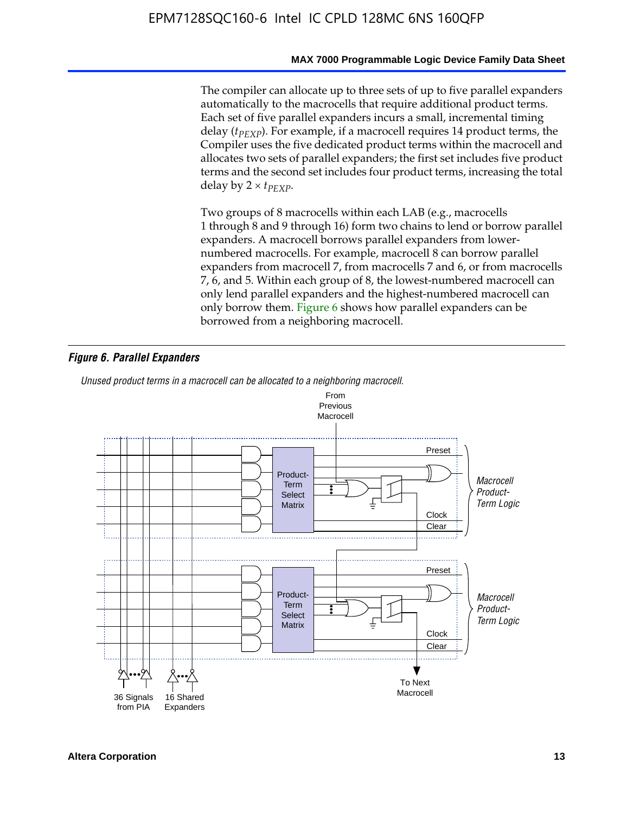The compiler can allocate up to three sets of up to five parallel expanders automatically to the macrocells that require additional product terms. Each set of five parallel expanders incurs a small, incremental timing delay (*t<sub>PEXP</sub>*). For example, if a macrocell requires 14 product terms, the Compiler uses the five dedicated product terms within the macrocell and allocates two sets of parallel expanders; the first set includes five product terms and the second set includes four product terms, increasing the total delay by  $2 \times t_{PFXP}$ .

Two groups of 8 macrocells within each LAB (e.g., macrocells 1 through 8 and 9 through 16) form two chains to lend or borrow parallel expanders. A macrocell borrows parallel expanders from lowernumbered macrocells. For example, macrocell 8 can borrow parallel expanders from macrocell 7, from macrocells 7 and 6, or from macrocells 7, 6, and 5. Within each group of 8, the lowest-numbered macrocell can only lend parallel expanders and the highest-numbered macrocell can only borrow them. Figure 6 shows how parallel expanders can be borrowed from a neighboring macrocell.

#### *Figure 6. Parallel Expanders*

*Unused product terms in a macrocell can be allocated to a neighboring macrocell.*

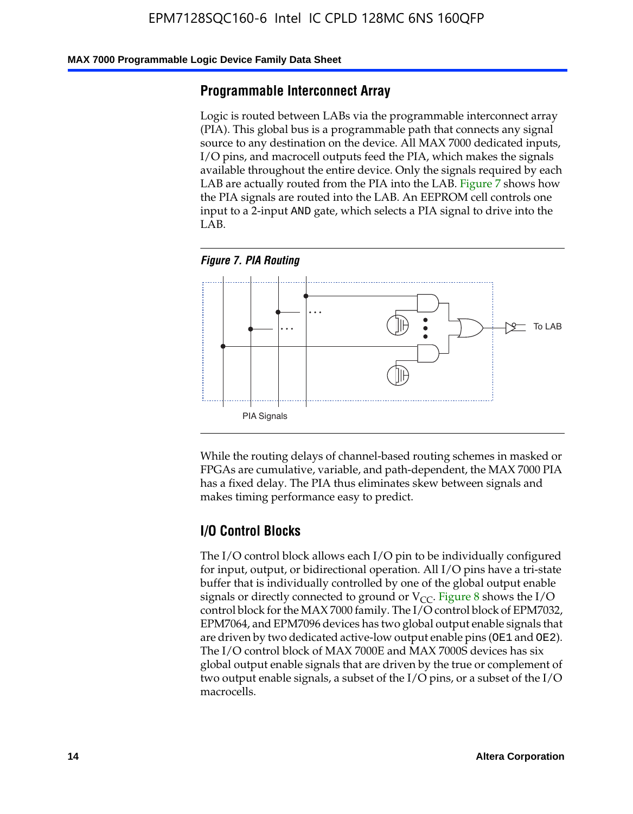#### **MAX 7000 Programmable Logic Device Family Data Sheet**

### **Programmable Interconnect Array**

Logic is routed between LABs via the programmable interconnect array (PIA). This global bus is a programmable path that connects any signal source to any destination on the device. All MAX 7000 dedicated inputs, I/O pins, and macrocell outputs feed the PIA, which makes the signals available throughout the entire device. Only the signals required by each LAB are actually routed from the PIA into the LAB. Figure 7 shows how the PIA signals are routed into the LAB. An EEPROM cell controls one input to a 2-input AND gate, which selects a PIA signal to drive into the LAB.





While the routing delays of channel-based routing schemes in masked or FPGAs are cumulative, variable, and path-dependent, the MAX 7000 PIA has a fixed delay. The PIA thus eliminates skew between signals and makes timing performance easy to predict.

### **I/O Control Blocks**

The I/O control block allows each I/O pin to be individually configured for input, output, or bidirectional operation. All I/O pins have a tri-state buffer that is individually controlled by one of the global output enable signals or directly connected to ground or  $V_{CC}$ . Figure 8 shows the I/O control block for the MAX 7000 family. The I/O control block of EPM7032, EPM7064, and EPM7096 devices has two global output enable signals that are driven by two dedicated active-low output enable pins (OE1 and OE2). The I/O control block of MAX 7000E and MAX 7000S devices has six global output enable signals that are driven by the true or complement of two output enable signals, a subset of the I/O pins, or a subset of the I/O macrocells.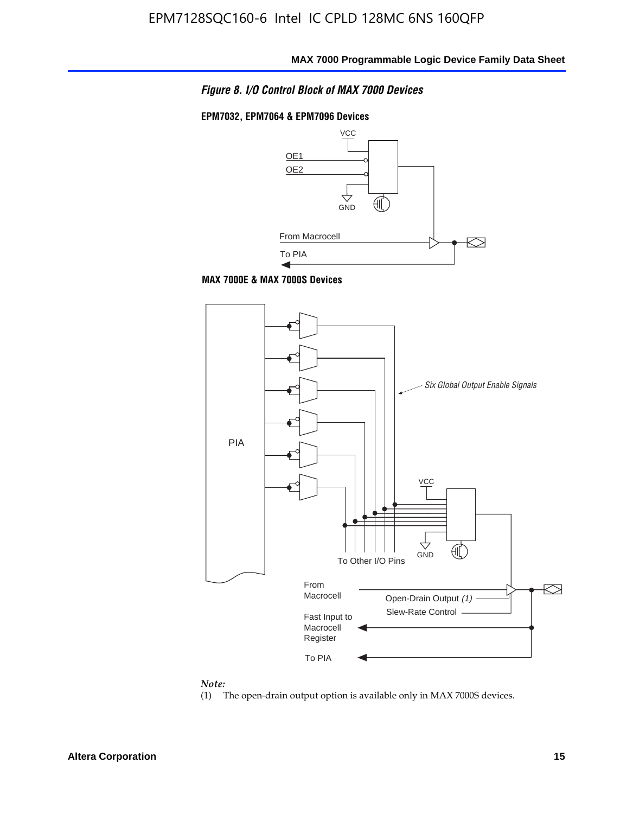

#### **EPM7032, EPM7064 & EPM7096 Devices**







# *Note:*<br>(1) <sup>1</sup>

The open-drain output option is available only in MAX 7000S devices.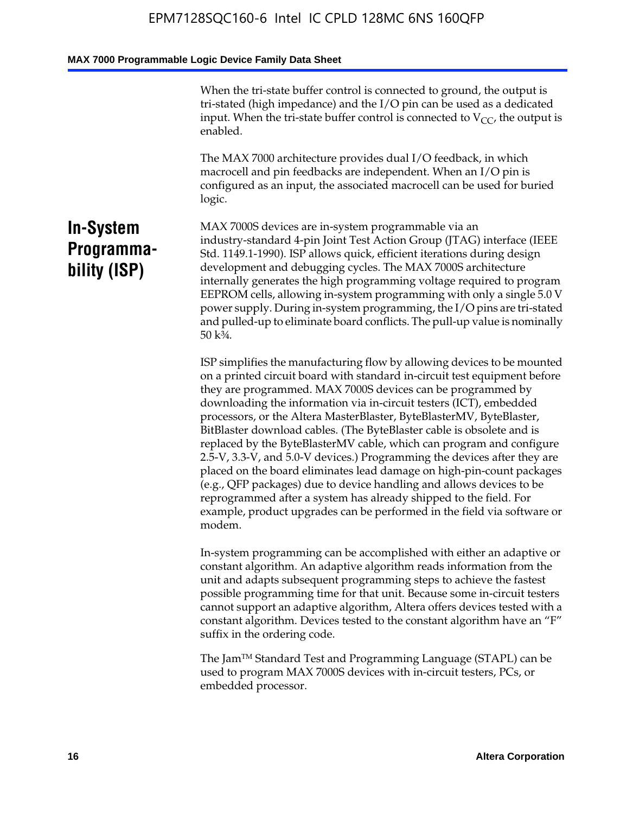When the tri-state buffer control is connected to ground, the output is tri-stated (high impedance) and the I/O pin can be used as a dedicated input. When the tri-state buffer control is connected to  $V_{CC}$ , the output is enabled.

The MAX 7000 architecture provides dual I/O feedback, in which macrocell and pin feedbacks are independent. When an I/O pin is configured as an input, the associated macrocell can be used for buried logic.

# **In-System Programmability (ISP)**

MAX 7000S devices are in-system programmable via an industry-standard 4-pin Joint Test Action Group (JTAG) interface (IEEE Std. 1149.1-1990). ISP allows quick, efficient iterations during design development and debugging cycles. The MAX 7000S architecture internally generates the high programming voltage required to program EEPROM cells, allowing in-system programming with only a single 5.0 V power supply. During in-system programming, the I/O pins are tri-stated and pulled-up to eliminate board conflicts. The pull-up value is nominally 50 k¾.

ISP simplifies the manufacturing flow by allowing devices to be mounted on a printed circuit board with standard in-circuit test equipment before they are programmed. MAX 7000S devices can be programmed by downloading the information via in-circuit testers (ICT), embedded processors, or the Altera MasterBlaster, ByteBlasterMV, ByteBlaster, BitBlaster download cables. (The ByteBlaster cable is obsolete and is replaced by the ByteBlasterMV cable, which can program and configure 2.5-V, 3.3-V, and 5.0-V devices.) Programming the devices after they are placed on the board eliminates lead damage on high-pin-count packages (e.g., QFP packages) due to device handling and allows devices to be reprogrammed after a system has already shipped to the field. For example, product upgrades can be performed in the field via software or modem.

In-system programming can be accomplished with either an adaptive or constant algorithm. An adaptive algorithm reads information from the unit and adapts subsequent programming steps to achieve the fastest possible programming time for that unit. Because some in-circuit testers cannot support an adaptive algorithm, Altera offers devices tested with a constant algorithm. Devices tested to the constant algorithm have an "F" suffix in the ordering code.

The Jam™ Standard Test and Programming Language (STAPL) can be used to program MAX 7000S devices with in-circuit testers, PCs, or embedded processor.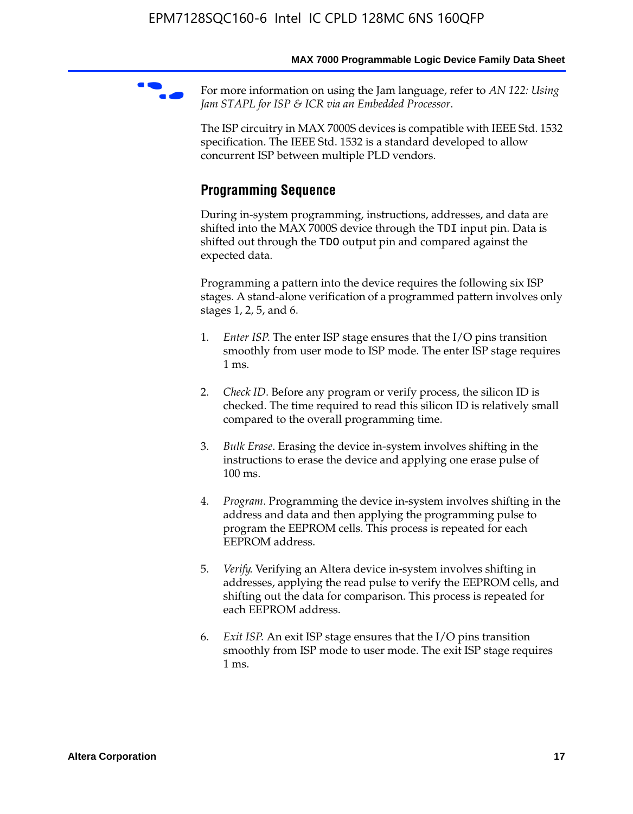For more information on using the Jam language, refer to *AN* 122: Using *Jam STAPL for ISP & ICR via an Embedded Processor*.

The ISP circuitry in MAX 7000S devices is compatible with IEEE Std. 1532 specification. The IEEE Std. 1532 is a standard developed to allow concurrent ISP between multiple PLD vendors.

# **Programming Sequence**

During in-system programming, instructions, addresses, and data are shifted into the MAX 7000S device through the TDI input pin. Data is shifted out through the TDO output pin and compared against the expected data.

Programming a pattern into the device requires the following six ISP stages. A stand-alone verification of a programmed pattern involves only stages 1, 2, 5, and 6.

- 1. *Enter ISP*. The enter ISP stage ensures that the I/O pins transition smoothly from user mode to ISP mode. The enter ISP stage requires 1 ms.
- 2. *Check ID*. Before any program or verify process, the silicon ID is checked. The time required to read this silicon ID is relatively small compared to the overall programming time.
- 3. *Bulk Erase*. Erasing the device in-system involves shifting in the instructions to erase the device and applying one erase pulse of 100 ms.
- 4. *Program*. Programming the device in-system involves shifting in the address and data and then applying the programming pulse to program the EEPROM cells. This process is repeated for each EEPROM address.
- 5. *Verify*. Verifying an Altera device in-system involves shifting in addresses, applying the read pulse to verify the EEPROM cells, and shifting out the data for comparison. This process is repeated for each EEPROM address.
- 6. *Exit ISP*. An exit ISP stage ensures that the I/O pins transition smoothly from ISP mode to user mode. The exit ISP stage requires 1 ms.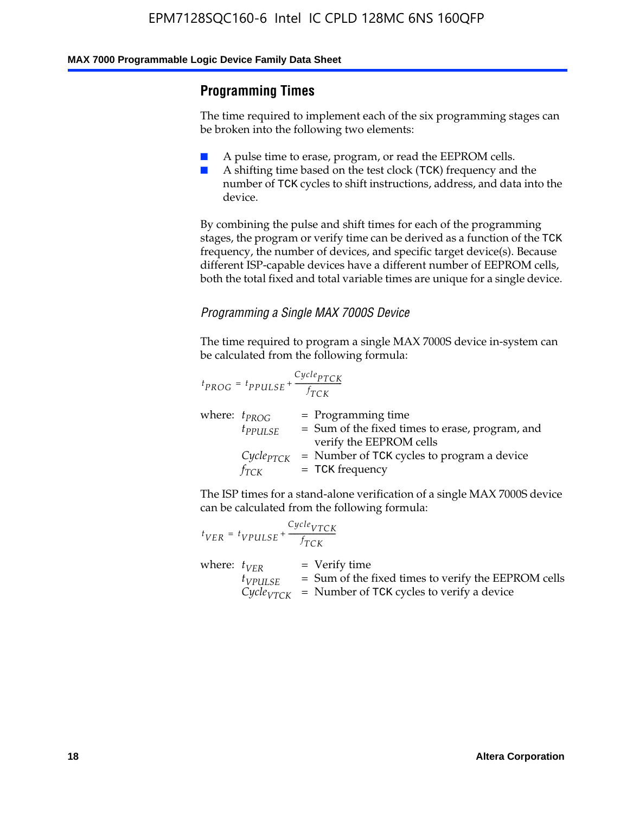# **Programming Times**

The time required to implement each of the six programming stages can be broken into the following two elements:

- A pulse time to erase, program, or read the EEPROM cells.
- A shifting time based on the test clock (TCK) frequency and the number of TCK cycles to shift instructions, address, and data into the device.

By combining the pulse and shift times for each of the programming stages, the program or verify time can be derived as a function of the TCK frequency, the number of devices, and specific target device(s). Because different ISP-capable devices have a different number of EEPROM cells, both the total fixed and total variable times are unique for a single device.

### *Programming a Single MAX 7000S Device*

The time required to program a single MAX 7000S device in-system can be calculated from the following formula:

$$
t_{PROG} = t_{PPULSE} + \frac{C_{ycle_{PTCK}}}{f_{TCK}}
$$
  
where:  $t_{PROG}$  = Programming time  
 $t_{PPULSE}$  = Sum of the fixed times to erase, program, and  
verify the EEPROM cells  
 $C_{ycle_{PTCK}}$  = Number of TCK cycles to program a device  
 $f_{TCK}$  = TCK frequency

The ISP times for a stand-alone verification of a single MAX 7000S device can be calculated from the following formula:

|                  | $t_{VER} = t_{VPULSE} + \frac{Cycle_{VTCK}}{f_{TCK}}$ |                                                                                                                                 |
|------------------|-------------------------------------------------------|---------------------------------------------------------------------------------------------------------------------------------|
| where: $t_{VFR}$ | $t_{VPULSE}$                                          | = Verify time<br>$=$ Sum of the fixed times to verify the EEPROM cells<br>$CycleVTCK$ = Number of TCK cycles to verify a device |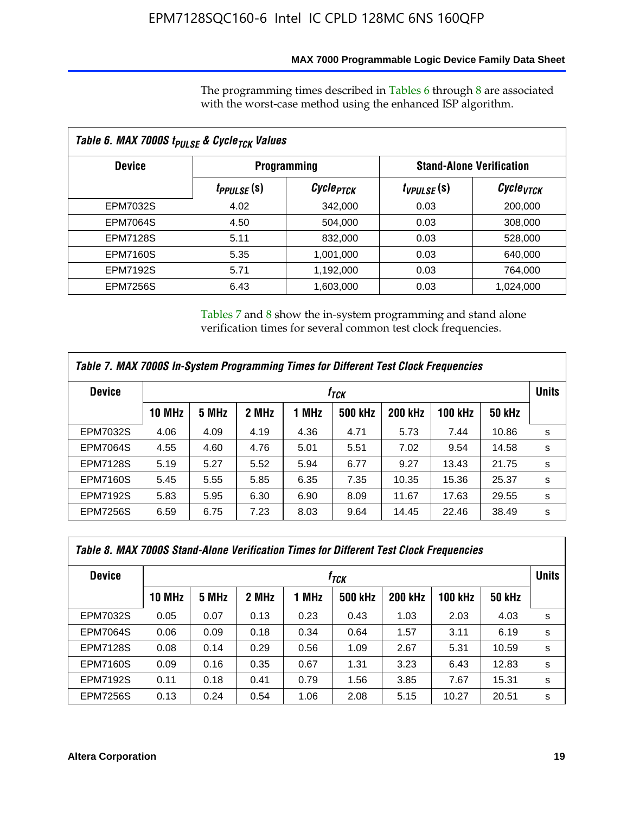### **MAX 7000 Programmable Logic Device Family Data Sheet**

The programming times described in Tables 6 through 8 are associated with the worst-case method using the enhanced ISP algorithm.

| Table 6. MAX 7000S t <sub>PULSE</sub> & Cycle <sub>TCK</sub> Values |                               |                       |                 |                                 |  |  |  |
|---------------------------------------------------------------------|-------------------------------|-----------------------|-----------------|---------------------------------|--|--|--|
| <b>Device</b>                                                       |                               | <b>Programming</b>    |                 | <b>Stand-Alone Verification</b> |  |  |  |
|                                                                     | <i>t<sub>PPULSE</sub></i> (S) | Cycle <sub>PTCK</sub> | $t_{VPULSE}(s)$ | Cycle <sub>VTCK</sub>           |  |  |  |
| EPM7032S                                                            | 4.02                          | 342,000               | 0.03            | 200,000                         |  |  |  |
| <b>EPM7064S</b>                                                     | 4.50                          | 504.000               | 0.03            | 308,000                         |  |  |  |
| <b>EPM7128S</b>                                                     | 5.11                          | 832,000               | 0.03            | 528,000                         |  |  |  |
| <b>EPM7160S</b>                                                     | 5.35                          | 1,001,000             | 0.03            | 640,000                         |  |  |  |
| <b>EPM7192S</b>                                                     | 5.71                          | 1,192,000             | 0.03            | 764,000                         |  |  |  |
| <b>EPM7256S</b>                                                     | 6.43                          | 1,603,000             | 0.03            | 1,024,000                       |  |  |  |

Tables 7 and 8 show the in-system programming and stand alone verification times for several common test clock frequencies.

| Table 7. MAX 7000S In-System Programming Times for Different Test Clock Frequencies |                  |       |       |       |                |                |                |               |              |
|-------------------------------------------------------------------------------------|------------------|-------|-------|-------|----------------|----------------|----------------|---------------|--------------|
| <b>Device</b>                                                                       | † <sub>TCK</sub> |       |       |       |                |                |                |               | <b>Units</b> |
|                                                                                     | <b>10 MHz</b>    | 5 MHz | 2 MHz | 1 MHz | <b>500 kHz</b> | <b>200 kHz</b> | <b>100 kHz</b> | <b>50 kHz</b> |              |
| <b>EPM7032S</b>                                                                     | 4.06             | 4.09  | 4.19  | 4.36  | 4.71           | 5.73           | 7.44           | 10.86         | s            |
| <b>EPM7064S</b>                                                                     | 4.55             | 4.60  | 4.76  | 5.01  | 5.51           | 7.02           | 9.54           | 14.58         | s            |
| <b>EPM7128S</b>                                                                     | 5.19             | 5.27  | 5.52  | 5.94  | 6.77           | 9.27           | 13.43          | 21.75         | s            |
| <b>EPM7160S</b>                                                                     | 5.45             | 5.55  | 5.85  | 6.35  | 7.35           | 10.35          | 15.36          | 25.37         | s            |
| <b>EPM7192S</b>                                                                     | 5.83             | 5.95  | 6.30  | 6.90  | 8.09           | 11.67          | 17.63          | 29.55         | s            |
| <b>EPM7256S</b>                                                                     | 6.59             | 6.75  | 7.23  | 8.03  | 9.64           | 14.45          | 22.46          | 38.49         | s            |

| Table 8. MAX 7000S Stand-Alone Verification Times for Different Test Clock Frequencies |               |       |       |       |                  |                |                |               |              |
|----------------------------------------------------------------------------------------|---------------|-------|-------|-------|------------------|----------------|----------------|---------------|--------------|
| <b>Device</b>                                                                          |               |       |       |       | † <sub>TCK</sub> |                |                |               | <b>Units</b> |
|                                                                                        | <b>10 MHz</b> | 5 MHz | 2 MHz | 1 MHz | <b>500 kHz</b>   | <b>200 kHz</b> | <b>100 kHz</b> | <b>50 kHz</b> |              |
| <b>EPM7032S</b>                                                                        | 0.05          | 0.07  | 0.13  | 0.23  | 0.43             | 1.03           | 2.03           | 4.03          | s            |
| <b>EPM7064S</b>                                                                        | 0.06          | 0.09  | 0.18  | 0.34  | 0.64             | 1.57           | 3.11           | 6.19          | s            |
| <b>EPM7128S</b>                                                                        | 0.08          | 0.14  | 0.29  | 0.56  | 1.09             | 2.67           | 5.31           | 10.59         | s            |
| <b>EPM7160S</b>                                                                        | 0.09          | 0.16  | 0.35  | 0.67  | 1.31             | 3.23           | 6.43           | 12.83         | s            |
| <b>EPM7192S</b>                                                                        | 0.11          | 0.18  | 0.41  | 0.79  | 1.56             | 3.85           | 7.67           | 15.31         | s            |
| <b>EPM7256S</b>                                                                        | 0.13          | 0.24  | 0.54  | 1.06  | 2.08             | 5.15           | 10.27          | 20.51         | s            |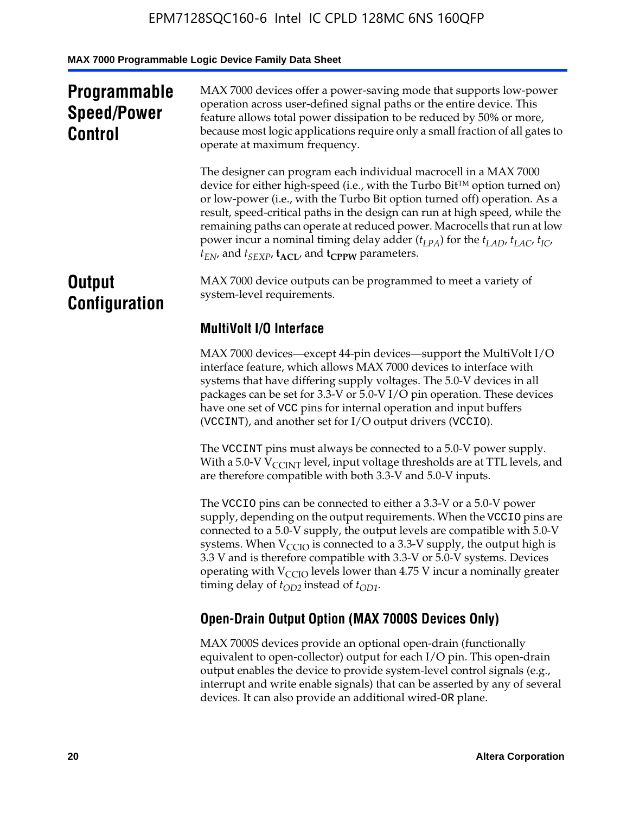# **Programmable Speed/Power Control**

MAX 7000 devices offer a power-saving mode that supports low-power operation across user-defined signal paths or the entire device. This feature allows total power dissipation to be reduced by 50% or more, because most logic applications require only a small fraction of all gates to operate at maximum frequency.

The designer can program each individual macrocell in a MAX 7000 device for either high-speed (i.e., with the Turbo  $Bit^{TM}$  option turned on) or low-power (i.e., with the Turbo Bit option turned off) operation. As a result, speed-critical paths in the design can run at high speed, while the remaining paths can operate at reduced power. Macrocells that run at low power incur a nominal timing delay adder  $(t_{LPA})$  for the  $t_{LAD}$ ,  $t_{LAC}$ ,  $t_{IC}$ ,  $t_{EN}$ , and  $t_{SEXP}$ ,  $t_{ACL}$ , and  $t_{CPPW}$  parameters.

# **Output Configuration**

MAX 7000 device outputs can be programmed to meet a variety of system-level requirements.

# **MultiVolt I/O Interface**

MAX 7000 devices—except 44-pin devices—support the MultiVolt I/O interface feature, which allows MAX 7000 devices to interface with systems that have differing supply voltages. The 5.0-V devices in all packages can be set for 3.3-V or 5.0-V I/O pin operation. These devices have one set of VCC pins for internal operation and input buffers (VCCINT), and another set for I/O output drivers (VCCIO).

The VCCINT pins must always be connected to a 5.0-V power supply. With a 5.0-V  $V_{\text{CCINT}}$  level, input voltage thresholds are at TTL levels, and are therefore compatible with both 3.3-V and 5.0-V inputs.

The VCCIO pins can be connected to either a 3.3-V or a 5.0-V power supply, depending on the output requirements. When the VCCIO pins are connected to a 5.0-V supply, the output levels are compatible with 5.0-V systems. When  $V_{\text{CGO}}$  is connected to a 3.3-V supply, the output high is 3.3 V and is therefore compatible with 3.3-V or 5.0-V systems. Devices operating with  $V_{\text{CCIO}}$  levels lower than 4.75 V incur a nominally greater timing delay of  $t_{OD2}$  instead of  $t_{OD1}$ .

# **Open-Drain Output Option (MAX 7000S Devices Only)**

MAX 7000S devices provide an optional open-drain (functionally equivalent to open-collector) output for each I/O pin. This open-drain output enables the device to provide system-level control signals (e.g., interrupt and write enable signals) that can be asserted by any of several devices. It can also provide an additional wired-OR plane.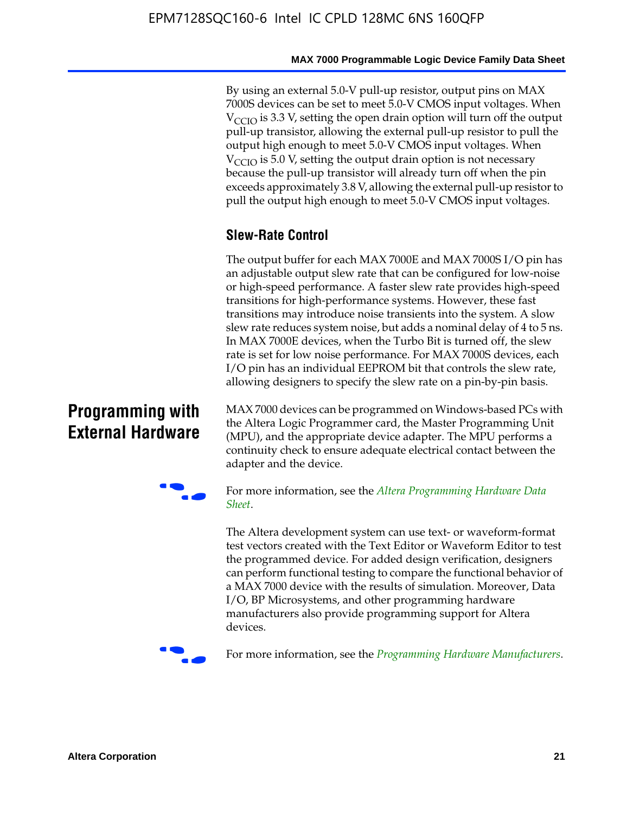By using an external 5.0-V pull-up resistor, output pins on MAX 7000S devices can be set to meet 5.0-V CMOS input voltages. When  $V_{\text{CCIO}}$  is 3.3 V, setting the open drain option will turn off the output pull-up transistor, allowing the external pull-up resistor to pull the output high enough to meet 5.0-V CMOS input voltages. When  $V_{\text{CCIO}}$  is 5.0 V, setting the output drain option is not necessary because the pull-up transistor will already turn off when the pin exceeds approximately 3.8 V, allowing the external pull-up resistor to pull the output high enough to meet 5.0-V CMOS input voltages.

# **Slew-Rate Control**

The output buffer for each MAX 7000E and MAX 7000S I/O pin has an adjustable output slew rate that can be configured for low-noise or high-speed performance. A faster slew rate provides high-speed transitions for high-performance systems. However, these fast transitions may introduce noise transients into the system. A slow slew rate reduces system noise, but adds a nominal delay of 4 to 5 ns. In MAX 7000E devices, when the Turbo Bit is turned off, the slew rate is set for low noise performance. For MAX 7000S devices, each I/O pin has an individual EEPROM bit that controls the slew rate, allowing designers to specify the slew rate on a pin-by-pin basis.

# **Programming with External Hardware**

[MAX](http://www.altera.com/literature/ds/dspghd.pdf) 7000 devices can be prog[rammed on Windows-based PCs with](http://www.altera.com/literature/ds/dspghd.pdf)  the Altera Logic Programmer card, the Master Programming Unit (MPU), and the appropriate device adapter. The MPU performs a continuity check to ensure adequate electrical contact between the adapter and the device.



For more information, see the *Altera Programming Hardware Data Sheet*.

The Altera development system can use text- or waveform-format test vectors created with the Text Editor or Waveform Editor to test the programmed device. For added design verification, designers can perform functional testing to compare the functional behavior of a MAX 7000 device with the results of simulation. Moreover, Data I/O, BP Microsystems, and other programming hardware manufacturers also provide programming support for Altera devices.



For more information, see the *Programming Hardware Manufacturers*.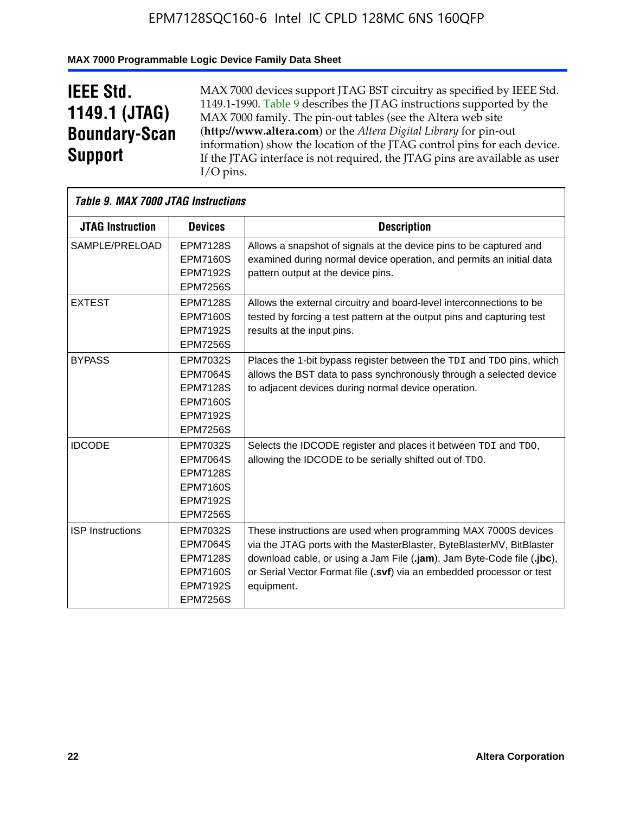## **MAX 7000 Programmable Logic Device Family Data Sheet**

# **IEEE Std. 1149.1 (JTAG) Boundary-Scan Support**

 $\mathsf{r}$ 

MAX 7000 devices support JTAG BST circuitry as specified by IEEE Std. 1149.1-1990. Table 9 describes the JTAG instructions supported by the MAX 7000 family. The pin-out tables (see the Altera web site (**http://www.altera.com**) or the *Altera Digital Library* for pin-out information) show the location of the JTAG control pins for each device. If the JTAG interface is not required, the JTAG pins are available as user I/O pins.

| Table 9. MAX 7000 JTAG Instructions |                                                                                                         |                                                                                                                                                                                                                                                                                                         |
|-------------------------------------|---------------------------------------------------------------------------------------------------------|---------------------------------------------------------------------------------------------------------------------------------------------------------------------------------------------------------------------------------------------------------------------------------------------------------|
| <b>JTAG Instruction</b>             | <b>Devices</b>                                                                                          | <b>Description</b>                                                                                                                                                                                                                                                                                      |
| SAMPLE/PRELOAD                      | <b>EPM7128S</b><br><b>EPM7160S</b><br><b>EPM7192S</b><br><b>EPM7256S</b>                                | Allows a snapshot of signals at the device pins to be captured and<br>examined during normal device operation, and permits an initial data<br>pattern output at the device pins.                                                                                                                        |
| <b>EXTEST</b>                       | <b>EPM7128S</b><br><b>EPM7160S</b><br><b>EPM7192S</b><br><b>EPM7256S</b>                                | Allows the external circuitry and board-level interconnections to be<br>tested by forcing a test pattern at the output pins and capturing test<br>results at the input pins.                                                                                                                            |
| <b>BYPASS</b>                       | EPM7032S<br><b>EPM7064S</b><br><b>EPM7128S</b><br><b>EPM7160S</b><br><b>EPM7192S</b><br><b>EPM7256S</b> | Places the 1-bit bypass register between the TDI and TDO pins, which<br>allows the BST data to pass synchronously through a selected device<br>to adjacent devices during normal device operation.                                                                                                      |
| <b>IDCODE</b>                       | EPM7032S<br><b>EPM7064S</b><br><b>EPM7128S</b><br><b>EPM7160S</b><br><b>EPM7192S</b><br><b>EPM7256S</b> | Selects the IDCODE register and places it between TDI and TDO,<br>allowing the IDCODE to be serially shifted out of TDO.                                                                                                                                                                                |
| <b>ISP</b> Instructions             | EPM7032S<br><b>EPM7064S</b><br><b>EPM7128S</b><br><b>EPM7160S</b><br><b>EPM7192S</b><br><b>EPM7256S</b> | These instructions are used when programming MAX 7000S devices<br>via the JTAG ports with the MasterBlaster, ByteBlasterMV, BitBlaster<br>download cable, or using a Jam File (.jam), Jam Byte-Code file (.jbc),<br>or Serial Vector Format file (.svf) via an embedded processor or test<br>equipment. |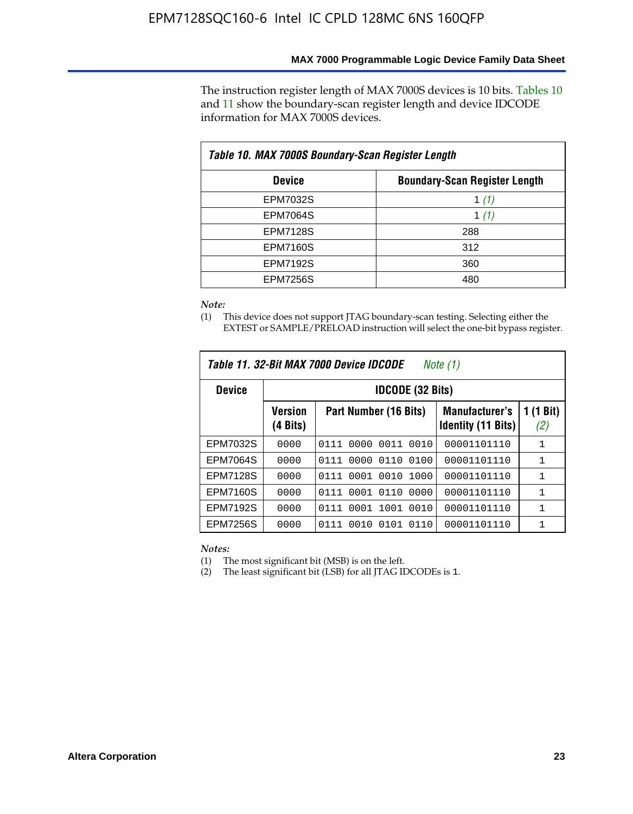The instruction register length of MAX 7000S devices is 10 bits. Tables 10 and 11 show the boundary-scan register length and device IDCODE information for MAX 7000S devices.

| Table 10. MAX 7000S Boundary-Scan Register Length |                                      |  |  |  |  |  |
|---------------------------------------------------|--------------------------------------|--|--|--|--|--|
| <b>Device</b>                                     | <b>Boundary-Scan Register Length</b> |  |  |  |  |  |
| EPM7032S                                          | 1 (1)                                |  |  |  |  |  |
| <b>EPM7064S</b>                                   | 1 $(1)$                              |  |  |  |  |  |
| <b>EPM7128S</b>                                   | 288                                  |  |  |  |  |  |
| <b>EPM7160S</b>                                   | 312                                  |  |  |  |  |  |
| <b>EPM7192S</b>                                   | 360                                  |  |  |  |  |  |
| <b>EPM7256S</b>                                   | 480                                  |  |  |  |  |  |

*Note:*

(1) This device does not support JTAG boundary-scan testing. Selecting either the EXTEST or SAMPLE/PRELOAD instruction will select the one-bit bypass register.

| Table 11, 32-Bit MAX 7000 Device IDCODE<br>Note (1) |                            |                              |                                                    |                  |  |  |  |
|-----------------------------------------------------|----------------------------|------------------------------|----------------------------------------------------|------------------|--|--|--|
| <b>Device</b>                                       |                            | <b>IDCODE (32 Bits)</b>      |                                                    |                  |  |  |  |
|                                                     | <b>Version</b><br>(4 Bits) | Part Number (16 Bits)        | <b>Manufacturer's</b><br><b>Identity (11 Bits)</b> | 1 (1 Bit)<br>(2) |  |  |  |
| EPM7032S                                            | 0000                       | 0010<br>0111<br>0000<br>0011 | 00001101110                                        | 1                |  |  |  |
| <b>EPM7064S</b>                                     | 0000                       | 0000<br>0110<br>0100<br>0111 | 00001101110                                        | 1                |  |  |  |
| <b>EPM7128S</b>                                     | 0000                       | 0001 0010<br>1000<br>0111    | 00001101110                                        | 1                |  |  |  |
| <b>EPM7160S</b>                                     | 0000                       | 0001<br>0110<br>0000<br>0111 | 00001101110                                        | $\mathbf{1}$     |  |  |  |
| <b>EPM7192S</b>                                     | 0000                       | 1001<br>0010<br>0111<br>0001 | 00001101110                                        | 1                |  |  |  |
| EPM7256S                                            | 0000                       | 0111<br>0010<br>0101<br>0110 | 00001101110                                        | 1                |  |  |  |

*Notes:*

(1) The most significant bit (MSB) is on the left.

(2) The least significant bit (LSB) for all JTAG IDCODEs is 1.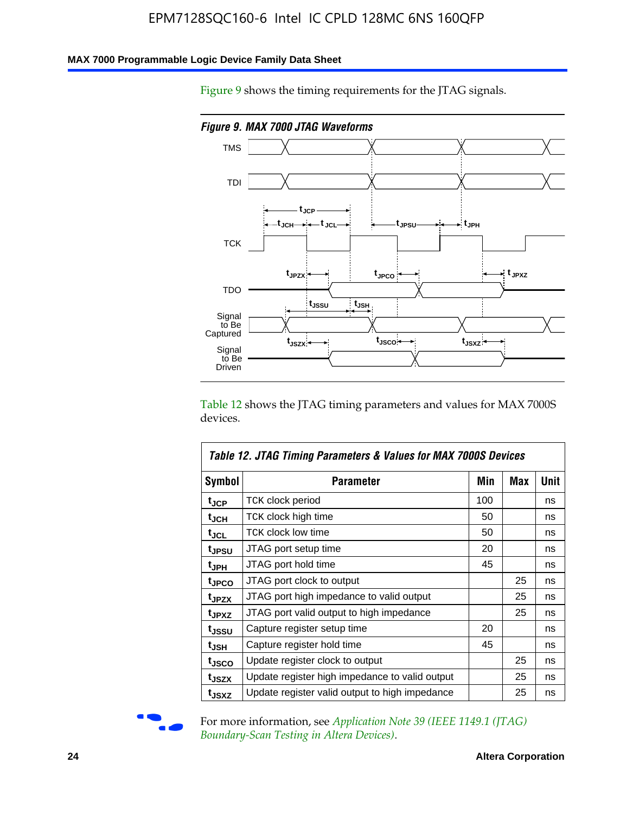### **MAX 7000 Programmable Logic Device Family Data Sheet**

Figure 9 shows the timing requirements for the JTAG signals.



Table 12 shows the JTAG timing parameters and values for MAX 7000S devices.

|                   | Table 12. JTAG Timing Parameters & Values for MAX 7000S Devices |     |     |      |
|-------------------|-----------------------------------------------------------------|-----|-----|------|
| <b>Symbol</b>     | Parameter                                                       | Min | Max | Unit |
| t <sub>JCP</sub>  | TCK clock period                                                | 100 |     | ns   |
| t <sub>JCH</sub>  | TCK clock high time                                             | 50  |     | ns   |
| tjcl              | TCK clock low time                                              | 50  |     | ns   |
| t <sub>JPSU</sub> | JTAG port setup time                                            | 20  |     | ns   |
| t <sub>JPH</sub>  | JTAG port hold time                                             | 45  |     | ns   |
| t <sub>JPCO</sub> | JTAG port clock to output                                       |     | 25  | ns   |
| t <sub>JPZX</sub> | JTAG port high impedance to valid output                        |     | 25  | ns   |
| t <sub>JPXZ</sub> | JTAG port valid output to high impedance                        |     | 25  | ns   |
| tjssu             | Capture register setup time                                     | 20  |     | ns   |
| t <sub>JSH</sub>  | Capture register hold time                                      | 45  |     | ns   |
| t <sub>JSCO</sub> | Update register clock to output                                 |     | 25  | ns   |
| t <sub>JSZX</sub> | Update register high impedance to valid output                  |     | 25  | ns   |
| t <sub>JSXZ</sub> | Update register valid output to high impedance                  |     | 25  | ns   |



For more information, see *Application Note 39 (IEEE 1149.1 (JTAG) Boundary-Scan Testing in Altera Devices)*.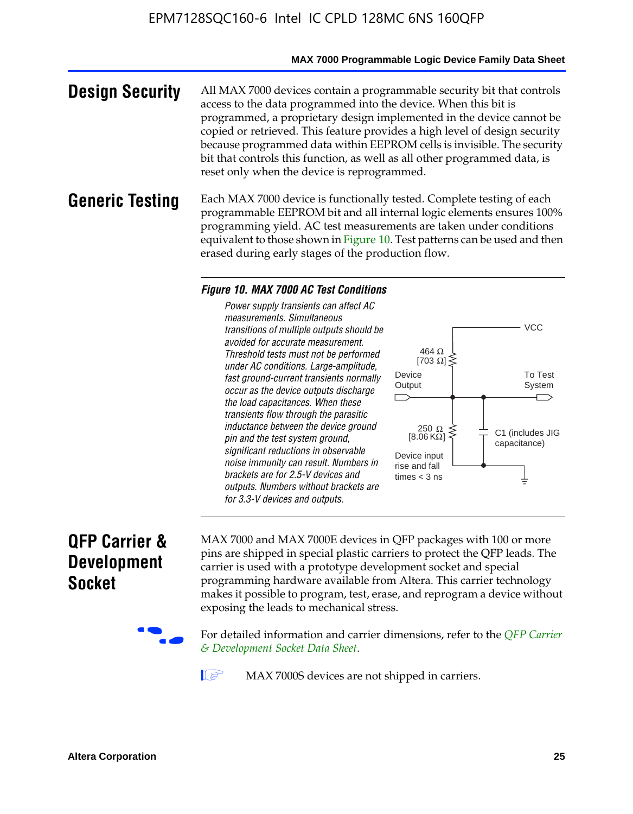#### **MAX 7000 Programmable Logic Device Family Data Sheet**

**Design Security** All MAX 7000 devices contain a programmable security bit that controls access to the data programmed into the device. When this bit is programmed, a proprietary design implemented in the device cannot be copied or retrieved. This feature provides a high level of design security because programmed data within EEPROM cells is invisible. The security bit that controls this function, as well as all other programmed data, is reset only when the device is reprogrammed.

### **Generic Testing** Each MAX 7000 device is functionally tested. Complete testing of each programmable EEPROM bit and all internal logic elements ensures 100% programming yield. AC test measurements are taken under conditions equivalent to those shown in Figure 10. Test patterns can be used and then erased during early stages of the production flow.

#### *Figure 10. MAX 7000 AC Test Conditions*

*Power supply transients can affect AC measurements. Simultaneous transitions of multiple outputs should be avoided for accurate measurement. Threshold tests must not be performed under AC conditions. Large-amplitude, fast ground-current transients normally occur as the device outputs discharge the load capacitances. When these transients flow through the parasitic inductance between the device ground pin and the test system ground, significant reductions in observable noise immunity can result. Numbers in brackets are for 2.5-V devices and outputs. Numbers without brackets are for 3.3-V devices and outputs.*



# **QFP Carrier & Development Socket**

MAX 7000 and MAX 7000E devices in QFP packages with 10[0 or more](http://www.altera.com/literature/ds/dsqfp.pdf)  [pins are shipped in special plas](http://www.altera.com/literature/ds/dsqfp.pdf)tic carriers to protect the QFP leads. The carrier is used with a prototype development socket and special programming hardware available from Altera. This carrier technology makes it possible to program, test, erase, and reprogram a device without exposing the leads to mechanical stress.

For detailed information and carrier dimensions, refer to the *QFP Carrier & Development Socket Data Sheet*.

MAX 7000S devices are not shipped in carriers.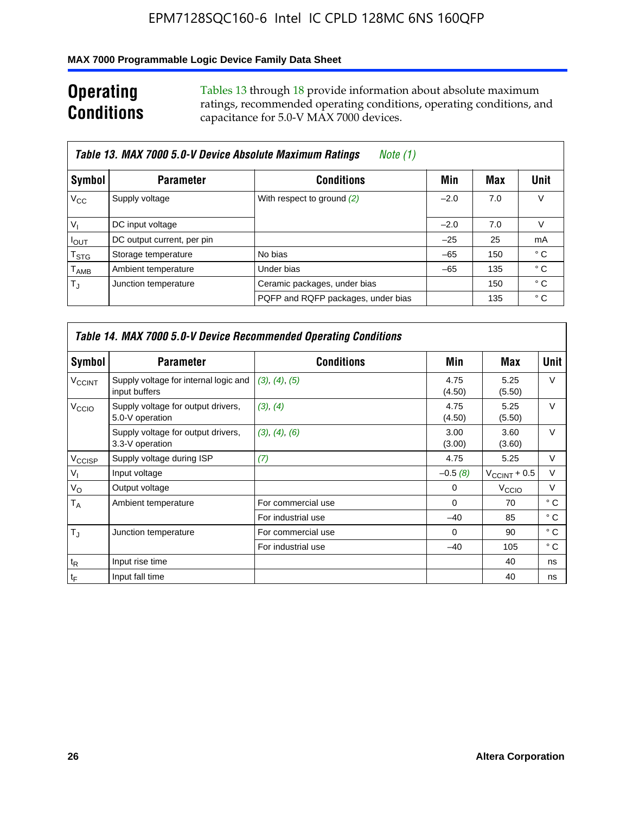## **MAX 7000 Programmable Logic Device Family Data Sheet**

# **Operating Conditions**

Tables 13 through 18 provide information about absolute maximum ratings, recommended operating conditions, operating conditions, and capacitance for 5.0-V MAX 7000 devices.

|                             | Table 13. MAX 7000 5.0-V Device Absolute Maximum Ratings | Note (1)                           |        |     |      |
|-----------------------------|----------------------------------------------------------|------------------------------------|--------|-----|------|
| Symbol                      | <b>Parameter</b>                                         | <b>Conditions</b>                  | Min    | Max | Unit |
| $V_{\rm CC}$                | Supply voltage                                           | With respect to ground (2)         | $-2.0$ | 7.0 | V    |
| $V_{1}$                     | DC input voltage                                         |                                    | $-2.0$ | 7.0 | V    |
| $I_{\text{OUT}}$            | DC output current, per pin                               |                                    | $-25$  | 25  | mA   |
| $\mathsf{T}_{\text{STG}}$   | Storage temperature                                      | No bias                            | $-65$  | 150 | ° C  |
| $\mathsf{T}_{\mathsf{AMB}}$ | Ambient temperature                                      | Under bias                         | $-65$  | 135 | ° C  |
| $T_{\rm J}$                 | Junction temperature                                     | Ceramic packages, under bias       |        | 150 | ° C  |
|                             |                                                          | PQFP and RQFP packages, under bias |        | 135 | ° C  |

|                          | <b>Table 14. MAX 7000 5.0-V Device Recommended Operating Conditions</b> |                    |                |                       |              |  |  |  |
|--------------------------|-------------------------------------------------------------------------|--------------------|----------------|-----------------------|--------------|--|--|--|
| Symbol                   | <b>Parameter</b>                                                        | <b>Conditions</b>  | Min            | Max                   | <b>Unit</b>  |  |  |  |
| <b>V<sub>CCINT</sub></b> | Supply voltage for internal logic and<br>input buffers                  | (3), (4), (5)      | 4.75<br>(4.50) | 5.25<br>(5.50)        | $\vee$       |  |  |  |
| V <sub>CCIO</sub>        | Supply voltage for output drivers,<br>5.0-V operation                   | (3), (4)           | 4.75<br>(4.50) | 5.25<br>(5.50)        | $\vee$       |  |  |  |
|                          | Supply voltage for output drivers,<br>3.3-V operation                   | (3), (4), (6)      | 3.00<br>(3.00) | 3.60<br>(3.60)        | $\vee$       |  |  |  |
| V <sub>CCISP</sub>       | Supply voltage during ISP                                               | (7)                | 4.75           | 5.25                  | V            |  |  |  |
| $V_{1}$                  | Input voltage                                                           |                    | $-0.5(8)$      | $V_{\rm CCINT}$ + 0.5 | V            |  |  |  |
| $V_{\rm O}$              | Output voltage                                                          |                    | 0              | V <sub>CCIO</sub>     | v            |  |  |  |
| T <sub>A</sub>           | Ambient temperature                                                     | For commercial use | $\Omega$       | 70                    | $^{\circ}$ C |  |  |  |
|                          |                                                                         | For industrial use | $-40$          | 85                    | $^{\circ}$ C |  |  |  |
| $T_{\rm J}$              | Junction temperature                                                    | For commercial use | $\Omega$       | 90                    | ° C          |  |  |  |
|                          |                                                                         | For industrial use | $-40$          | 105                   | ° C          |  |  |  |
| $t_{\mathsf{R}}$         | Input rise time                                                         |                    |                | 40                    | ns           |  |  |  |
| $t_{\mathsf{F}}$         | Input fall time                                                         |                    |                | 40                    | ns           |  |  |  |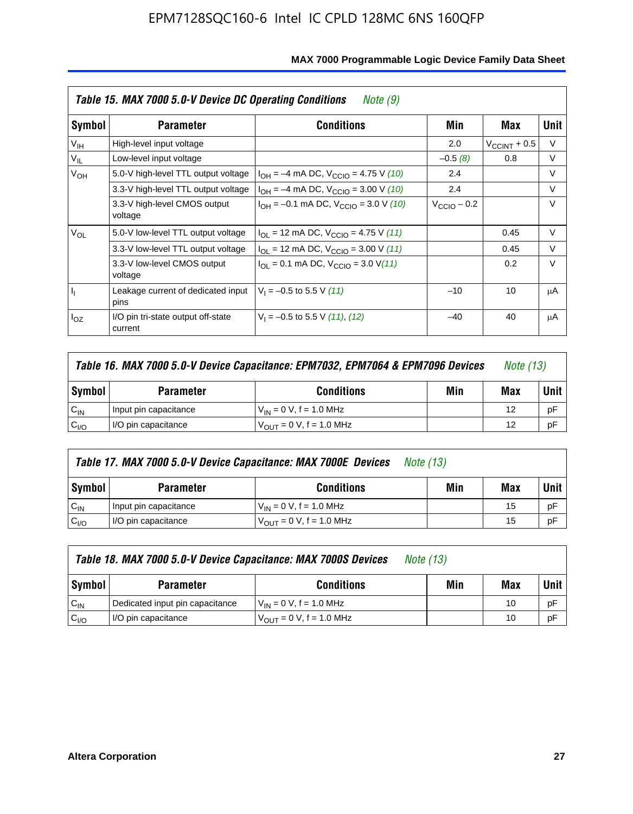|                 | Table 15. MAX 7000 5.0-V Device DC Operating Conditions<br>Note (9) |                                                                           |                         |                       |        |  |  |  |  |
|-----------------|---------------------------------------------------------------------|---------------------------------------------------------------------------|-------------------------|-----------------------|--------|--|--|--|--|
| Symbol          | <b>Parameter</b>                                                    | <b>Conditions</b>                                                         | Min                     | Max                   | Unit   |  |  |  |  |
| V <sub>IH</sub> | High-level input voltage                                            |                                                                           | 2.0                     | $V_{\rm CCINT}$ + 0.5 | V      |  |  |  |  |
| $V_{IL}$        | Low-level input voltage                                             |                                                                           | $-0.5(8)$               | 0.8                   | V      |  |  |  |  |
| $V_{OH}$        | 5.0-V high-level TTL output voltage                                 | $I_{OH} = -4$ mA DC, $V_{CClO} = 4.75$ V (10)                             | 2.4                     |                       | V      |  |  |  |  |
|                 | 3.3-V high-level TTL output voltage                                 | $I_{OH} = -4$ mA DC, $V_{CClO} = 3.00$ V (10)                             | 2.4                     |                       | V      |  |  |  |  |
|                 | 3.3-V high-level CMOS output<br>voltage                             | $I_{OH} = -0.1$ mA DC, $V_{CClO} = 3.0$ V (10)                            | $V_{\text{CClO}}$ – 0.2 |                       | $\vee$ |  |  |  |  |
| $V_{OL}$        | 5.0-V low-level TTL output voltage                                  | $I_{\text{OI}}$ = 12 mA DC, $V_{\text{CCIO}}$ = 4.75 V (11)               |                         | 0.45                  | V      |  |  |  |  |
|                 | 3.3-V low-level TTL output voltage                                  | $I_{OL}$ = 12 mA DC, $V_{CClO}$ = 3.00 V (11)                             |                         | 0.45                  | $\vee$ |  |  |  |  |
|                 | 3.3-V low-level CMOS output<br>voltage                              | $I_{\text{OI}} = 0.1 \text{ mA DC}, V_{\text{CCIO}} = 3.0 \text{ V} (11)$ |                         | 0.2                   | $\vee$ |  |  |  |  |
| h,              | Leakage current of dedicated input<br>pins                          | $V_1 = -0.5$ to 5.5 V (11)                                                | $-10$                   | 10                    | μA     |  |  |  |  |
| $I_{OZ}$        | I/O pin tri-state output off-state<br>current                       | $V_1 = -0.5$ to 5.5 V (11), (12)                                          | $-40$                   | 40                    | μA     |  |  |  |  |

|                  | Table 16. MAX 7000 5.0-V Device Capacitance: EPM7032, EPM7064 & EPM7096 Devices |                                |  |    |    |
|------------------|---------------------------------------------------------------------------------|--------------------------------|--|----|----|
| <b>Symbol</b>    | <b>Conditions</b><br>Min<br><b>Parameter</b>                                    |                                |  |    |    |
| $C_{IN}$         | Input pin capacitance                                                           | $V_{IN} = 0 V$ , f = 1.0 MHz   |  | 12 | рF |
| C <sub>I/O</sub> | I/O pin capacitance                                                             | $V_{OUIT} = 0 V$ , f = 1.0 MHz |  | 12 | рF |

|                  | Table 17. MAX 7000 5.0-V Device Capacitance: MAX 7000E Devices | <i>Note (13)</i>               |     |     |        |
|------------------|----------------------------------------------------------------|--------------------------------|-----|-----|--------|
| Symbol           | <b>Parameter</b>                                               | <b>Conditions</b>              | Min | Max | Unit I |
| $C_{IN}$         | Input pin capacitance                                          | $V_{1N} = 0 V$ , f = 1.0 MHz   |     | 15  | pF     |
| C <sub>I/O</sub> | I/O pin capacitance                                            | $V_{OIII} = 0 V$ , f = 1.0 MHz |     | 15  | pF     |

|                  | Table 18. MAX 7000 5.0-V Device Capacitance: MAX 7000S Devices | <i>Note (13)</i>                    |     |     |        |
|------------------|----------------------------------------------------------------|-------------------------------------|-----|-----|--------|
| Symbol           | <b>Parameter</b>                                               | <b>Conditions</b>                   | Min | Max | Unit I |
| $C_{IN}$         | Dedicated input pin capacitance                                | $V_{IN} = 0 V$ , f = 1.0 MHz        |     | 10  | pF     |
| C <sub>I/O</sub> | I/O pin capacitance                                            | $V_{\text{OUT}} = 0 V, f = 1.0 MHz$ |     | 10  | pF     |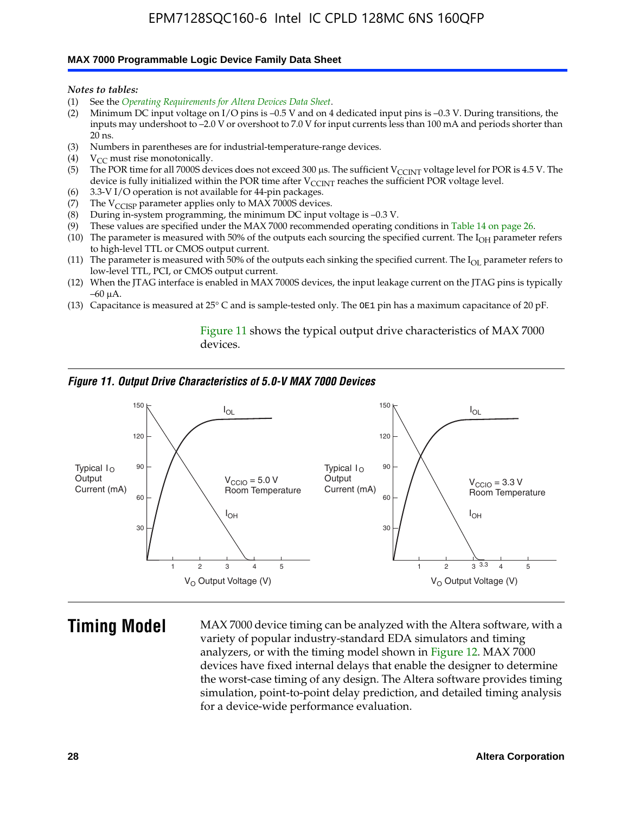#### **MAX 7000 Programmable Logic Device Family Data Sheet**

*Notes to tables:*

- (1) See the *Operating Requirements for Altera Devices Data Sheet*.
- (2) Minimum DC input voltage on I/O pins is –0.5 V and on 4 dedicated input pins is –0.3 V. During transitions, the inputs may undershoot to –2.0 V or overshoot to 7.0 V for input currents less than 100 mA and periods shorter than  $20$  ns.
- (3) Numbers in parentheses are for industrial-temperature-range devices.<br>(4)  $V_{CC}$  must rise monotonically.
- $V_{CC}$  must rise monotonically.
- (5) The POR time for all 7000S devices does not exceed 300 µs. The sufficient V<sub>CCINT</sub> voltage level for POR is 4.5 V. The device is fully initialized within the POR time after  $V_{\text{CCINT}}$  reaches the sufficient POR voltage level.
- (6) 3.3-V I/O operation is not available for 44-pin packages.
- (7) The  $V_{\text{CCISP}}$  parameter applies only to MAX 7000S devices.
- (8) During in-system programming, the minimum DC input voltage is –0.3 V.
- (9) These values are specified under the MAX 7000 recommended operating conditions in Table 14 on page 26.
- (10) The parameter is measured with 50% of the outputs each sourcing the specified current. The  $I_{OH}$  parameter refers to high-level TTL or CMOS output current.
- (11) The parameter is measured with 50% of the outputs each sinking the specified current. The  $I_{OL}$  parameter refers to low-level TTL, PCI, or CMOS output current.
- (12) When the JTAG interface is enabled in MAX 7000S devices, the input leakage current on the JTAG pins is typically –60 μA.
- (13) Capacitance is measured at 25° C and is sample-tested only. The OE1 pin has a maximum capacitance of 20 pF.

Figure 11 shows the typical output drive characteristics of MAX 7000 devices.

#### *Figure 11. Output Drive Characteristics of 5.0-V MAX 7000 Devices*



**Timing Model** MAX 7000 device timing can be analyzed with the Altera software, with a variety of popular industry-standard EDA simulators and timing analyzers, or with the timing model shown in Figure 12. MAX 7000 devices have fixed internal delays that enable the designer to determine the worst-case timing of any design. The Altera software provides timing simulation, point-to-point delay prediction, and detailed timing analysis for a device-wide performance evaluation.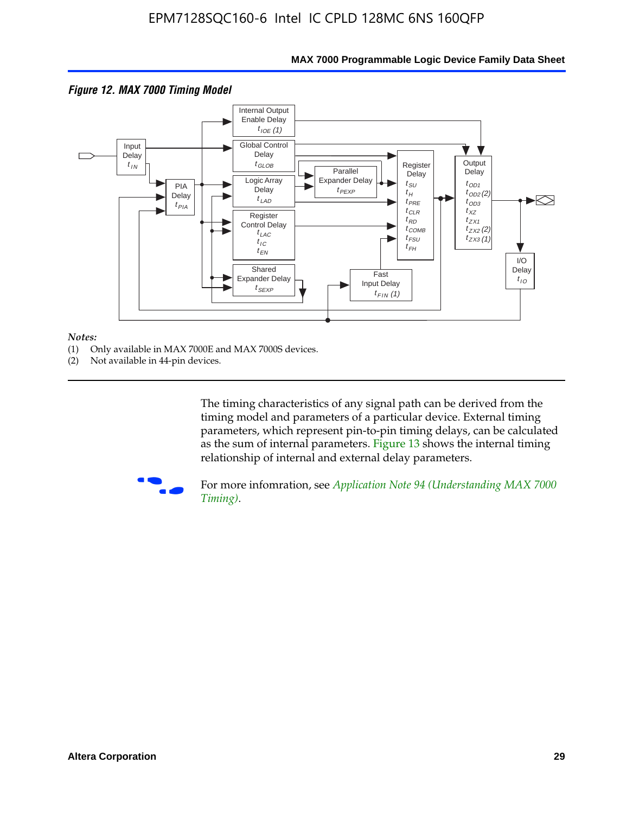

### **MAX 7000 Programmable Logic Device Family Data Sheet**

#### *Notes:*

- (1) Only available in MAX 7000E and MAX 7000S devices.
- (2) Not available in 44-pin devices.

[The tim](http://www.altera.com/literature/an/an094.pdf)ing characteristics [of any signal path can be derived from the](http://www.altera.com/literature/an/an094.pdf)  timing model and parameters of a particular device. External timing parameters, which represent pin-to-pin timing delays, can be calculated as the sum of internal parameters. Figure 13 shows the internal timing relationship of internal and external delay parameters.



For more infomration, see *Application Note 94 (Understanding MAX 7000 Timing)*.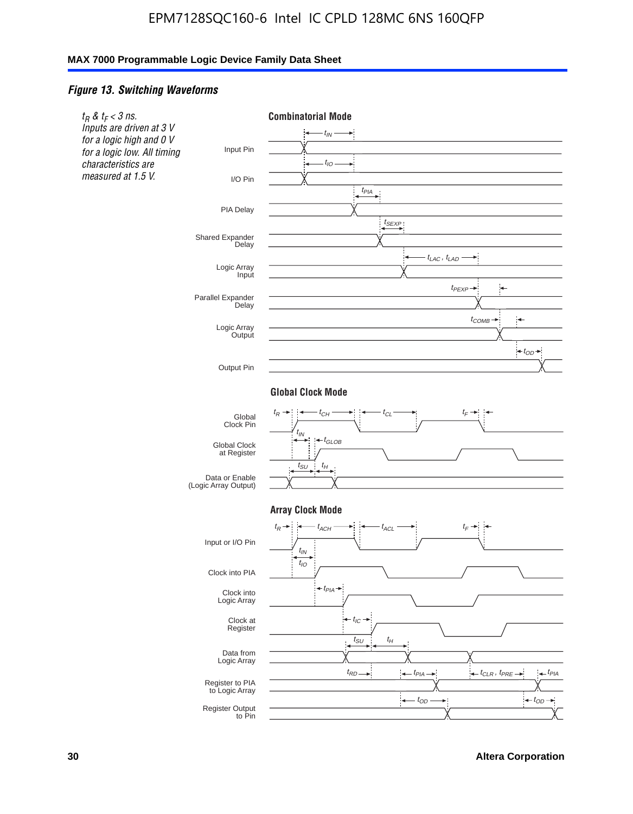### *Figure 13. Switching Waveforms*

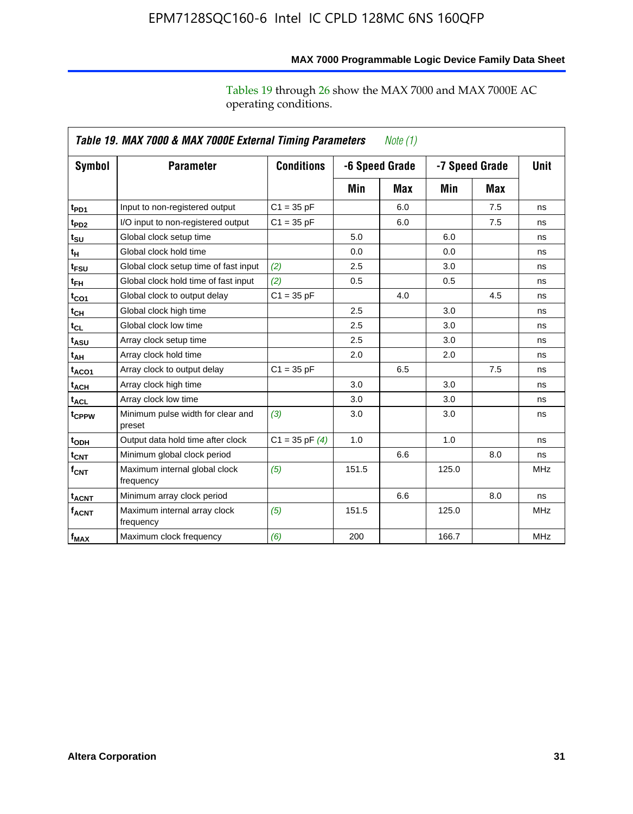operating conditions.

|                               | Table 19. MAX 7000 & MAX 7000E External Timing Parameters<br>Note $(1)$ |                    |       |                |       |                |            |  |
|-------------------------------|-------------------------------------------------------------------------|--------------------|-------|----------------|-------|----------------|------------|--|
| Symbol                        | <b>Parameter</b>                                                        | <b>Conditions</b>  |       | -6 Speed Grade |       | -7 Speed Grade |            |  |
|                               |                                                                         |                    | Min   | Max            | Min   | Max            |            |  |
| t <sub>PD1</sub>              | Input to non-registered output                                          | $C1 = 35 pF$       |       | 6.0            |       | 7.5            | ns         |  |
| t <sub>PD2</sub>              | I/O input to non-registered output                                      | $C1 = 35 pF$       |       | 6.0            |       | 7.5            | ns         |  |
| $\mathfrak{t}_{\texttt{SU}}$  | Global clock setup time                                                 |                    | 5.0   |                | 6.0   |                | ns         |  |
| tμ                            | Global clock hold time                                                  |                    | 0.0   |                | 0.0   |                | ns         |  |
| t <sub>FSU</sub>              | Global clock setup time of fast input                                   | (2)                | 2.5   |                | 3.0   |                | ns         |  |
| t <sub>FH</sub>               | Global clock hold time of fast input                                    | (2)                | 0.5   |                | 0.5   |                | ns         |  |
| t <sub>CO1</sub>              | Global clock to output delay                                            | $C1 = 35 pF$       |       | 4.0            |       | 4.5            | ns         |  |
| $\mathfrak{t}_{\textsf{CH}}$  | Global clock high time                                                  |                    | 2.5   |                | 3.0   |                | ns         |  |
| $t_{CL}$                      | Global clock low time                                                   |                    | 2.5   |                | 3.0   |                | ns         |  |
| t <sub>ASU</sub>              | Array clock setup time                                                  |                    | 2.5   |                | 3.0   |                | ns         |  |
| t <sub>АН</sub>               | Array clock hold time                                                   |                    | 2.0   |                | 2.0   |                | ns         |  |
| t <sub>ACO1</sub>             | Array clock to output delay                                             | $C1 = 35 pF$       |       | 6.5            |       | 7.5            | ns         |  |
| <sup>t</sup> ach              | Array clock high time                                                   |                    | 3.0   |                | 3.0   |                | ns         |  |
| $t_{\sf ACL}$                 | Array clock low time                                                    |                    | 3.0   |                | 3.0   |                | ns         |  |
| t <sub>CPPW</sub>             | Minimum pulse width for clear and<br>preset                             | (3)                | 3.0   |                | 3.0   |                | ns         |  |
| t <sub>ODH</sub>              | Output data hold time after clock                                       | $C1 = 35$ pF $(4)$ | 1.0   |                | 1.0   |                | ns         |  |
| $\mathfrak{t}_{\textsf{CNT}}$ | Minimum global clock period                                             |                    |       | 6.6            |       | 8.0            | ns         |  |
| $f_{\text{CNT}}$              | Maximum internal global clock<br>frequency                              | (5)                | 151.5 |                | 125.0 |                | <b>MHz</b> |  |
| <b>t<sub>ACNT</sub></b>       | Minimum array clock period                                              |                    |       | 6.6            |       | 8.0            | ns         |  |
| $f_{ACNT}$                    | Maximum internal array clock<br>frequency                               | (5)                | 151.5 |                | 125.0 |                | <b>MHz</b> |  |
| f <sub>MAX</sub>              | Maximum clock frequency                                                 | (6)                | 200   |                | 166.7 |                | <b>MHz</b> |  |

### **MAX 7000 Programmable Logic Device Family Data Sheet**

Tables 19 through 26 show the MAX 7000 and MAX 7000E AC

**Altera Corporation 31**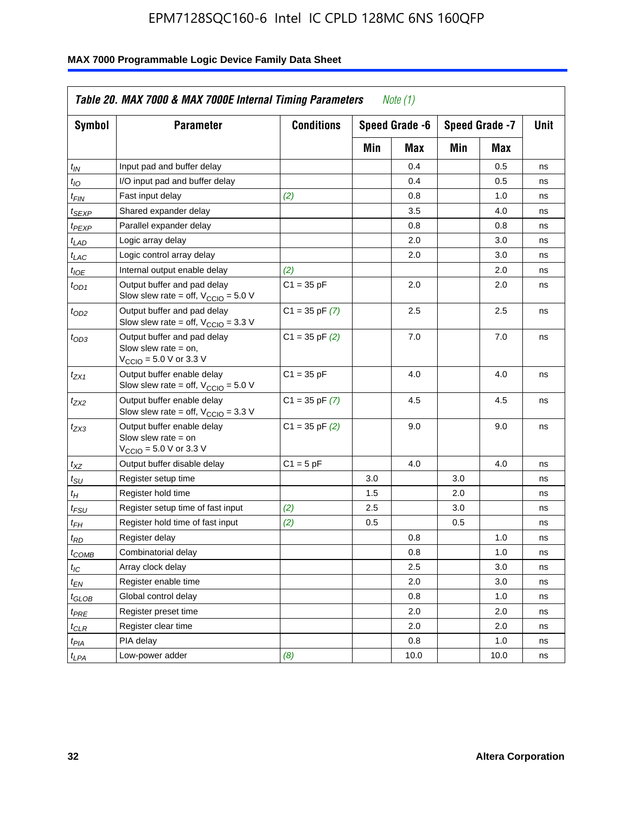| <b>Symbol</b>               | <b>Parameter</b>                                                                                             | <b>Conditions</b>  |     | Speed Grade -6 |     | Speed Grade -7 | Unit |
|-----------------------------|--------------------------------------------------------------------------------------------------------------|--------------------|-----|----------------|-----|----------------|------|
|                             |                                                                                                              |                    | Min | Max            | Min | Max            |      |
| $t_{IN}$                    | Input pad and buffer delay                                                                                   |                    |     | 0.4            |     | 0.5            | ns   |
| $t_{IO}$                    | I/O input pad and buffer delay                                                                               |                    |     | 0.4            |     | 0.5            | ns   |
| $t_{FIN}$                   | Fast input delay                                                                                             | (2)                |     | 0.8            |     | 1.0            | ns   |
| <sup>t</sup> SEXP           | Shared expander delay                                                                                        |                    |     | 3.5            |     | 4.0            | ns   |
| t <sub>PEXP</sub>           | Parallel expander delay                                                                                      |                    |     | 0.8            |     | 0.8            | ns   |
| $t_{LAD}$                   | Logic array delay                                                                                            |                    |     | 2.0            |     | 3.0            | ns   |
| $t_{LAC}$                   | Logic control array delay                                                                                    |                    |     | 2.0            |     | 3.0            | ns   |
| $t_{IOE}$                   | Internal output enable delay                                                                                 | (2)                |     |                |     | 2.0            | ns   |
| $t_{OD1}$                   | Output buffer and pad delay<br>Slow slew rate = off, $V_{\text{CCIO}} = 5.0 V$                               | $C1 = 35 pF$       |     | 2.0            |     | 2.0            | ns   |
| $t_{OD2}$                   | Output buffer and pad delay<br>Slow slew rate = off, $V_{\text{CCIO}} = 3.3$ V                               | $C1 = 35$ pF $(7)$ |     | 2.5            |     | 2.5            | ns   |
| $t_{OD3}$                   | Output buffer and pad delay<br>Slow slew rate $=$ on,<br>$V_{\text{CCIO}} = 5.0 \text{ V or } 3.3 \text{ V}$ | $C1 = 35$ pF $(2)$ |     | 7.0            |     | 7.0            | ns   |
| $t_{ZX1}$                   | Output buffer enable delay<br>Slow slew rate = off, $V_{\text{CCIO}} = 5.0 V$                                | $C1 = 35 pF$       |     | 4.0            |     | 4.0            | ns   |
| $t_{ZX2}$                   | Output buffer enable delay<br>Slow slew rate = off, $V_{\text{CCIO}} = 3.3 \text{ V}$                        | $C1 = 35$ pF $(7)$ |     | 4.5            |     | 4.5            | ns   |
| t <sub>ZX3</sub>            | Output buffer enable delay<br>Slow slew rate $=$ on<br>$V_{\text{CCIO}} = 5.0 \text{ V or } 3.3 \text{ V}$   | $C1 = 35$ pF $(2)$ |     | 9.0            |     | 9.0            | ns   |
| $t_{\text{XZ}}$             | Output buffer disable delay                                                                                  | $C1 = 5pF$         |     | 4.0            |     | 4.0            | ns   |
| $t_{\scriptstyle\text{SU}}$ | Register setup time                                                                                          |                    | 3.0 |                | 3.0 |                | ns   |
| $t_H$                       | Register hold time                                                                                           |                    | 1.5 |                | 2.0 |                | ns   |
| t <sub>FSU</sub>            | Register setup time of fast input                                                                            | (2)                | 2.5 |                | 3.0 |                | ns   |
| $t_{FH}$                    | Register hold time of fast input                                                                             | (2)                | 0.5 |                | 0.5 |                | ns   |
| t <sub>RD</sub>             | Register delay                                                                                               |                    |     | 0.8            |     | 1.0            | ns   |
| $t_{\mathsf{COMB}}$         | Combinatorial delay                                                                                          |                    |     | 0.8            |     | 1.0            | ns   |
| $t_{IC}$                    | Array clock delay                                                                                            |                    |     | 2.5            |     | 3.0            | ns   |
| $t_{EN}$                    | Register enable time                                                                                         |                    |     | 2.0            |     | 3.0            | ns   |
| t <sub>GLOB</sub>           | Global control delay                                                                                         |                    |     | 0.8            |     | 1.0            | ns   |
| $t_{PRE}$                   | Register preset time                                                                                         |                    |     | 2.0            |     | 2.0            | ns   |
| $t_{\sf CLR}$               | Register clear time                                                                                          |                    |     | 2.0            |     | 2.0            | ns   |
| $t_{PIA}$                   | PIA delay                                                                                                    |                    |     | 0.8            |     | 1.0            | ns   |
| $t_{LPA}$                   | Low-power adder                                                                                              | (8)                |     | 10.0           |     | 10.0           | ns   |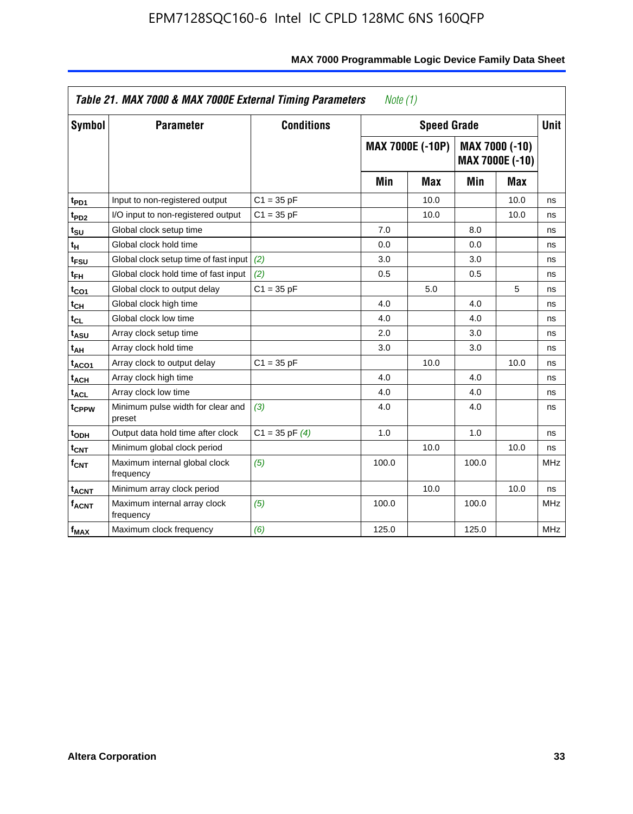| <b>Symbol</b>           | <b>Parameter</b>                            | <b>Conditions</b>  |       | <b>Speed Grade</b>      |       |                                   | <b>Unit</b> |
|-------------------------|---------------------------------------------|--------------------|-------|-------------------------|-------|-----------------------------------|-------------|
|                         |                                             |                    |       | <b>MAX 7000E (-10P)</b> |       | MAX 7000 (-10)<br>MAX 7000E (-10) |             |
|                         |                                             |                    | Min   | Max                     | Min   | Max                               |             |
| t <sub>PD1</sub>        | Input to non-registered output              | $C1 = 35 pF$       |       | 10.0                    |       | 10.0                              | ns          |
| t <sub>PD2</sub>        | I/O input to non-registered output          | $C1 = 35 pF$       |       | 10.0                    |       | 10.0                              | ns          |
| t <sub>su</sub>         | Global clock setup time                     |                    | 7.0   |                         | 8.0   |                                   | ns          |
| tμ                      | Global clock hold time                      |                    | 0.0   |                         | 0.0   |                                   | ns          |
| t <sub>FSU</sub>        | Global clock setup time of fast input (2)   |                    | 3.0   |                         | 3.0   |                                   | ns          |
| t <sub>FH</sub>         | Global clock hold time of fast input        | (2)                | 0.5   |                         | 0.5   |                                   | ns          |
| t <sub>CO1</sub>        | Global clock to output delay                | $C1 = 35 pF$       |       | 5.0                     |       | 5                                 | ns          |
| $t_{\mathsf{CH}}$       | Global clock high time                      |                    | 4.0   |                         | 4.0   |                                   | ns          |
| t <sub>CL</sub>         | Global clock low time                       |                    | 4.0   |                         | 4.0   |                                   | ns          |
| t <sub>ASU</sub>        | Array clock setup time                      |                    | 2.0   |                         | 3.0   |                                   | ns          |
| t <sub>АН</sub>         | Array clock hold time                       |                    | 3.0   |                         | 3.0   |                                   | ns          |
| t <sub>ACO1</sub>       | Array clock to output delay                 | $C1 = 35 pF$       |       | 10.0                    |       | 10.0                              | ns          |
| t <sub>ACH</sub>        | Array clock high time                       |                    | 4.0   |                         | 4.0   |                                   | ns          |
| $t_{\sf ACL}$           | Array clock low time                        |                    | 4.0   |                         | 4.0   |                                   | ns          |
| t <sub>CPPW</sub>       | Minimum pulse width for clear and<br>preset | (3)                | 4.0   |                         | 4.0   |                                   | ns          |
| t <sub>ODH</sub>        | Output data hold time after clock           | $C1 = 35$ pF $(4)$ | 1.0   |                         | 1.0   |                                   | ns          |
| $t_{\mathsf{CNT}}$      | Minimum global clock period                 |                    |       | 10.0                    |       | 10.0                              | ns          |
| $f_{\mathsf{CNT}}$      | Maximum internal global clock<br>frequency  | (5)                | 100.0 |                         | 100.0 |                                   | <b>MHz</b>  |
| <b>t<sub>ACNT</sub></b> | Minimum array clock period                  |                    |       | 10.0                    |       | 10.0                              | ns          |
| f <sub>ACNT</sub>       | Maximum internal array clock<br>frequency   | (5)                | 100.0 |                         | 100.0 |                                   | <b>MHz</b>  |
| f <sub>MAX</sub>        | Maximum clock frequency                     | (6)                | 125.0 |                         | 125.0 |                                   | <b>MHz</b>  |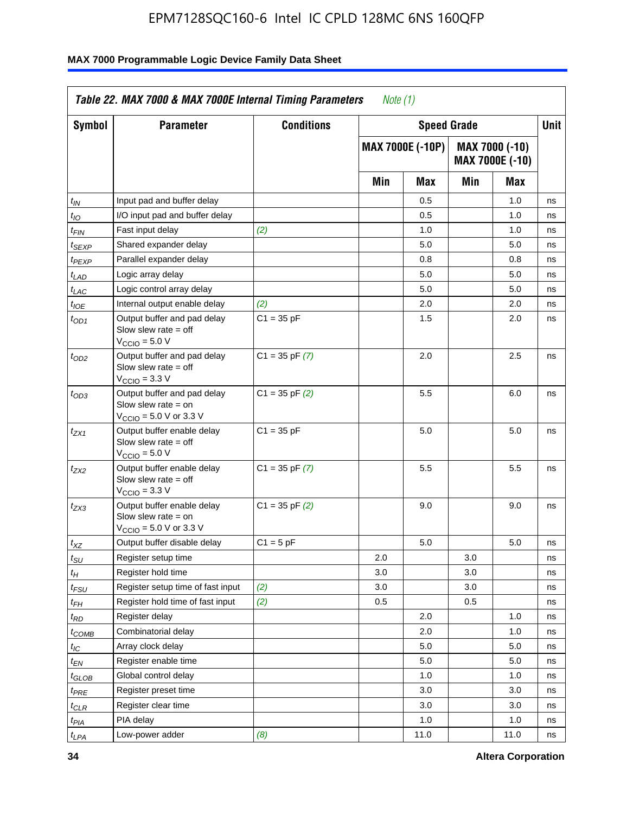| Symbol            | <b>Parameter</b>                                                                                            | <b>Conditions</b>  |     | <b>Speed Grade</b>      |     |                                   | Unit |
|-------------------|-------------------------------------------------------------------------------------------------------------|--------------------|-----|-------------------------|-----|-----------------------------------|------|
|                   |                                                                                                             |                    |     | <b>MAX 7000E (-10P)</b> |     | MAX 7000 (-10)<br>MAX 7000E (-10) |      |
|                   |                                                                                                             |                    | Min | Max                     | Min | Max                               |      |
| $t_{IN}$          | Input pad and buffer delay                                                                                  |                    |     | 0.5                     |     | 1.0                               | ns   |
| $t_{IO}$          | I/O input pad and buffer delay                                                                              |                    |     | 0.5                     |     | 1.0                               | ns   |
| t <sub>FIN</sub>  | Fast input delay                                                                                            | (2)                |     | 1.0                     |     | 1.0                               | ns   |
| <sup>t</sup> SEXP | Shared expander delay                                                                                       |                    |     | 5.0                     |     | 5.0                               | ns   |
| t <sub>PEXP</sub> | Parallel expander delay                                                                                     |                    |     | 0.8                     |     | 0.8                               | ns   |
| $t_{LAD}$         | Logic array delay                                                                                           |                    |     | 5.0                     |     | 5.0                               | ns   |
| $t_{LAC}$         | Logic control array delay                                                                                   |                    |     | 5.0                     |     | 5.0                               | ns   |
| $t_{IOE}$         | Internal output enable delay                                                                                | (2)                |     | 2.0                     |     | 2.0                               | ns   |
| $t_{OD1}$         | Output buffer and pad delay<br>Slow slew rate $=$ off<br>$VCCIO = 5.0 V$                                    | $C1 = 35 pF$       |     | 1.5                     |     | 2.0                               | ns   |
| $t_{OD2}$         | Output buffer and pad delay<br>Slow slew rate = off<br>$VCCIO = 3.3 V$                                      | $C1 = 35$ pF $(7)$ |     | 2.0                     |     | 2.5                               | ns   |
| $t_{OD3}$         | Output buffer and pad delay<br>Slow slew rate $=$ on<br>$V_{\text{CCIO}} = 5.0 \text{ V or } 3.3 \text{ V}$ | $C1 = 35$ pF $(2)$ |     | 5.5                     |     | 6.0                               | ns   |
| $t_{ZX1}$         | Output buffer enable delay<br>Slow slew rate $=$ off<br>$VCCIO = 5.0 V$                                     | $C1 = 35 pF$       |     | 5.0                     |     | 5.0                               | ns   |
| t <sub>ZX2</sub>  | Output buffer enable delay<br>Slow slew rate $=$ off<br>$V_{\text{CCIO}} = 3.3 \text{ V}$                   | $C1 = 35$ pF $(7)$ |     | 5.5                     |     | 5.5                               | ns   |
| t <sub>ZX3</sub>  | Output buffer enable delay<br>Slow slew rate $=$ on<br>$V_{\text{CCIO}} = 5.0 \text{ V or } 3.3 \text{ V}$  | $C1 = 35$ pF $(2)$ |     | 9.0                     |     | 9.0                               | ns   |
| $t_{XZ}$          | Output buffer disable delay                                                                                 | $C1 = 5$ pF        |     | 5.0                     |     | 5.0                               | ns   |
| $t_{\sf SU}$      | Register setup time                                                                                         |                    | 2.0 |                         | 3.0 |                                   | ns   |
| $t_H$             | Register hold time                                                                                          |                    | 3.0 |                         | 3.0 |                                   | ns   |
| t <sub>FSU</sub>  | Register setup time of fast input                                                                           | (2)                | 3.0 |                         | 3.0 |                                   | ns   |
| $t_{FH}$          | Register hold time of fast input                                                                            | (2)                | 0.5 |                         | 0.5 |                                   | ns   |
| $t_{RD}$          | Register delay                                                                                              |                    |     | 2.0                     |     | 1.0                               | ns   |
| $t_{COMB}$        | Combinatorial delay                                                                                         |                    |     | 2.0                     |     | 1.0                               | ns   |
| $I_{\textrm{IC}}$ | Array clock delay                                                                                           |                    |     | 5.0                     |     | 5.0                               | ns   |
| $t_{EN}$          | Register enable time                                                                                        |                    |     | 5.0                     |     | 5.0                               | ns   |
| $t_{GLOB}$        | Global control delay                                                                                        |                    |     | 1.0                     |     | 1.0                               | ns   |
| $t_{PRE}$         | Register preset time                                                                                        |                    |     | 3.0                     |     | 3.0                               | ns   |
| $t_{CLR}$         | Register clear time                                                                                         |                    |     | 3.0                     |     | 3.0                               | ns   |
| $t_{PIA}$         | PIA delay                                                                                                   |                    |     | 1.0                     |     | 1.0                               | ns   |
| $t_{LPA}$         | Low-power adder                                                                                             | (8)                |     | 11.0                    |     | 11.0                              | ns   |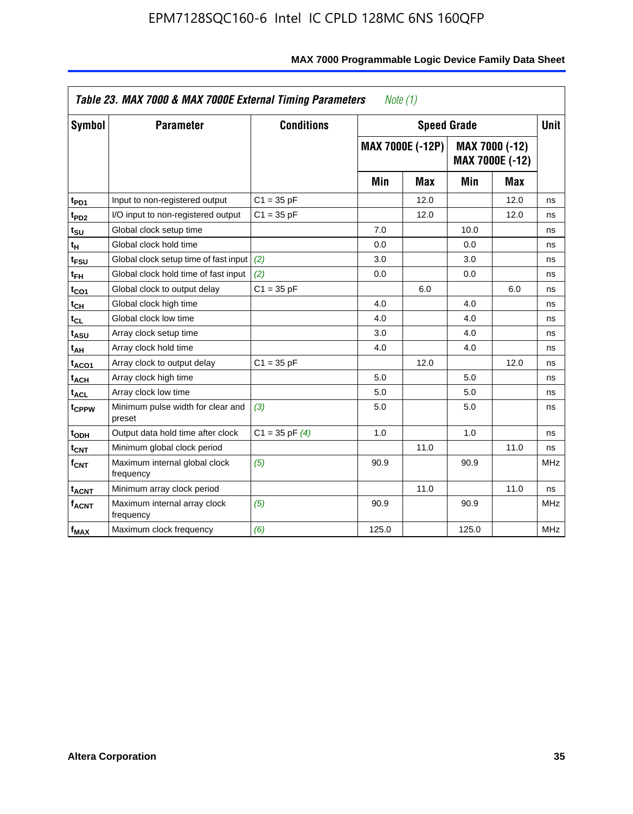|                         | Table 23. MAX 7000 & MAX 7000E External Timing Parameters |                    | Note (1) |                         |       |                                   |             |
|-------------------------|-----------------------------------------------------------|--------------------|----------|-------------------------|-------|-----------------------------------|-------------|
| <b>Symbol</b>           | <b>Parameter</b>                                          | <b>Conditions</b>  |          | <b>Speed Grade</b>      |       |                                   | <b>Unit</b> |
|                         |                                                           |                    |          | <b>MAX 7000E (-12P)</b> |       | MAX 7000 (-12)<br>MAX 7000E (-12) |             |
|                         |                                                           |                    | Min      | Max                     | Min   | Max                               |             |
| t <sub>PD1</sub>        | Input to non-registered output                            | $C1 = 35 pF$       |          | 12.0                    |       | 12.0                              | ns          |
| t <sub>PD2</sub>        | I/O input to non-registered output                        | $C1 = 35 pF$       |          | 12.0                    |       | 12.0                              | ns          |
| t <sub>su</sub>         | Global clock setup time                                   |                    | 7.0      |                         | 10.0  |                                   | ns          |
| tμ                      | Global clock hold time                                    |                    | 0.0      |                         | 0.0   |                                   | ns          |
| t <sub>FSU</sub>        | Global clock setup time of fast input                     | (2)                | 3.0      |                         | 3.0   |                                   | ns          |
| $t_{FH}$                | Global clock hold time of fast input                      | (2)                | 0.0      |                         | 0.0   |                                   | ns          |
| t <sub>CO1</sub>        | Global clock to output delay                              | $C1 = 35 pF$       |          | 6.0                     |       | 6.0                               | ns          |
| $t_{\mathsf{CH}}$       | Global clock high time                                    |                    | 4.0      |                         | 4.0   |                                   | ns          |
| $t_{CL}$                | Global clock low time                                     |                    | 4.0      |                         | 4.0   |                                   | ns          |
| t <sub>ASU</sub>        | Array clock setup time                                    |                    | 3.0      |                         | 4.0   |                                   | ns          |
| t <sub>АН</sub>         | Array clock hold time                                     |                    | 4.0      |                         | 4.0   |                                   | ns          |
| t <sub>ACO1</sub>       | Array clock to output delay                               | $C1 = 35 pF$       |          | 12.0                    |       | 12.0                              | ns          |
| t <sub>ACH</sub>        | Array clock high time                                     |                    | 5.0      |                         | 5.0   |                                   | ns          |
| t <sub>ACL</sub>        | Array clock low time                                      |                    | 5.0      |                         | 5.0   |                                   | ns          |
| t <sub>CPPW</sub>       | Minimum pulse width for clear and<br>preset               | (3)                | 5.0      |                         | 5.0   |                                   | ns          |
| t <sub>ODH</sub>        | Output data hold time after clock                         | $C1 = 35$ pF $(4)$ | 1.0      |                         | 1.0   |                                   | ns          |
| $t_{\mathsf{CNT}}$      | Minimum global clock period                               |                    |          | 11.0                    |       | 11.0                              | ns          |
| $f_{\mathsf{CNT}}$      | Maximum internal global clock<br>frequency                | (5)                | 90.9     |                         | 90.9  |                                   | <b>MHz</b>  |
| <b>t<sub>ACNT</sub></b> | Minimum array clock period                                |                    |          | 11.0                    |       | 11.0                              | ns          |
| $f_{ACNT}$              | Maximum internal array clock<br>frequency                 | (5)                | 90.9     |                         | 90.9  |                                   | <b>MHz</b>  |
| f <sub>MAX</sub>        | Maximum clock frequency                                   | (6)                | 125.0    |                         | 125.0 |                                   | <b>MHz</b>  |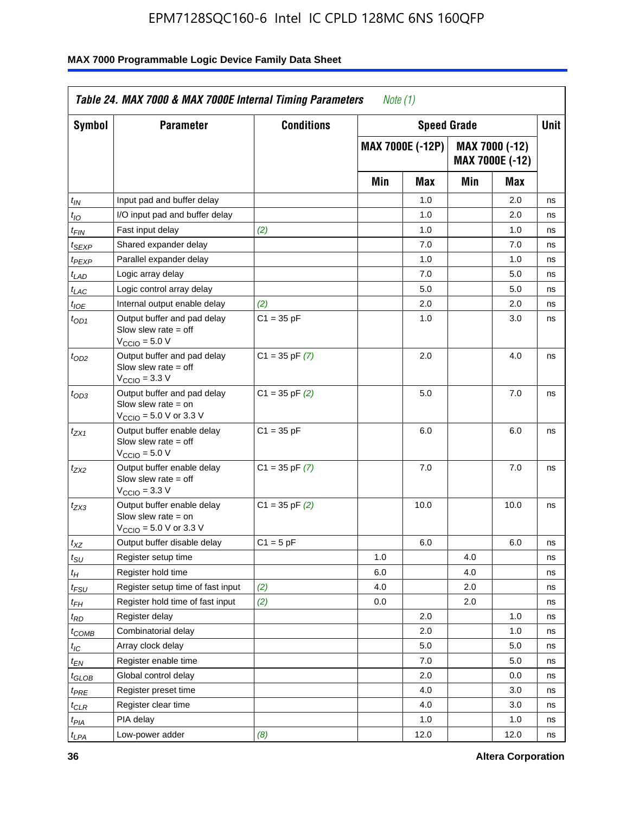| Symbol                      | <b>Parameter</b>                                                                                            | <b>Conditions</b>  |     | <b>Speed Grade</b>      |     |                                   | <b>Unit</b> |
|-----------------------------|-------------------------------------------------------------------------------------------------------------|--------------------|-----|-------------------------|-----|-----------------------------------|-------------|
|                             |                                                                                                             |                    |     | <b>MAX 7000E (-12P)</b> |     | MAX 7000 (-12)<br>MAX 7000E (-12) |             |
|                             |                                                                                                             |                    | Min | <b>Max</b>              | Min | Max                               |             |
| $t_{IN}$                    | Input pad and buffer delay                                                                                  |                    |     | 1.0                     |     | 2.0                               | ns          |
| $t_{IO}$                    | I/O input pad and buffer delay                                                                              |                    |     | 1.0                     |     | 2.0                               | ns          |
| $t_{FIN}$                   | Fast input delay                                                                                            | (2)                |     | 1.0                     |     | 1.0                               | ns          |
| t <sub>SEXP</sub>           | Shared expander delay                                                                                       |                    |     | 7.0                     |     | 7.0                               | ns          |
| t <sub>PEXP</sub>           | Parallel expander delay                                                                                     |                    |     | 1.0                     |     | 1.0                               | ns          |
| t <sub>LAD</sub>            | Logic array delay                                                                                           |                    |     | 7.0                     |     | 5.0                               | ns          |
| $t_{LAC}$                   | Logic control array delay                                                                                   |                    |     | 5.0                     |     | 5.0                               | ns          |
| $t_{IOE}$                   | Internal output enable delay                                                                                | (2)                |     | 2.0                     |     | 2.0                               | ns          |
| $t_{OD1}$                   | Output buffer and pad delay<br>Slow slew rate $=$ off<br>$V_{\text{CCIO}} = 5.0 V$                          | $C1 = 35 pF$       |     | 1.0                     |     | 3.0                               | ns          |
| $t_{OD2}$                   | Output buffer and pad delay<br>Slow slew rate $=$ off<br>$VCCIO = 3.3 V$                                    | $C1 = 35$ pF $(7)$ |     | 2.0                     |     | 4.0                               | ns          |
| $t_{OD3}$                   | Output buffer and pad delay<br>Slow slew rate $=$ on<br>$V_{\text{CCIO}} = 5.0 \text{ V or } 3.3 \text{ V}$ | $C1 = 35$ pF $(2)$ |     | 5.0                     |     | 7.0                               | ns          |
| $t_{ZX1}$                   | Output buffer enable delay<br>Slow slew rate $=$ off<br>$V_{\text{CCIO}} = 5.0 V$                           | $C1 = 35 pF$       |     | 6.0                     |     | 6.0                               | ns          |
| $t_{ZX2}$                   | Output buffer enable delay<br>Slow slew rate $=$ off<br>$V_{\rm CClO}$ = 3.3 V                              | $C1 = 35$ pF $(7)$ |     | 7.0                     |     | 7.0                               | ns          |
| $t_{ZX3}$                   | Output buffer enable delay<br>Slow slew rate $=$ on<br>$V_{\text{CCIO}} = 5.0 \text{ V or } 3.3 \text{ V}$  | $C1 = 35$ pF $(2)$ |     | 10.0                    |     | 10.0                              | ns          |
| $t_{\mathsf{XZ}}$           | Output buffer disable delay                                                                                 | $C1 = 5$ pF        |     | 6.0                     |     | 6.0                               | ns          |
| $t_{\scriptstyle\text{SU}}$ | Register setup time                                                                                         |                    | 1.0 |                         | 4.0 |                                   | ns          |
| $t_H$                       | Register hold time                                                                                          |                    | 6.0 |                         | 4.0 |                                   | ns          |
| $t_{\mathit{FSU}}$          | Register setup time of fast input                                                                           | (2)                | 4.0 |                         | 2.0 |                                   | ns          |
| t <sub>FH</sub>             | Register hold time of fast input                                                                            | (2)                | 0.0 |                         | 2.0 |                                   | ns          |
| $t_{RD}$                    | Register delay                                                                                              |                    |     | 2.0                     |     | 1.0                               | ns          |
| $t_{\sf COMB}$              | Combinatorial delay                                                                                         |                    |     | 2.0                     |     | 1.0                               | ns          |
| ЧC                          | Array clock delay                                                                                           |                    |     | $5.0\,$                 |     | 5.0                               | ns          |
| $t_{EN}$                    | Register enable time                                                                                        |                    |     | 7.0                     |     | 5.0                               | ns          |
| $t_{GLOB}$                  | Global control delay                                                                                        |                    |     | 2.0                     |     | 0.0                               | ns          |
| t <sub>PRE</sub>            | Register preset time                                                                                        |                    |     | 4.0                     |     | 3.0                               | ns          |
| $t_{\sf CLR}$               | Register clear time                                                                                         |                    |     | 4.0                     |     | 3.0                               | ns          |
| t <sub>PIA</sub>            | PIA delay                                                                                                   |                    |     | 1.0                     |     | 1.0                               | ns          |
| t <sub>LPA</sub>            | Low-power adder                                                                                             | (8)                |     | 12.0                    |     | 12.0                              | ns          |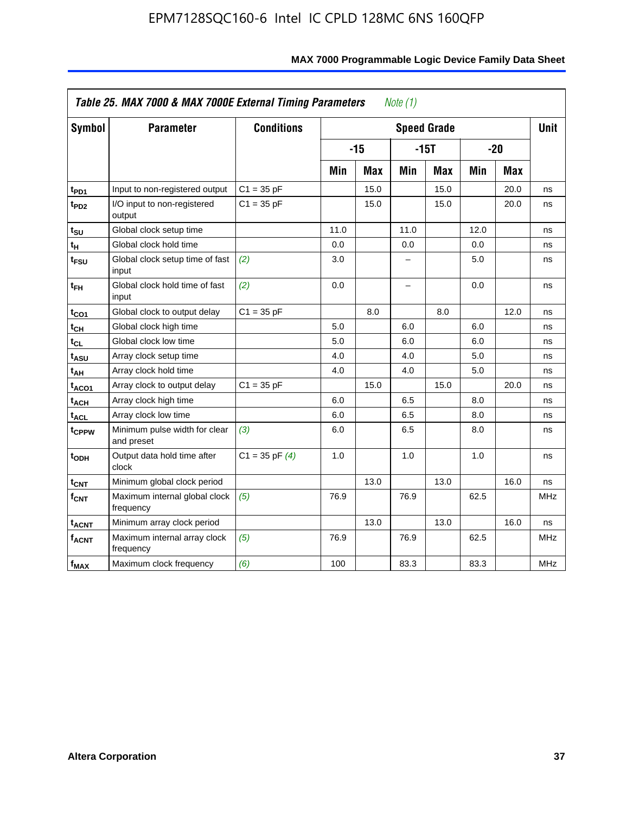| Symbol            | <b>Parameter</b>                            | <b>Conditions</b>  |      |            |      | <b>Speed Grade</b> |      |            | <b>Unit</b> |
|-------------------|---------------------------------------------|--------------------|------|------------|------|--------------------|------|------------|-------------|
|                   |                                             |                    |      | $-15$      |      | $-15T$             |      | $-20$      |             |
|                   |                                             |                    | Min  | <b>Max</b> | Min  | Max                | Min  | <b>Max</b> |             |
| t <sub>PD1</sub>  | Input to non-registered output              | $C1 = 35 pF$       |      | 15.0       |      | 15.0               |      | 20.0       | ns          |
| t <sub>PD2</sub>  | I/O input to non-registered<br>output       | $C1 = 35 pF$       |      | 15.0       |      | 15.0               |      | 20.0       | ns          |
| tsu               | Global clock setup time                     |                    | 11.0 |            | 11.0 |                    | 12.0 |            | ns          |
| $t_H$             | Global clock hold time                      |                    | 0.0  |            | 0.0  |                    | 0.0  |            | ns          |
| t <sub>FSU</sub>  | Global clock setup time of fast<br>input    | (2)                | 3.0  |            | -    |                    | 5.0  |            | ns          |
| $t_{FH}$          | Global clock hold time of fast<br>input     | (2)                | 0.0  |            | -    |                    | 0.0  |            | ns          |
| t <sub>CO1</sub>  | Global clock to output delay                | $C1 = 35 pF$       |      | 8.0        |      | 8.0                |      | 12.0       | ns          |
| $t_{\mathsf{CH}}$ | Global clock high time                      |                    | 5.0  |            | 6.0  |                    | 6.0  |            | ns          |
| t <sub>CL</sub>   | Global clock low time                       |                    | 5.0  |            | 6.0  |                    | 6.0  |            | ns          |
| t <sub>ASU</sub>  | Array clock setup time                      |                    | 4.0  |            | 4.0  |                    | 5.0  |            | ns          |
| t <sub>АН</sub>   | Array clock hold time                       |                    | 4.0  |            | 4.0  |                    | 5.0  |            | ns          |
| t <sub>ACO1</sub> | Array clock to output delay                 | $C1 = 35 pF$       |      | 15.0       |      | 15.0               |      | 20.0       | ns          |
| $t_{\sf ACH}$     | Array clock high time                       |                    | 6.0  |            | 6.5  |                    | 8.0  |            | ns          |
| t <sub>ACL</sub>  | Array clock low time                        |                    | 6.0  |            | 6.5  |                    | 8.0  |            | ns          |
| t <sub>CPPW</sub> | Minimum pulse width for clear<br>and preset | (3)                | 6.0  |            | 6.5  |                    | 8.0  |            | ns          |
| t <sub>ODH</sub>  | Output data hold time after<br>clock        | $C1 = 35$ pF $(4)$ | 1.0  |            | 1.0  |                    | 1.0  |            | ns          |
| $t_{\text{CNT}}$  | Minimum global clock period                 |                    |      | 13.0       |      | 13.0               |      | 16.0       | ns          |
| $f_{\text{CNT}}$  | Maximum internal global clock<br>frequency  | (5)                | 76.9 |            | 76.9 |                    | 62.5 |            | <b>MHz</b>  |
| t <sub>ACNT</sub> | Minimum array clock period                  |                    |      | 13.0       |      | 13.0               |      | 16.0       | ns          |
| <b>fACNT</b>      | Maximum internal array clock<br>frequency   | (5)                | 76.9 |            | 76.9 |                    | 62.5 |            | <b>MHz</b>  |
| f <sub>MAX</sub>  | Maximum clock frequency                     | (6)                | 100  |            | 83.3 |                    | 83.3 |            | MHz         |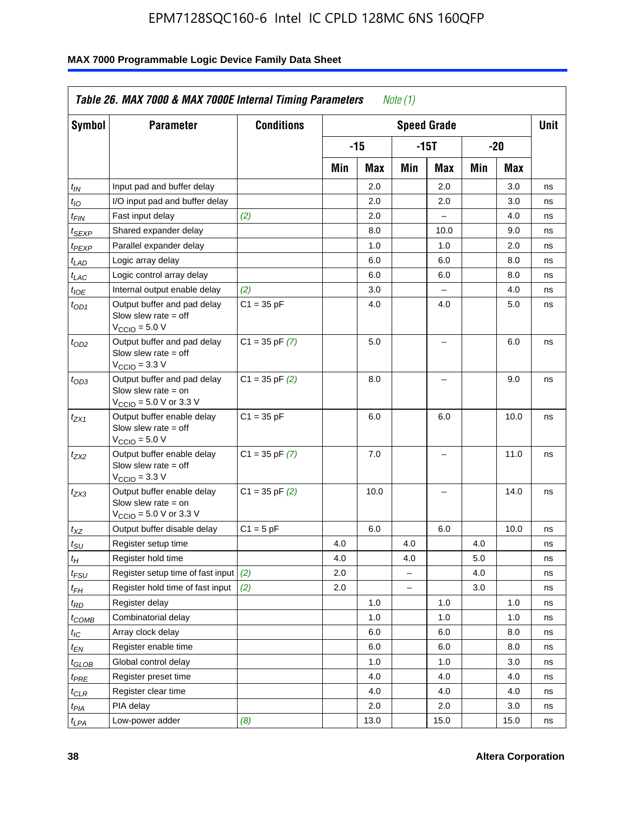| <b>Symbol</b>                 | <b>Parameter</b>                                                                                            | <b>Conditions</b>  |     |      |                          | <b>Speed Grade</b>       |     |      | <b>Unit</b> |
|-------------------------------|-------------------------------------------------------------------------------------------------------------|--------------------|-----|------|--------------------------|--------------------------|-----|------|-------------|
|                               |                                                                                                             |                    |     | -15  |                          | $-15T$                   |     | -20  |             |
|                               |                                                                                                             |                    | Min | Max  | Min                      | Max                      | Min | Max  |             |
| $t_{IN}$                      | Input pad and buffer delay                                                                                  |                    |     | 2.0  |                          | 2.0                      |     | 3.0  | ns          |
| $t_{IO}$                      | I/O input pad and buffer delay                                                                              |                    |     | 2.0  |                          | 2.0                      |     | 3.0  | ns          |
| $t_{\textit{FIN}}$            | Fast input delay                                                                                            | (2)                |     | 2.0  |                          | $\equiv$                 |     | 4.0  | ns          |
| $t_{SEXP}$                    | Shared expander delay                                                                                       |                    |     | 8.0  |                          | 10.0                     |     | 9.0  | ns          |
| t <sub>PEXP</sub>             | Parallel expander delay                                                                                     |                    |     | 1.0  |                          | 1.0                      |     | 2.0  | ns          |
| t <sub>LAD</sub>              | Logic array delay                                                                                           |                    |     | 6.0  |                          | 6.0                      |     | 8.0  | ns          |
| $t_{LAC}$                     | Logic control array delay                                                                                   |                    |     | 6.0  |                          | 6.0                      |     | 8.0  | ns          |
| $t_{IOE}$                     | Internal output enable delay                                                                                | (2)                |     | 3.0  |                          | $\overline{\phantom{0}}$ |     | 4.0  | ns          |
| $t_{OD1}$                     | Output buffer and pad delay<br>Slow slew rate $=$ off<br>$V_{\text{CCIO}} = 5.0 V$                          | $C1 = 35 pF$       |     | 4.0  |                          | 4.0                      |     | 5.0  | ns          |
| $t_{OD2}$                     | Output buffer and pad delay<br>Slow slew rate $=$ off<br>$V_{\text{CCIO}} = 3.3 \text{ V}$                  | $C1 = 35 pF(7)$    |     | 5.0  |                          | $\overline{\phantom{0}}$ |     | 6.0  | ns          |
| $t_{OD3}$                     | Output buffer and pad delay<br>Slow slew rate $=$ on<br>$V_{\text{CCIO}} = 5.0 \text{ V or } 3.3 \text{ V}$ | $C1 = 35$ pF $(2)$ |     | 8.0  |                          |                          |     | 9.0  | ns          |
| $t_{ZX1}$                     | Output buffer enable delay<br>Slow slew rate $=$ off<br>$V_{\text{CCIO}} = 5.0 V$                           | $C1 = 35 pF$       |     | 6.0  |                          | 6.0                      |     | 10.0 | ns          |
| t <sub>ZX2</sub>              | Output buffer enable delay<br>Slow slew rate $=$ off<br>$V_{\text{CCIO}} = 3.3 \text{ V}$                   | $C1 = 35$ pF $(7)$ |     | 7.0  |                          | L,                       |     | 11.0 | ns          |
| t <sub>ZX3</sub>              | Output buffer enable delay<br>Slow slew rate $=$ on<br>$V_{\text{CCIO}} = 5.0 \text{ V or } 3.3 \text{ V}$  | $C1 = 35$ pF $(2)$ |     | 10.0 |                          |                          |     | 14.0 | ns          |
| $t_{\mathsf{XZ}}$             | Output buffer disable delay                                                                                 | $C1 = 5pF$         |     | 6.0  |                          | 6.0                      |     | 10.0 | ns          |
| $t_{\scriptstyle\text{SU}}$   | Register setup time                                                                                         |                    | 4.0 |      | 4.0                      |                          | 4.0 |      | ns          |
| tμ                            | Register hold time                                                                                          |                    | 4.0 |      | 4.0                      |                          | 5.0 |      | ns          |
| t <sub>FSU</sub>              | Register setup time of fast input                                                                           | (2)                | 2.0 |      | $\overline{\phantom{0}}$ |                          | 4.0 |      | ns          |
| t <sub>FH</sub>               | Register hold time of fast input                                                                            | (2)                | 2.0 |      | L.                       |                          | 3.0 |      | ns          |
| $t_{RD}$                      | Register delay                                                                                              |                    |     | 1.0  |                          | 1.0                      |     | 1.0  | ns          |
| $t_{COMB}$                    | Combinatorial delay                                                                                         |                    |     | 1.0  |                          | 1.0                      |     | 1.0  | ns          |
| $t_{IC}$                      | Array clock delay                                                                                           |                    |     | 6.0  |                          | 6.0                      |     | 8.0  | ns          |
| $t_{EN}$                      | Register enable time                                                                                        |                    |     | 6.0  |                          | 6.0                      |     | 8.0  | ns          |
| $t_{\scriptstyle\text{GLOB}}$ | Global control delay                                                                                        |                    |     | 1.0  |                          | 1.0                      |     | 3.0  | ns          |
| $t_{PRE}$                     | Register preset time                                                                                        |                    |     | 4.0  |                          | 4.0                      |     | 4.0  | ns          |
| $t_{\sf CLR}$                 | Register clear time                                                                                         |                    |     | 4.0  |                          | 4.0                      |     | 4.0  | ns          |
| $t_{PIA}$                     | PIA delay                                                                                                   |                    |     | 2.0  |                          | 2.0                      |     | 3.0  | ns          |
| $t_{LPA}$                     | Low-power adder                                                                                             | (8)                |     | 13.0 |                          | 15.0                     |     | 15.0 | ns          |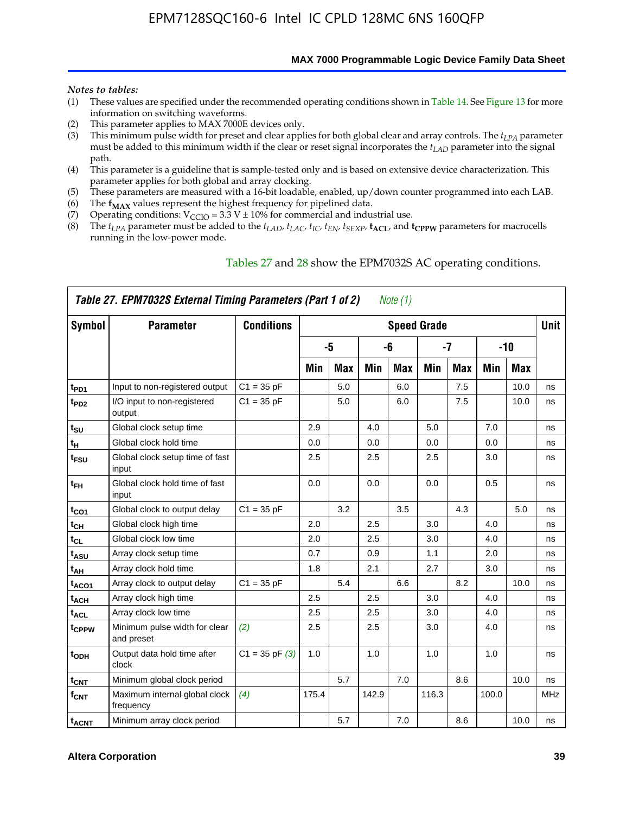**MAX 7000 Programmable Logic Device Family Data Sheet**

#### *Notes to tables:*

- (1) These values are specified under the recommended operating conditions shown in Table 14. See Figure 13 for more information on switching waveforms.
- (2) This parameter applies to MAX 7000E devices only.
- (3) This minimum pulse width for preset and clear applies for both global clear and array controls. The *tLPA* parameter must be added to this minimum width if the clear or reset signal incorporates the *tLAD* parameter into the signal path.
- (4) This parameter is a guideline that is sample-tested only and is based on extensive device characterization. This parameter applies for both global and array clocking.
- (5) These parameters are measured with a 16-bit loadable, enabled, up/down counter programmed into each LAB.
- (6) The  $f_{MAX}$  values represent the highest frequency for pipelined data.
- (7) Operating conditions:  $V_{\text{CCIO}} = 3.3 \text{ V} \pm 10\%$  for commercial and industrial use.
- (8) The  $t_{LPA}$  parameter must be added to the  $t_{LAD}$ ,  $t_{LAC}$ ,  $t_{IC}$ ,  $t_{EN}$ ,  $t_{SEXP}$ ,  $t_{ACL}$ , and  $t_{CPPW}$  parameters for macrocells running in the low-power mode.

|                    | Table 27. EPM7032S External Timing Parameters (Part 1 of 2) |                    |       |            |       | Note (1)   |                    |            |       |       |             |
|--------------------|-------------------------------------------------------------|--------------------|-------|------------|-------|------------|--------------------|------------|-------|-------|-------------|
| Symbol             | <b>Parameter</b>                                            | <b>Conditions</b>  |       |            |       |            | <b>Speed Grade</b> |            |       |       | <b>Unit</b> |
|                    |                                                             |                    |       | -5         |       | -6         |                    | -7         |       | $-10$ |             |
|                    |                                                             |                    | Min   | <b>Max</b> | Min   | <b>Max</b> | Min                | <b>Max</b> | Min   | Max   |             |
| t <sub>PD1</sub>   | Input to non-registered output                              | $C1 = 35 pF$       |       | 5.0        |       | 6.0        |                    | 7.5        |       | 10.0  | ns          |
| $t_{PD2}$          | I/O input to non-registered<br>output                       | $C1 = 35 pF$       |       | 5.0        |       | 6.0        |                    | 7.5        |       | 10.0  | ns          |
| tsu                | Global clock setup time                                     |                    | 2.9   |            | 4.0   |            | 5.0                |            | 7.0   |       | ns          |
| $t_H$              | Global clock hold time                                      |                    | 0.0   |            | 0.0   |            | 0.0                |            | 0.0   |       | ns          |
| t <sub>FSU</sub>   | Global clock setup time of fast<br>input                    |                    | 2.5   |            | 2.5   |            | 2.5                |            | 3.0   |       | ns          |
| $t_{FH}$           | Global clock hold time of fast<br>input                     |                    | 0.0   |            | 0.0   |            | 0.0                |            | 0.5   |       | ns          |
| t <sub>CO1</sub>   | Global clock to output delay                                | $C1 = 35 pF$       |       | 3.2        |       | 3.5        |                    | 4.3        |       | 5.0   | ns          |
| $t_{CH}$           | Global clock high time                                      |                    | 2.0   |            | 2.5   |            | 3.0                |            | 4.0   |       | ns          |
| $t_{CL}$           | Global clock low time                                       |                    | 2.0   |            | 2.5   |            | 3.0                |            | 4.0   |       | ns          |
| t <sub>ASU</sub>   | Array clock setup time                                      |                    | 0.7   |            | 0.9   |            | 1.1                |            | 2.0   |       | ns          |
| t <sub>АН</sub>    | Array clock hold time                                       |                    | 1.8   |            | 2.1   |            | 2.7                |            | 3.0   |       | ns          |
| t <sub>ACO1</sub>  | Array clock to output delay                                 | $C1 = 35 pF$       |       | 5.4        |       | 6.6        |                    | 8.2        |       | 10.0  | ns          |
| t <sub>ACH</sub>   | Array clock high time                                       |                    | 2.5   |            | 2.5   |            | 3.0                |            | 4.0   |       | ns          |
| $t_{\sf ACL}$      | Array clock low time                                        |                    | 2.5   |            | 2.5   |            | 3.0                |            | 4.0   |       | ns          |
| tcppw              | Minimum pulse width for clear<br>and preset                 | (2)                | 2.5   |            | 2.5   |            | 3.0                |            | 4.0   |       | ns          |
| $t_{ODH}$          | Output data hold time after<br>clock                        | $C1 = 35$ pF $(3)$ | 1.0   |            | 1.0   |            | 1.0                |            | 1.0   |       | ns          |
| $t_{\mathsf{CNT}}$ | Minimum global clock period                                 |                    |       | 5.7        |       | 7.0        |                    | 8.6        |       | 10.0  | ns          |
| $f_{\mathsf{CNT}}$ | Maximum internal global clock<br>frequency                  | (4)                | 175.4 |            | 142.9 |            | 116.3              |            | 100.0 |       | MHz         |
| t <sub>ACNT</sub>  | Minimum array clock period                                  |                    |       | 5.7        |       | 7.0        |                    | 8.6        |       | 10.0  | ns          |

### Tables 27 and 28 show the EPM7032S AC operating conditions.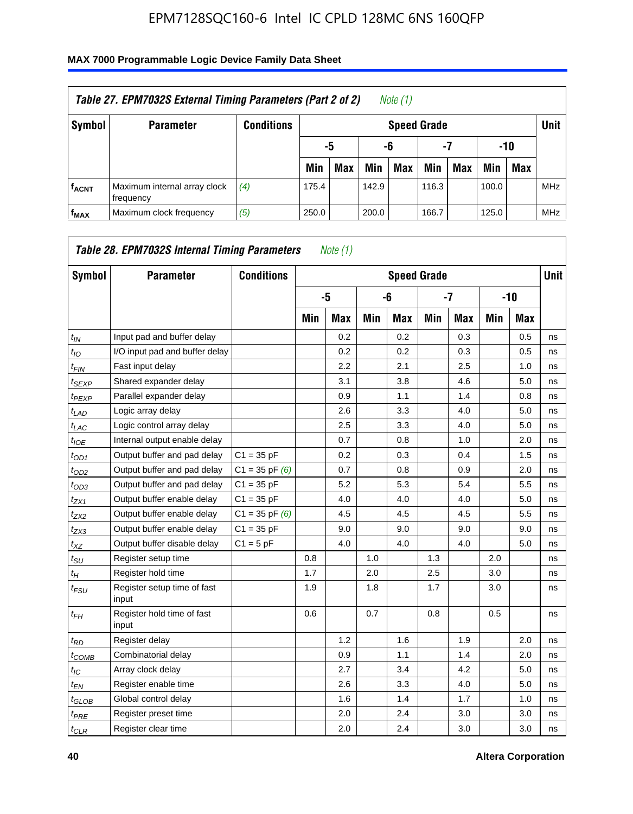| Table 27. EPM7032S External Timing Parameters (Part 2 of 2)<br>Note (1) |                                           |                   |       |                       |       |                    |       |     |       |            |            |  |  |
|-------------------------------------------------------------------------|-------------------------------------------|-------------------|-------|-----------------------|-------|--------------------|-------|-----|-------|------------|------------|--|--|
| Symbol                                                                  | <b>Parameter</b>                          | <b>Conditions</b> |       |                       |       | <b>Speed Grade</b> |       |     |       |            | Unit       |  |  |
|                                                                         |                                           |                   |       | -7<br>-10<br>-6<br>-5 |       |                    |       |     |       |            |            |  |  |
|                                                                         |                                           |                   | Min   | <b>Max</b>            | Min   | <b>Max</b>         | Min   | Max | Min   | <b>Max</b> |            |  |  |
| <b>fACNT</b>                                                            | Maximum internal array clock<br>frequency | (4)               | 175.4 |                       | 142.9 |                    | 116.3 |     | 100.0 |            | <b>MHz</b> |  |  |
| f <sub>MAX</sub>                                                        | Maximum clock frequency                   | (5)               | 250.0 |                       | 200.0 |                    | 166.7 |     | 125.0 |            | <b>MHz</b> |  |  |

| Symbol                        | <b>Parameter</b>                     | <b>Conditions</b>  |     |            |     |            | <b>Speed Grade</b> |            |     |            | <b>Unit</b> |
|-------------------------------|--------------------------------------|--------------------|-----|------------|-----|------------|--------------------|------------|-----|------------|-------------|
|                               |                                      |                    |     | -5         |     | -6         |                    | $-7$       |     | $-10$      |             |
|                               |                                      |                    | Min | <b>Max</b> | Min | <b>Max</b> | Min                | <b>Max</b> | Min | <b>Max</b> |             |
| $t_{IN}$                      | Input pad and buffer delay           |                    |     | 0.2        |     | 0.2        |                    | 0.3        |     | 0.5        | ns          |
| $t_{IO}$                      | I/O input pad and buffer delay       |                    |     | 0.2        |     | 0.2        |                    | 0.3        |     | 0.5        | ns          |
| $t_{\text{FIN}}$              | Fast input delay                     |                    |     | 2.2        |     | 2.1        |                    | 2.5        |     | 1.0        | ns          |
| t <sub>SEXP</sub>             | Shared expander delay                |                    |     | 3.1        |     | 3.8        |                    | 4.6        |     | 5.0        | ns          |
| <sup>t</sup> PEXP             | Parallel expander delay              |                    |     | 0.9        |     | 1.1        |                    | 1.4        |     | 0.8        | ns          |
| $t_{LAD}$                     | Logic array delay                    |                    |     | 2.6        |     | 3.3        |                    | 4.0        |     | 5.0        | ns          |
| $t_{LAC}$                     | Logic control array delay            |                    |     | 2.5        |     | 3.3        |                    | 4.0        |     | 5.0        | ns          |
| $t_{IOE}$                     | Internal output enable delay         |                    |     | 0.7        |     | 0.8        |                    | 1.0        |     | 2.0        | ns          |
| $t_{OD1}$                     | Output buffer and pad delay          | $C1 = 35 pF$       |     | 0.2        |     | 0.3        |                    | 0.4        |     | 1.5        | ns          |
| $t_{OD2}$                     | Output buffer and pad delay          | $C1 = 35$ pF $(6)$ |     | 0.7        |     | 0.8        |                    | 0.9        |     | 2.0        | ns          |
| $t_{OD3}$                     | Output buffer and pad delay          | $C1 = 35 pF$       |     | 5.2        |     | 5.3        |                    | 5.4        |     | 5.5        | ns          |
| $t_{ZX1}$                     | Output buffer enable delay           | $C1 = 35 pF$       |     | 4.0        |     | 4.0        |                    | 4.0        |     | 5.0        | ns          |
| t <sub>ZX2</sub>              | Output buffer enable delay           | $C1 = 35$ pF $(6)$ |     | 4.5        |     | 4.5        |                    | 4.5        |     | 5.5        | ns          |
| $t_{ZX3}$                     | Output buffer enable delay           | $C1 = 35 pF$       |     | 9.0        |     | 9.0        |                    | 9.0        |     | 9.0        | ns          |
| $t_{XZ}$                      | Output buffer disable delay          | $C1 = 5pF$         |     | 4.0        |     | 4.0        |                    | 4.0        |     | 5.0        | ns          |
| $t_{\scriptstyle\text{SU}}$   | Register setup time                  |                    | 0.8 |            | 1.0 |            | 1.3                |            | 2.0 |            | ns          |
| $t_H$                         | Register hold time                   |                    | 1.7 |            | 2.0 |            | 2.5                |            | 3.0 |            | ns          |
| $t_{\mathit{FSU}}$            | Register setup time of fast<br>input |                    | 1.9 |            | 1.8 |            | 1.7                |            | 3.0 |            | ns          |
| t <sub>FH</sub>               | Register hold time of fast<br>input  |                    | 0.6 |            | 0.7 |            | 0.8                |            | 0.5 |            | ns          |
| $t_{RD}$                      | Register delay                       |                    |     | 1.2        |     | 1.6        |                    | 1.9        |     | 2.0        | ns          |
| $t_{COMB}$                    | Combinatorial delay                  |                    |     | 0.9        |     | 1.1        |                    | 1.4        |     | 2.0        | ns          |
| $t_{IC}$                      | Array clock delay                    |                    |     | 2.7        |     | 3.4        |                    | 4.2        |     | 5.0        | ns          |
| $t_{EN}$                      | Register enable time                 |                    |     | 2.6        |     | 3.3        |                    | 4.0        |     | 5.0        | ns          |
| $t_{\scriptstyle\text{GLOB}}$ | Global control delay                 |                    |     | 1.6        |     | 1.4        |                    | 1.7        |     | 1.0        | ns          |
| $t_{PRE}$                     | Register preset time                 |                    |     | 2.0        |     | 2.4        |                    | 3.0        |     | 3.0        | ns          |
| $t_{CLR}$                     | Register clear time                  |                    |     | 2.0        |     | 2.4        |                    | 3.0        |     | 3.0        | ns          |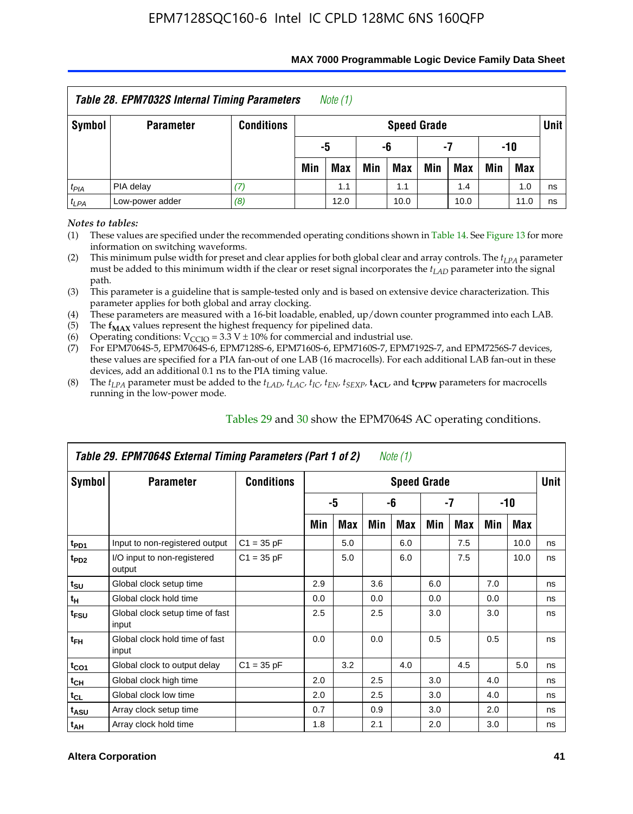| <b>Table 28. EPM7032S Internal Timing Parameters</b><br>Note (1)                |                  |                   |                          |                       |     |                    |     |     |     |     |        |  |
|---------------------------------------------------------------------------------|------------------|-------------------|--------------------------|-----------------------|-----|--------------------|-----|-----|-----|-----|--------|--|
| Symbol                                                                          | <b>Parameter</b> | <b>Conditions</b> |                          |                       |     | <b>Speed Grade</b> |     |     |     |     | Unit I |  |
|                                                                                 |                  |                   |                          | -10<br>-5<br>-6<br>-7 |     |                    |     |     |     |     |        |  |
|                                                                                 |                  |                   | Min                      | <b>Max</b>            | Min | Max                | Min | Max | Min | Max |        |  |
| $t_{PIA}$                                                                       | PIA delay        | 17.               | 1.0<br>1.1<br>1.4<br>1.1 |                       |     |                    |     |     |     |     |        |  |
| ns<br>Low-power adder<br>(8)<br>$t_{LPA}$<br>12.0<br>10.0<br>10.0<br>11.0<br>ns |                  |                   |                          |                       |     |                    |     |     |     |     |        |  |

#### **MAX 7000 Programmable Logic Device Family Data Sheet**

*Notes to tables:*

(1) These values are specified under the recommended operating conditions shown in Table 14. See Figure 13 for more information on switching waveforms.

(2) This minimum pulse width for preset and clear applies for both global clear and array controls. The  $t_{LPA}$  parameter must be added to this minimum width if the clear or reset signal incorporates the *tLAD* parameter into the signal path.

(3) This parameter is a guideline that is sample-tested only and is based on extensive device characterization. This parameter applies for both global and array clocking.

(4) These parameters are measured with a 16-bit loadable, enabled, up/down counter programmed into each LAB.

(5) The  $f_{MAX}$  values represent the highest frequency for pipelined data.

(6) Operating conditions:  $V_{\text{CCIO}} = 3.3 \text{ V} \pm 10\%$  for commercial and industrial use.

(7) For EPM7064S-5, EPM7064S-6, EPM7128S-6, EPM7160S-6, EPM7160S-7, EPM7192S-7, and EPM7256S-7 devices, these values are specified for a PIA fan-out of one LAB (16 macrocells). For each additional LAB fan-out in these devices, add an additional 0.1 ns to the PIA timing value.

(8) The  $t_{LPA}$  parameter must be added to the  $t_{LAD}$ ,  $t_{LAC}$ ,  $t_{IC}$ ,  $t_{EN}$ ,  $t_{SEXP}$ ,  $t_{ACL}$ , and  $t_{CPPW}$  parameters for macrocells running in the low-power mode.

|                  | Table 29. EPM7064S External Timing Parameters (Part 1 of 2) |                   |     |     |     | Note (1)           |     |     |     |      |      |
|------------------|-------------------------------------------------------------|-------------------|-----|-----|-----|--------------------|-----|-----|-----|------|------|
| Symbol           | <b>Parameter</b>                                            | <b>Conditions</b> |     |     |     | <b>Speed Grade</b> |     |     |     |      | Unit |
|                  |                                                             |                   |     | -5  |     | -6                 |     | -7  |     | -10  |      |
|                  |                                                             |                   | Min | Max | Min | Max                | Min | Max | Min | Max  |      |
| t <sub>PD1</sub> | Input to non-registered output                              | $C1 = 35 pF$      |     | 5.0 |     | 6.0                |     | 7.5 |     | 10.0 | ns   |
| t <sub>PD2</sub> | I/O input to non-registered<br>output                       | $C1 = 35 pF$      |     | 5.0 |     | 6.0                |     | 7.5 |     | 10.0 | ns   |
| $t_{\text{SU}}$  | Global clock setup time                                     |                   | 2.9 |     | 3.6 |                    | 6.0 |     | 7.0 |      | ns   |
| $t_H$            | Global clock hold time                                      |                   | 0.0 |     | 0.0 |                    | 0.0 |     | 0.0 |      | ns   |
| t <sub>FSU</sub> | Global clock setup time of fast<br>input                    |                   | 2.5 |     | 2.5 |                    | 3.0 |     | 3.0 |      | ns   |
| $t_{FH}$         | Global clock hold time of fast<br>input                     |                   | 0.0 |     | 0.0 |                    | 0.5 |     | 0.5 |      | ns   |
| $t_{CO1}$        | Global clock to output delay                                | $C1 = 35 pF$      |     | 3.2 |     | 4.0                |     | 4.5 |     | 5.0  | ns   |
| $t_{CH}$         | Global clock high time                                      |                   | 2.0 |     | 2.5 |                    | 3.0 |     | 4.0 |      | ns   |
| $t_{CL}$         | Global clock low time                                       |                   | 2.0 |     | 2.5 |                    | 3.0 |     | 4.0 |      | ns   |
| t <sub>ASU</sub> | Array clock setup time                                      |                   | 0.7 |     | 0.9 |                    | 3.0 |     | 2.0 |      | ns   |
| $t_{AH}$         | Array clock hold time                                       |                   | 1.8 |     | 2.1 |                    | 2.0 |     | 3.0 |      | ns   |

Tables 29 and 30 show the EPM7064S AC operating conditions.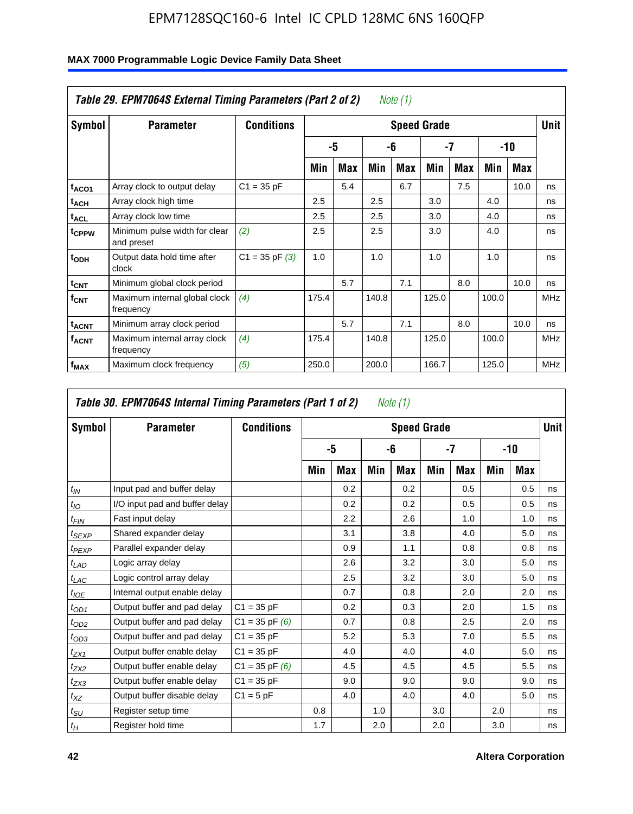| Symbol                  | <b>Parameter</b>                            | <b>Conditions</b>  |       |            |       |     | <b>Speed Grade</b> |     |       |      | <b>Unit</b> |
|-------------------------|---------------------------------------------|--------------------|-------|------------|-------|-----|--------------------|-----|-------|------|-------------|
|                         |                                             |                    |       | -5         |       | -6  |                    | -7  |       | -10  |             |
|                         |                                             |                    | Min   | <b>Max</b> | Min   | Max | Min                | Max | Min   | Max  |             |
| t <sub>ACO1</sub>       | Array clock to output delay                 | $C1 = 35 pF$       |       | 5.4        |       | 6.7 |                    | 7.5 |       | 10.0 | ns          |
| $t_{\sf ACH}$           | Array clock high time                       |                    | 2.5   |            | 2.5   |     | 3.0                |     | 4.0   |      | ns          |
| t <sub>ACL</sub>        | Array clock low time                        |                    | 2.5   |            | 2.5   |     | 3.0                |     | 4.0   |      | ns          |
| t <sub>CPPW</sub>       | Minimum pulse width for clear<br>and preset | (2)                | 2.5   |            | 2.5   |     | 3.0                |     | 4.0   |      | ns          |
| t <sub>ODH</sub>        | Output data hold time after<br>clock        | $C1 = 35$ pF $(3)$ | 1.0   |            | 1.0   |     | 1.0                |     | 1.0   |      | ns          |
| $t_{\text{CNT}}$        | Minimum global clock period                 |                    |       | 5.7        |       | 7.1 |                    | 8.0 |       | 10.0 | ns          |
| $f_{\text{CNT}}$        | Maximum internal global clock<br>frequency  | (4)                | 175.4 |            | 140.8 |     | 125.0              |     | 100.0 |      | <b>MHz</b>  |
| t <sub>ACNT</sub>       | Minimum array clock period                  |                    |       | 5.7        |       | 7.1 |                    | 8.0 |       | 10.0 | ns          |
| <b>f<sub>ACNT</sub></b> | Maximum internal array clock<br>frequency   | (4)                | 175.4 |            | 140.8 |     | 125.0              |     | 100.0 |      | <b>MHz</b>  |
| $f_{MAX}$               | Maximum clock frequency                     | (5)                | 250.0 |            | 200.0 |     | 166.7              |     | 125.0 |      | <b>MHz</b>  |

### **MAX 7000 Programmable Logic Device Family Data Sheet**

| Symbol            | <b>Parameter</b>               | <b>Conditions</b>  |     |     |     | <b>Speed Grade</b> |     |            |     |            | <b>Unit</b> |
|-------------------|--------------------------------|--------------------|-----|-----|-----|--------------------|-----|------------|-----|------------|-------------|
|                   |                                |                    |     | -5  |     | -6                 |     | -7         |     | $-10$      |             |
|                   |                                |                    | Min | Max | Min | Max                | Min | <b>Max</b> | Min | <b>Max</b> |             |
| $t_{IN}$          | Input pad and buffer delay     |                    |     | 0.2 |     | 0.2                |     | 0.5        |     | 0.5        | ns          |
| $t_{IO}$          | I/O input pad and buffer delay |                    |     | 0.2 |     | 0.2                |     | 0.5        |     | 0.5        | ns          |
| t <sub>FIN</sub>  | Fast input delay               |                    |     | 2.2 |     | 2.6                |     | 1.0        |     | 1.0        | ns          |
| $t_{SEXP}$        | Shared expander delay          |                    |     | 3.1 |     | 3.8                |     | 4.0        |     | 5.0        | ns          |
| $t_{PEXP}$        | Parallel expander delay        |                    |     | 0.9 |     | 1.1                |     | 0.8        |     | 0.8        | ns          |
| t <sub>LAD</sub>  | Logic array delay              |                    |     | 2.6 |     | 3.2                |     | 3.0        |     | 5.0        | ns          |
| $t_{LAC}$         | Logic control array delay      |                    |     | 2.5 |     | 3.2                |     | 3.0        |     | 5.0        | ns          |
| $t_{IOE}$         | Internal output enable delay   |                    |     | 0.7 |     | 0.8                |     | 2.0        |     | 2.0        | ns          |
| $t_{OD1}$         | Output buffer and pad delay    | $C1 = 35 pF$       |     | 0.2 |     | 0.3                |     | 2.0        |     | 1.5        | ns          |
| $t_{OD2}$         | Output buffer and pad delay    | $C1 = 35$ pF $(6)$ |     | 0.7 |     | 0.8                |     | 2.5        |     | 2.0        | ns          |
| $t_{OD3}$         | Output buffer and pad delay    | $C1 = 35 pF$       |     | 5.2 |     | 5.3                |     | 7.0        |     | 5.5        | ns          |
| $t_{ZX1}$         | Output buffer enable delay     | $C1 = 35 pF$       |     | 4.0 |     | 4.0                |     | 4.0        |     | 5.0        | ns          |
| $t_{ZX2}$         | Output buffer enable delay     | $C1 = 35$ pF $(6)$ |     | 4.5 |     | 4.5                |     | 4.5        |     | 5.5        | ns          |
| $t_{ZX3}$         | Output buffer enable delay     | $C1 = 35 pF$       |     | 9.0 |     | 9.0                |     | 9.0        |     | 9.0        | ns          |
| $t_{\mathsf{XZ}}$ | Output buffer disable delay    | $C1 = 5pF$         |     | 4.0 |     | 4.0                |     | 4.0        |     | 5.0        | ns          |
| $t_{\text{SU}}$   | Register setup time            |                    | 0.8 |     | 1.0 |                    | 3.0 |            | 2.0 |            | ns          |
| $t_H\,$           | Register hold time             |                    | 1.7 |     | 2.0 |                    | 2.0 |            | 3.0 |            | ns          |

٦

 $\Gamma$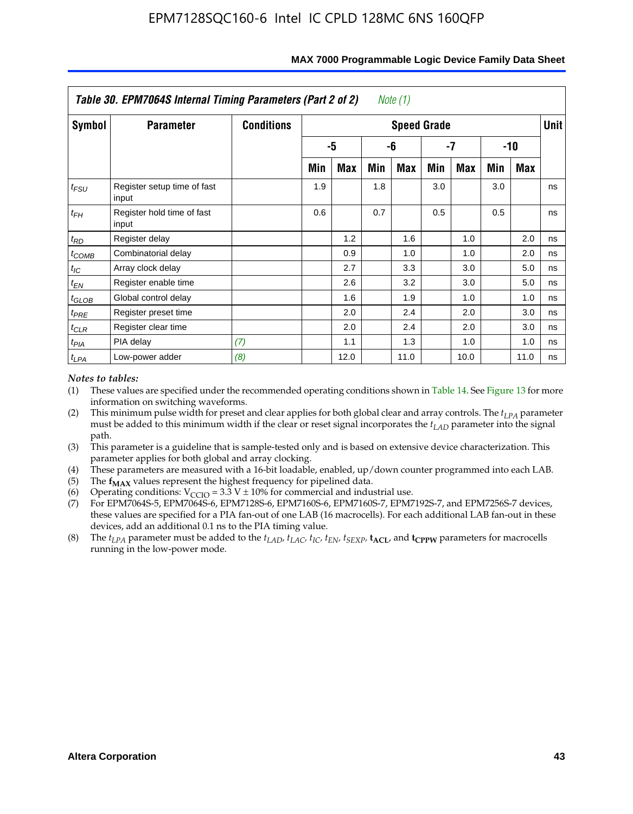|                   | Table 30. EPM7064S Internal Timing Parameters (Part 2 of 2) |                   |     |      |     | Note (1)           |     |      |     |            |             |
|-------------------|-------------------------------------------------------------|-------------------|-----|------|-----|--------------------|-----|------|-----|------------|-------------|
| Symbol            | <b>Parameter</b>                                            | <b>Conditions</b> |     |      |     | <b>Speed Grade</b> |     |      |     |            | <b>Unit</b> |
|                   |                                                             |                   |     | -5   |     | -6                 |     | -7   |     | $-10$      |             |
|                   |                                                             |                   | Min | Max  | Min | Max                | Min | Max  | Min | <b>Max</b> |             |
| $t_{FSU}$         | Register setup time of fast<br>input                        |                   | 1.9 |      | 1.8 |                    | 3.0 |      | 3.0 |            | ns          |
| $t_{FH}$          | Register hold time of fast<br>input                         |                   | 0.6 |      | 0.7 |                    | 0.5 |      | 0.5 |            | ns          |
| $t_{RD}$          | Register delay                                              |                   |     | 1.2  |     | 1.6                |     | 1.0  |     | 2.0        | ns          |
| $t_{COMB}$        | Combinatorial delay                                         |                   |     | 0.9  |     | 1.0                |     | 1.0  |     | 2.0        | ns          |
| $t_{IC}$          | Array clock delay                                           |                   |     | 2.7  |     | 3.3                |     | 3.0  |     | 5.0        | ns          |
| $t_{EN}$          | Register enable time                                        |                   |     | 2.6  |     | 3.2                |     | 3.0  |     | 5.0        | ns          |
| $t_{\text{GLOB}}$ | Global control delay                                        |                   |     | 1.6  |     | 1.9                |     | 1.0  |     | 1.0        | ns          |
| $t_{PRE}$         | Register preset time                                        |                   |     | 2.0  |     | 2.4                |     | 2.0  |     | 3.0        | ns          |
| $t_{CLR}$         | Register clear time                                         |                   |     | 2.0  |     | 2.4                |     | 2.0  |     | 3.0        | ns          |
| $t_{PIA}$         | PIA delay                                                   | (7)               |     | 1.1  |     | 1.3                |     | 1.0  |     | 1.0        | ns          |
| $t_{LPA}$         | Low-power adder                                             | (8)               |     | 12.0 |     | 11.0               |     | 10.0 |     | 11.0       | ns          |

#### **MAX 7000 Programmable Logic Device Family Data Sheet**

#### *Notes to tables:*

- (1) These values are specified under the recommended operating conditions shown in Table 14. See Figure 13 for more information on switching waveforms.
- (2) This minimum pulse width for preset and clear applies for both global clear and array controls. The  $t_{LPA}$  parameter must be added to this minimum width if the clear or reset signal incorporates the *t<sub>LAD</sub>* parameter into the signal path.
- (3) This parameter is a guideline that is sample-tested only and is based on extensive device characterization. This parameter applies for both global and array clocking.
- (4) These parameters are measured with a 16-bit loadable, enabled, up/down counter programmed into each LAB.
- (5) The  $f_{MAX}$  values represent the highest frequency for pipelined data.
- (6) Operating conditions:  $V_{\text{CGO}} = 3.3 \text{ V} \pm 10\%$  for commercial and industrial use.
- (7) For EPM7064S-5, EPM7064S-6, EPM7128S-6, EPM7160S-6, EPM7160S-7, EPM7192S-7, and EPM7256S-7 devices, these values are specified for a PIA fan-out of one LAB (16 macrocells). For each additional LAB fan-out in these devices, add an additional 0.1 ns to the PIA timing value.
- (8) The  $t_{LPA}$  parameter must be added to the  $t_{LAD}$ ,  $t_{LAC}$ ,  $t_{IC}$ ,  $t_{EN}$ ,  $t_{SEXP}$ ,  $t_{ACL}$ , and  $t_{CPPW}$  parameters for macrocells running in the low-power mode.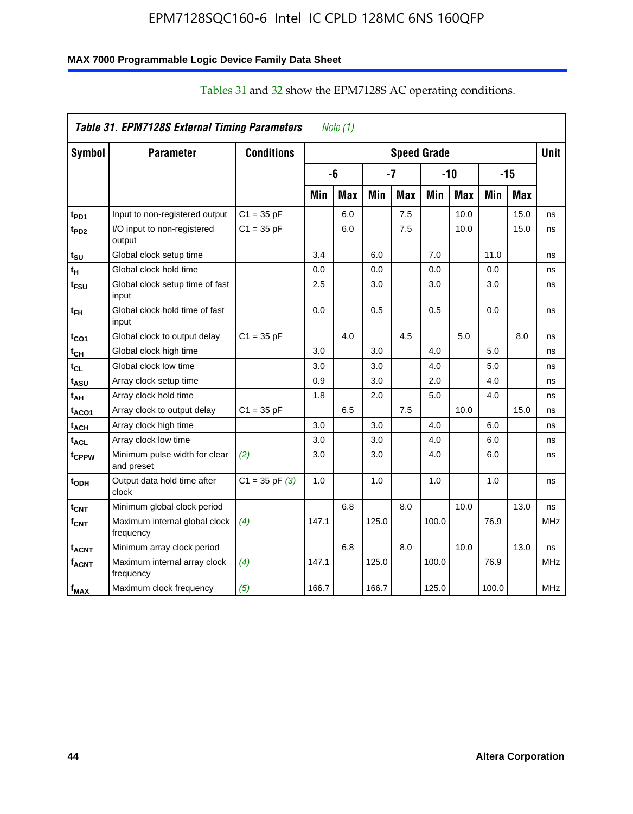## **MAX 7000 Programmable Logic Device Family Data Sheet**

|                   | Table 31. EPM7128S External Timing Parameters |                    |       | Note (1)   |       |            |                    |            |       |            |             |
|-------------------|-----------------------------------------------|--------------------|-------|------------|-------|------------|--------------------|------------|-------|------------|-------------|
| Symbol            | <b>Parameter</b>                              | <b>Conditions</b>  |       |            |       |            | <b>Speed Grade</b> |            |       |            | <b>Unit</b> |
|                   |                                               |                    |       | -6         |       | -7         |                    | $-10$      |       | $-15$      |             |
|                   |                                               |                    | Min   | <b>Max</b> | Min   | <b>Max</b> | Min                | <b>Max</b> | Min   | <b>Max</b> |             |
| t <sub>PD1</sub>  | Input to non-registered output                | $C1 = 35 pF$       |       | 6.0        |       | 7.5        |                    | 10.0       |       | 15.0       | ns          |
| t <sub>PD2</sub>  | I/O input to non-registered<br>output         | $C1 = 35 pF$       |       | 6.0        |       | 7.5        |                    | 10.0       |       | 15.0       | ns          |
| t <sub>SU</sub>   | Global clock setup time                       |                    | 3.4   |            | 6.0   |            | 7.0                |            | 11.0  |            | ns          |
| t <sub>Η</sub>    | Global clock hold time                        |                    | 0.0   |            | 0.0   |            | 0.0                |            | 0.0   |            | ns          |
| t <sub>FSU</sub>  | Global clock setup time of fast<br>input      |                    | 2.5   |            | 3.0   |            | 3.0                |            | 3.0   |            | ns          |
| t <sub>ЕН</sub>   | Global clock hold time of fast<br>input       |                    | 0.0   |            | 0.5   |            | 0.5                |            | 0.0   |            | ns          |
| $t_{CO1}$         | Global clock to output delay                  | $C1 = 35 pF$       |       | 4.0        |       | 4.5        |                    | 5.0        |       | 8.0        | ns          |
| $t_{\mathsf{CH}}$ | Global clock high time                        |                    | 3.0   |            | 3.0   |            | 4.0                |            | 5.0   |            | ns          |
| $t_{CL}$          | Global clock low time                         |                    | 3.0   |            | 3.0   |            | 4.0                |            | 5.0   |            | ns          |
| t <sub>ASU</sub>  | Array clock setup time                        |                    | 0.9   |            | 3.0   |            | 2.0                |            | 4.0   |            | ns          |
| t <sub>АН</sub>   | Array clock hold time                         |                    | 1.8   |            | 2.0   |            | 5.0                |            | 4.0   |            | ns          |
| taco1             | Array clock to output delay                   | $C1 = 35 pF$       |       | 6.5        |       | 7.5        |                    | 10.0       |       | 15.0       | ns          |
| t <sub>АСН</sub>  | Array clock high time                         |                    | 3.0   |            | 3.0   |            | 4.0                |            | 6.0   |            | ns          |
| t <sub>ACL</sub>  | Array clock low time                          |                    | 3.0   |            | 3.0   |            | 4.0                |            | 6.0   |            | ns          |
| tcppw             | Minimum pulse width for clear<br>and preset   | (2)                | 3.0   |            | 3.0   |            | 4.0                |            | 6.0   |            | ns          |
| t <sub>орн</sub>  | Output data hold time after<br>clock          | $C1 = 35$ pF $(3)$ | 1.0   |            | 1.0   |            | 1.0                |            | 1.0   |            | ns          |
| $t_{\text{CNT}}$  | Minimum global clock period                   |                    |       | 6.8        |       | 8.0        |                    | 10.0       |       | 13.0       | ns          |
| $f_{\text{CNT}}$  | Maximum internal global clock<br>frequency    | (4)                | 147.1 |            | 125.0 |            | 100.0              |            | 76.9  |            | <b>MHz</b>  |
| t <sub>acnt</sub> | Minimum array clock period                    |                    |       | 6.8        |       | 8.0        |                    | 10.0       |       | 13.0       | ns          |
| <sup>f</sup> acnt | Maximum internal array clock<br>frequency     | (4)                | 147.1 |            | 125.0 |            | 100.0              |            | 76.9  |            | <b>MHz</b>  |
| f <sub>MAX</sub>  | Maximum clock frequency                       | (5)                | 166.7 |            | 166.7 |            | 125.0              |            | 100.0 |            | <b>MHz</b>  |

# Tables 31 and 32 show the EPM7128S AC operating conditions.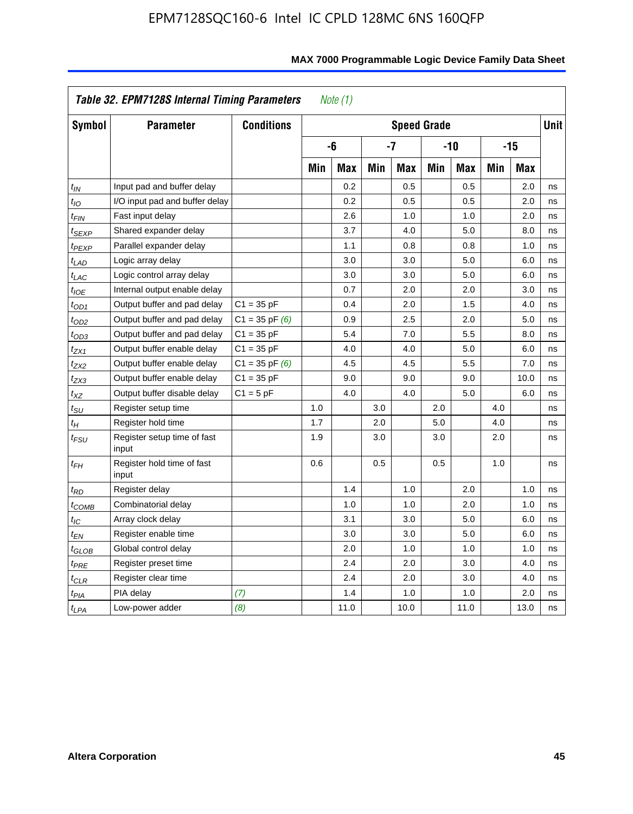| Symbol                      | <b>Parameter</b>                     | <b>Conditions</b>  |     |            |     | <b>Speed Grade</b> |     |            |     |            | <b>Unit</b> |
|-----------------------------|--------------------------------------|--------------------|-----|------------|-----|--------------------|-----|------------|-----|------------|-------------|
|                             |                                      |                    |     | -6         |     | $-7$               |     | $-10$      |     | $-15$      |             |
|                             |                                      |                    | Min | <b>Max</b> | Min | <b>Max</b>         | Min | <b>Max</b> | Min | <b>Max</b> |             |
| $t_{IN}$                    | Input pad and buffer delay           |                    |     | 0.2        |     | 0.5                |     | 0.5        |     | 2.0        | ns          |
| $t_{IO}$                    | I/O input pad and buffer delay       |                    |     | 0.2        |     | 0.5                |     | 0.5        |     | 2.0        | ns          |
| $t_{FIN}$                   | Fast input delay                     |                    |     | 2.6        |     | 1.0                |     | 1.0        |     | 2.0        | ns          |
| t <sub>SEXP</sub>           | Shared expander delay                |                    |     | 3.7        |     | 4.0                |     | 5.0        |     | 8.0        | ns          |
| t <sub>PEXP</sub>           | Parallel expander delay              |                    |     | 1.1        |     | 0.8                |     | 0.8        |     | 1.0        | ns          |
| t <sub>LAD</sub>            | Logic array delay                    |                    |     | 3.0        |     | 3.0                |     | 5.0        |     | 6.0        | ns          |
| $t_{LAC}$                   | Logic control array delay            |                    |     | 3.0        |     | 3.0                |     | 5.0        |     | 6.0        | ns          |
| $t_{IOE}$                   | Internal output enable delay         |                    |     | 0.7        |     | 2.0                |     | 2.0        |     | 3.0        | ns          |
| t <sub>OD1</sub>            | Output buffer and pad delay          | $C1 = 35 pF$       |     | 0.4        |     | 2.0                |     | 1.5        |     | 4.0        | ns          |
| $t_{OD2}$                   | Output buffer and pad delay          | $C1 = 35$ pF $(6)$ |     | 0.9        |     | 2.5                |     | 2.0        |     | 5.0        | ns          |
| $t_{OD3}$                   | Output buffer and pad delay          | $C1 = 35 pF$       |     | 5.4        |     | 7.0                |     | 5.5        |     | 8.0        | ns          |
| $t_{ZX1}$                   | Output buffer enable delay           | $C1 = 35 pF$       |     | 4.0        |     | 4.0                |     | 5.0        |     | 6.0        | ns          |
| t <sub>ZX2</sub>            | Output buffer enable delay           | $C1 = 35$ pF $(6)$ |     | 4.5        |     | 4.5                |     | 5.5        |     | 7.0        | ns          |
| tzx3                        | Output buffer enable delay           | $C1 = 35 pF$       |     | 9.0        |     | 9.0                |     | 9.0        |     | 10.0       | ns          |
| $t_{XZ}$                    | Output buffer disable delay          | $C1 = 5pF$         |     | 4.0        |     | 4.0                |     | 5.0        |     | 6.0        | ns          |
| $t_{\scriptstyle\text{SU}}$ | Register setup time                  |                    | 1.0 |            | 3.0 |                    | 2.0 |            | 4.0 |            | ns          |
| $t_H$                       | Register hold time                   |                    | 1.7 |            | 2.0 |                    | 5.0 |            | 4.0 |            | ns          |
| $t_{\it FSU}$               | Register setup time of fast<br>input |                    | 1.9 |            | 3.0 |                    | 3.0 |            | 2.0 |            | ns          |
| t <sub>FH</sub>             | Register hold time of fast<br>input  |                    | 0.6 |            | 0.5 |                    | 0.5 |            | 1.0 |            | ns          |
| $t_{RD}$                    | Register delay                       |                    |     | 1.4        |     | 1.0                |     | 2.0        |     | 1.0        | ns          |
| t <sub>COMB</sub>           | Combinatorial delay                  |                    |     | 1.0        |     | 1.0                |     | 2.0        |     | 1.0        | ns          |
| $t_{IC}$                    | Array clock delay                    |                    |     | 3.1        |     | 3.0                |     | 5.0        |     | 6.0        | ns          |
| t <sub>EN</sub>             | Register enable time                 |                    |     | 3.0        |     | 3.0                |     | 5.0        |     | 6.0        | ns          |
| $t_{\scriptstyle\rm GLOB}$  | Global control delay                 |                    |     | 2.0        |     | 1.0                |     | 1.0        |     | 1.0        | ns          |
| $t_{PRE}$                   | Register preset time                 |                    |     | 2.4        |     | 2.0                |     | 3.0        |     | 4.0        | ns          |
| $t_{CLR}$                   | Register clear time                  |                    |     | 2.4        |     | 2.0                |     | 3.0        |     | 4.0        | ns          |
| t <sub>PIA</sub>            | PIA delay                            | (7)                |     | 1.4        |     | 1.0                |     | 1.0        |     | 2.0        | ns          |
| $t_{LPA}$                   | Low-power adder                      | (8)                |     | 11.0       |     | 10.0               |     | 11.0       |     | 13.0       | ns          |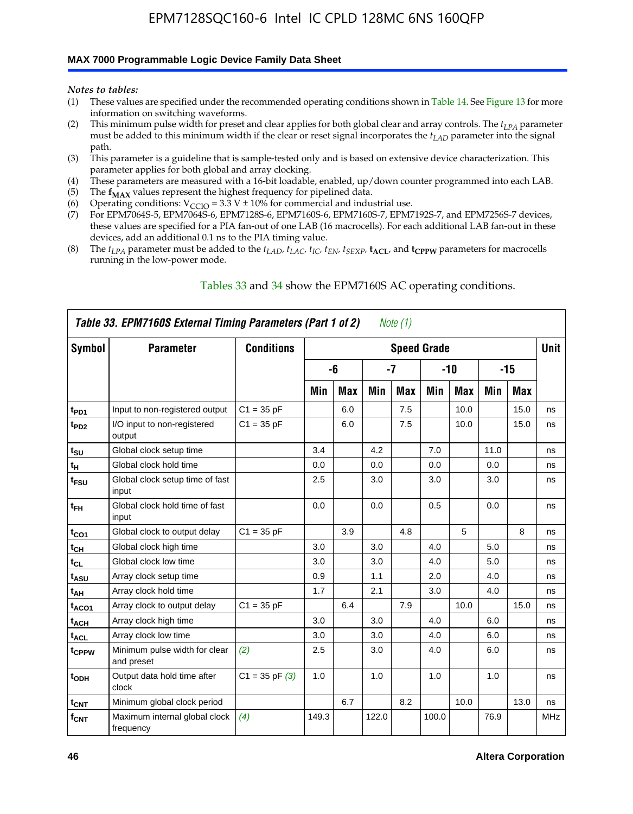#### **MAX 7000 Programmable Logic Device Family Data Sheet**

*Notes to tables:*

- (1) These values are specified under the recommended operating conditions shown in Table 14. See Figure 13 for more information on switching waveforms.
- (2) This minimum pulse width for preset and clear applies for both global clear and array controls. The  $t_{LPA}$  parameter must be added to this minimum width if the clear or reset signal incorporates the *tLAD* parameter into the signal path.
- (3) This parameter is a guideline that is sample-tested only and is based on extensive device characterization. This parameter applies for both global and array clocking.
- (4) These parameters are measured with a 16-bit loadable, enabled, up/down counter programmed into each LAB.
- (5) The  $f_{MAX}$  values represent the highest frequency for pipelined data.
- (6) Operating conditions:  $V_{\text{CCIO}} = 3.3 \text{ V} \pm 10\%$  for commercial and industrial use.
- (7) For EPM7064S-5, EPM7064S-6, EPM7128S-6, EPM7160S-6, EPM7160S-7, EPM7192S-7, and EPM7256S-7 devices, these values are specified for a PIA fan-out of one LAB (16 macrocells). For each additional LAB fan-out in these devices, add an additional 0.1 ns to the PIA timing value.
- (8) The  $t_{LPA}$  parameter must be added to the  $t_{LAD}$ ,  $t_{LAC}$ ,  $t_{IC}$ ,  $t_{EN}$ ,  $t_{SEXP}$ ,  $t_{ACL}$ , and  $t_{CPPW}$  parameters for macrocells running in the low-power mode.

|                   | Table 33. EPM7160S External Timing Parameters (Part 1 of 2) |                    |       |            |       | Note (1) |                    |            |      |       |            |
|-------------------|-------------------------------------------------------------|--------------------|-------|------------|-------|----------|--------------------|------------|------|-------|------------|
| Symbol            | <b>Parameter</b>                                            | <b>Conditions</b>  |       |            |       |          | <b>Speed Grade</b> |            |      |       | Unit       |
|                   |                                                             |                    |       | -6         |       | $-7$     |                    | $-10$      |      | $-15$ |            |
|                   |                                                             |                    | Min   | <b>Max</b> | Min   | Max      | Min                | <b>Max</b> | Min  | Max   |            |
| t <sub>PD1</sub>  | Input to non-registered output                              | $C1 = 35 pF$       |       | 6.0        |       | 7.5      |                    | 10.0       |      | 15.0  | ns         |
| $t_{PD2}$         | I/O input to non-registered<br>output                       | $C1 = 35 pF$       |       | 6.0        |       | 7.5      |                    | 10.0       |      | 15.0  | ns         |
| $t_{\text{SU}}$   | Global clock setup time                                     |                    | 3.4   |            | 4.2   |          | 7.0                |            | 11.0 |       | ns         |
| $t_H$             | Global clock hold time                                      |                    | 0.0   |            | 0.0   |          | 0.0                |            | 0.0  |       | ns         |
| t <sub>FSU</sub>  | Global clock setup time of fast<br>input                    |                    | 2.5   |            | 3.0   |          | 3.0                |            | 3.0  |       | ns         |
| $t_{FH}$          | Global clock hold time of fast<br>input                     |                    | 0.0   |            | 0.0   |          | 0.5                |            | 0.0  |       | ns         |
| $t_{CO1}$         | Global clock to output delay                                | $C1 = 35 pF$       |       | 3.9        |       | 4.8      |                    | 5          |      | 8     | ns         |
| $t_{CH}$          | Global clock high time                                      |                    | 3.0   |            | 3.0   |          | 4.0                |            | 5.0  |       | ns         |
| $t_{CL}$          | Global clock low time                                       |                    | 3.0   |            | 3.0   |          | 4.0                |            | 5.0  |       | ns         |
| t <sub>ASU</sub>  | Array clock setup time                                      |                    | 0.9   |            | 1.1   |          | 2.0                |            | 4.0  |       | ns         |
| t <sub>AH</sub>   | Array clock hold time                                       |                    | 1.7   |            | 2.1   |          | 3.0                |            | 4.0  |       | ns         |
| t <sub>ACO1</sub> | Array clock to output delay                                 | $C1 = 35 pF$       |       | 6.4        |       | 7.9      |                    | 10.0       |      | 15.0  | ns         |
| $t_{ACH}$         | Array clock high time                                       |                    | 3.0   |            | 3.0   |          | 4.0                |            | 6.0  |       | ns         |
| t <sub>ACL</sub>  | Array clock low time                                        |                    | 3.0   |            | 3.0   |          | 4.0                |            | 6.0  |       | ns         |
| tcppw             | Minimum pulse width for clear<br>and preset                 | (2)                | 2.5   |            | 3.0   |          | 4.0                |            | 6.0  |       | ns         |
| $t_{ODH}$         | Output data hold time after<br>clock                        | $C1 = 35$ pF $(3)$ | 1.0   |            | 1.0   |          | 1.0                |            | 1.0  |       | ns         |
| $t_{\text{CNT}}$  | Minimum global clock period                                 |                    |       | 6.7        |       | 8.2      |                    | 10.0       |      | 13.0  | ns         |
| $f_{\text{CNT}}$  | Maximum internal global clock<br>frequency                  | (4)                | 149.3 |            | 122.0 |          | 100.0              |            | 76.9 |       | <b>MHz</b> |

### Tables 33 and 34 show the EPM7160S AC operating conditions.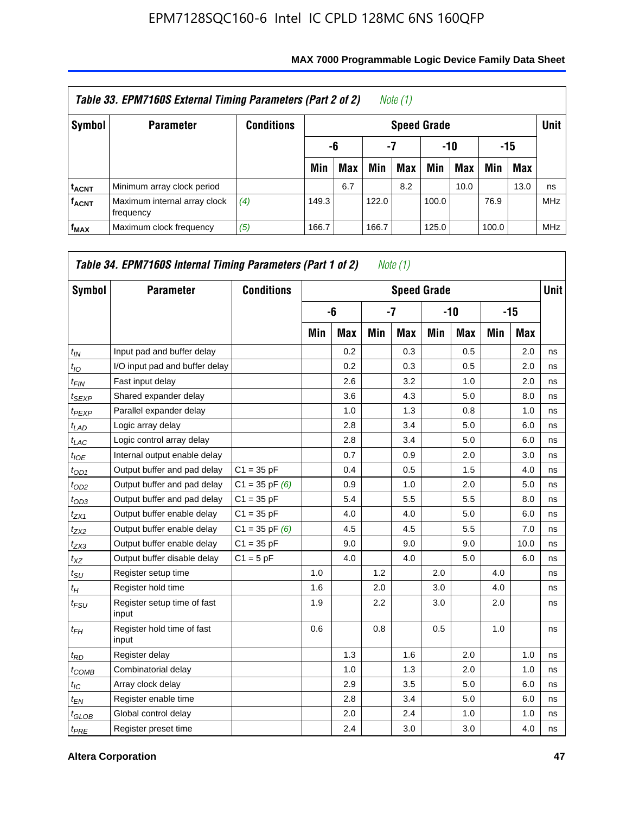|                         | Table 33. EPM7160S External Timing Parameters (Part 2 of 2) |                   |       |                        |       | Note (1) |       |      |       |            |            |  |  |
|-------------------------|-------------------------------------------------------------|-------------------|-------|------------------------|-------|----------|-------|------|-------|------------|------------|--|--|
| Symbol                  | <b>Parameter</b>                                            | <b>Conditions</b> |       | <b>Speed Grade</b>     |       |          |       |      |       |            |            |  |  |
|                         |                                                             |                   |       | -7<br>-10<br>-15<br>-6 |       |          |       |      |       |            |            |  |  |
|                         |                                                             |                   | Min   | <b>Max</b>             | Min   | Max      | Min   | Max  | Min   | <b>Max</b> |            |  |  |
| <sup>t</sup> acnt       | Minimum array clock period                                  |                   |       | 6.7                    |       | 8.2      |       | 10.0 |       | 13.0       | ns         |  |  |
| <b>f<sub>ACNT</sub></b> | Maximum internal array clock<br>frequency                   | (4)               | 149.3 |                        | 122.0 |          | 100.0 |      | 76.9  |            | <b>MHz</b> |  |  |
| $f_{MAX}$               | Maximum clock frequency                                     | (5)               | 166.7 |                        | 166.7 |          | 125.0 |      | 100.0 |            | <b>MHz</b> |  |  |

| Symbol          | <b>Parameter</b>                     | <b>Conditions</b>  |     |     |     | <b>Speed Grade</b> |     |            |     |       | <b>Unit</b> |
|-----------------|--------------------------------------|--------------------|-----|-----|-----|--------------------|-----|------------|-----|-------|-------------|
|                 |                                      |                    |     | -6  |     | -7                 |     | $-10$      |     | $-15$ |             |
|                 |                                      |                    | Min | Max | Min | <b>Max</b>         | Min | <b>Max</b> | Min | Max   |             |
| $t_{IN}$        | Input pad and buffer delay           |                    |     | 0.2 |     | 0.3                |     | 0.5        |     | 2.0   | ns          |
| $t_{IO}$        | I/O input pad and buffer delay       |                    |     | 0.2 |     | 0.3                |     | 0.5        |     | 2.0   | ns          |
| $t_{FIN}$       | Fast input delay                     |                    |     | 2.6 |     | 3.2                |     | 1.0        |     | 2.0   | ns          |
| $t_{SEXP}$      | Shared expander delay                |                    |     | 3.6 |     | 4.3                |     | 5.0        |     | 8.0   | ns          |
| $t_{PEXP}$      | Parallel expander delay              |                    |     | 1.0 |     | 1.3                |     | 0.8        |     | 1.0   | ns          |
| $t_{LAD}$       | Logic array delay                    |                    |     | 2.8 |     | 3.4                |     | 5.0        |     | 6.0   | ns          |
| $t_{LAC}$       | Logic control array delay            |                    |     | 2.8 |     | 3.4                |     | 5.0        |     | 6.0   | ns          |
| $t_{IOE}$       | Internal output enable delay         |                    |     | 0.7 |     | 0.9                |     | 2.0        |     | 3.0   | ns          |
| $t_{OD1}$       | Output buffer and pad delay          | $C1 = 35 pF$       |     | 0.4 |     | 0.5                |     | 1.5        |     | 4.0   | ns          |
| $t_{OD2}$       | Output buffer and pad delay          | $C1 = 35$ pF $(6)$ |     | 0.9 |     | 1.0                |     | 2.0        |     | 5.0   | ns          |
| $t_{OD3}$       | Output buffer and pad delay          | $C1 = 35 pF$       |     | 5.4 |     | 5.5                |     | 5.5        |     | 8.0   | ns          |
| $t_{ZX1}$       | Output buffer enable delay           | $C1 = 35 pF$       |     | 4.0 |     | 4.0                |     | 5.0        |     | 6.0   | ns          |
| $t_{ZX2}$       | Output buffer enable delay           | $C1 = 35$ pF $(6)$ |     | 4.5 |     | 4.5                |     | 5.5        |     | 7.0   | ns          |
| $t_{ZX3}$       | Output buffer enable delay           | $C1 = 35 pF$       |     | 9.0 |     | 9.0                |     | 9.0        |     | 10.0  | ns          |
| $t_{XZ}$        | Output buffer disable delay          | $C1 = 5$ pF        |     | 4.0 |     | 4.0                |     | 5.0        |     | 6.0   | ns          |
| $t_{\rm SU}$    | Register setup time                  |                    | 1.0 |     | 1.2 |                    | 2.0 |            | 4.0 |       | ns          |
| $t_H$           | Register hold time                   |                    | 1.6 |     | 2.0 |                    | 3.0 |            | 4.0 |       | ns          |
| $t_{FSU}$       | Register setup time of fast<br>input |                    | 1.9 |     | 2.2 |                    | 3.0 |            | 2.0 |       | ns          |
| $t_{FH}$        | Register hold time of fast<br>input  |                    | 0.6 |     | 0.8 |                    | 0.5 |            | 1.0 |       | ns          |
| $t_{RD}$        | Register delay                       |                    |     | 1.3 |     | 1.6                |     | 2.0        |     | 1.0   | ns          |
| $t_{COMB}$      | Combinatorial delay                  |                    |     | 1.0 |     | 1.3                |     | 2.0        |     | 1.0   | ns          |
| $t_{\text{IC}}$ | Array clock delay                    |                    |     | 2.9 |     | 3.5                |     | 5.0        |     | 6.0   | ns          |
| $t_{EN}$        | Register enable time                 |                    |     | 2.8 |     | 3.4                |     | 5.0        |     | 6.0   | ns          |
| $t_{GLOB}$      | Global control delay                 |                    |     | 2.0 |     | 2.4                |     | 1.0        |     | 1.0   | ns          |
| $t_{PRE}$       | Register preset time                 |                    |     | 2.4 |     | 3.0                |     | 3.0        |     | 4.0   | ns          |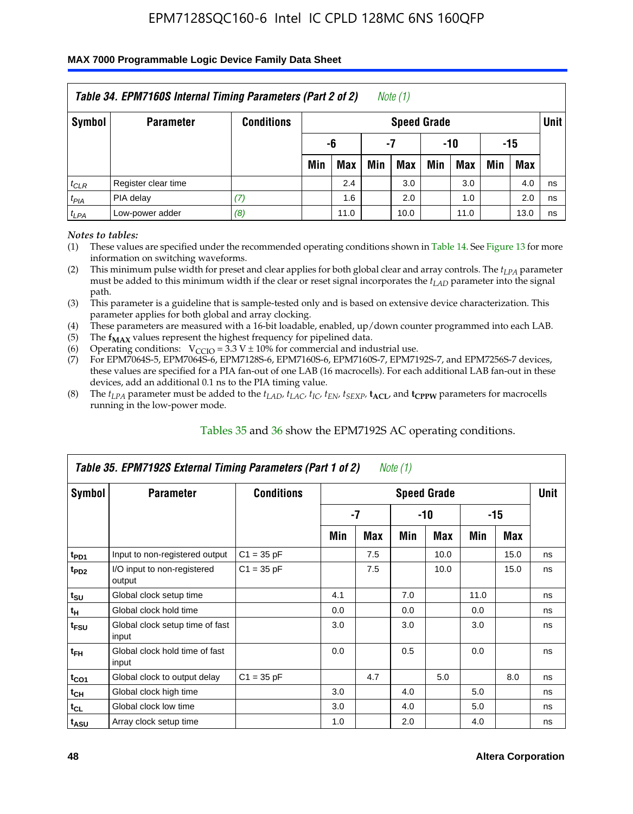### **MAX 7000 Programmable Logic Device Family Data Sheet**

|           | Table 34. EPM7160S Internal Timing Parameters (Part 2 of 2) |                   |                          |                    |     | Note $(1)$ |     |      |     |            |    |  |  |
|-----------|-------------------------------------------------------------|-------------------|--------------------------|--------------------|-----|------------|-----|------|-----|------------|----|--|--|
| Symbol    | <b>Parameter</b>                                            | <b>Conditions</b> |                          | <b>Speed Grade</b> |     |            |     |      |     |            |    |  |  |
|           |                                                             |                   | $-10$<br>-6<br>-15<br>-7 |                    |     |            |     |      |     |            |    |  |  |
|           |                                                             |                   | Min                      | Max                | Min | Max        | Min | Max  | Min | <b>Max</b> |    |  |  |
| $t_{CLR}$ | Register clear time                                         |                   |                          | 2.4                |     | 3.0        |     | 3.0  |     | 4.0        | ns |  |  |
| $t_{PIA}$ | PIA delay                                                   | (7)               |                          | 1.6                |     | 2.0        |     | 1.0  |     | 2.0        | ns |  |  |
| $t_{LPA}$ | Low-power adder                                             | (8)               |                          | 11.0               |     | 10.0       |     | 11.0 |     | 13.0       | ns |  |  |

*Notes to tables:*

- (1) These values are specified under the recommended operating conditions shown in Table 14. See Figure 13 for more information on switching waveforms.
- (2) This minimum pulse width for preset and clear applies for both global clear and array controls. The  $t_{LPA}$  parameter must be added to this minimum width if the clear or reset signal incorporates the *t<sub>LAD</sub>* parameter into the signal path.
- (3) This parameter is a guideline that is sample-tested only and is based on extensive device characterization. This parameter applies for both global and array clocking.
- (4) These parameters are measured with a 16-bit loadable, enabled, up/down counter programmed into each LAB.
- (5) The  $f_{MAX}$  values represent the highest frequency for pipelined data.
- (6) Operating conditions:  $V_{\text{CCIO}} = 3.3 V \pm 10\%$  for commercial and industrial use.
- (7) For EPM7064S-5, EPM7064S-6, EPM7128S-6, EPM7160S-6, EPM7160S-7, EPM7192S-7, and EPM7256S-7 devices, these values are specified for a PIA fan-out of one LAB (16 macrocells). For each additional LAB fan-out in these devices, add an additional 0.1 ns to the PIA timing value.
- (8) The  $t_{LPA}$  parameter must be added to the  $t_{LAP}$ ,  $t_{LAC}$ ,  $t_{IC}$ ,  $t_{EN}$ ,  $t_{SEXP}$ ,  $t_{ACL}$ , and  $t_{CPPW}$  parameters for macrocells running in the low-power mode.

|                               | Table 35. EPM7192S External Timing Parameters (Part 1 of 2) |                   |     |      | Note (1) |                    |      |      |             |
|-------------------------------|-------------------------------------------------------------|-------------------|-----|------|----------|--------------------|------|------|-------------|
| Symbol                        | <b>Parameter</b>                                            | <b>Conditions</b> |     |      |          | <b>Speed Grade</b> |      |      | <b>Unit</b> |
|                               |                                                             |                   |     | $-7$ |          | -10                |      | -15  |             |
|                               |                                                             |                   | Min | Max  | Min      | <b>Max</b>         | Min  | Max  |             |
| t <sub>PD1</sub>              | Input to non-registered output                              | $C1 = 35 pF$      |     | 7.5  |          | 10.0               |      | 15.0 | ns          |
| $t_{PD2}$                     | I/O input to non-registered<br>output                       | $C1 = 35 pF$      |     | 7.5  |          | 10.0               |      | 15.0 | ns          |
| $t_{\scriptstyle\textrm{SU}}$ | Global clock setup time                                     |                   | 4.1 |      | 7.0      |                    | 11.0 |      | ns          |
| $t_H$                         | Global clock hold time                                      |                   | 0.0 |      | 0.0      |                    | 0.0  |      | ns          |
| t <sub>FSU</sub>              | Global clock setup time of fast<br>input                    |                   | 3.0 |      | 3.0      |                    | 3.0  |      | ns          |
| $t_{FH}$                      | Global clock hold time of fast<br>input                     |                   | 0.0 |      | 0.5      |                    | 0.0  |      | ns          |
| $t_{CO1}$                     | Global clock to output delay                                | $C1 = 35 pF$      |     | 4.7  |          | 5.0                |      | 8.0  | ns          |
| $t_{\mathsf{CH}}$             | Global clock high time                                      |                   | 3.0 |      | 4.0      |                    | 5.0  |      | ns          |
| $t_{CL}$                      | Global clock low time                                       |                   | 3.0 |      | 4.0      |                    | 5.0  |      | ns          |
| t <sub>ASU</sub>              | Array clock setup time                                      |                   | 1.0 |      | 2.0      |                    | 4.0  |      | ns          |

### Tables 35 and 36 show the EPM7192S AC operating conditions.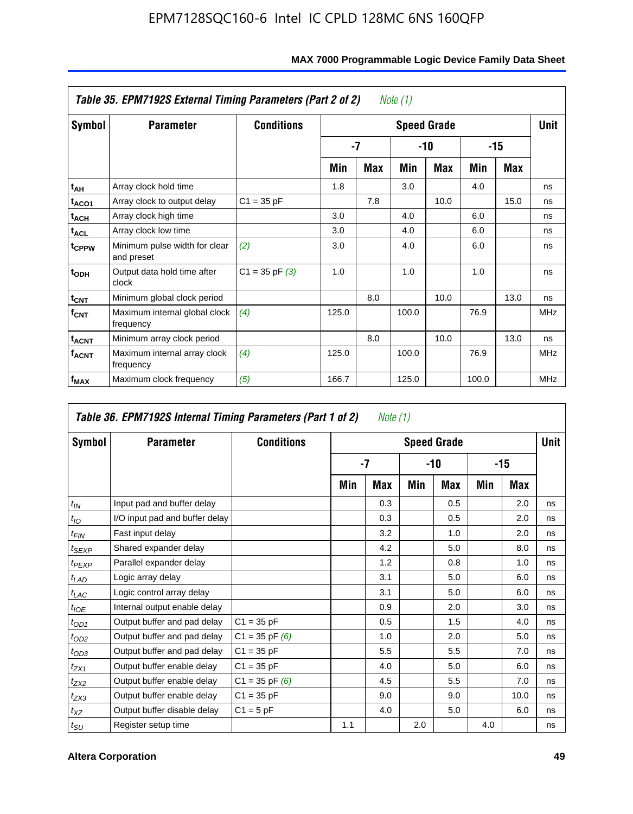|                         | Table 35. EPM7192S External Timing Parameters (Part 2 of 2) |                    |       |     | Note (1) |                    |       |      |            |
|-------------------------|-------------------------------------------------------------|--------------------|-------|-----|----------|--------------------|-------|------|------------|
| Symbol                  | <b>Parameter</b>                                            | <b>Conditions</b>  |       |     |          | <b>Speed Grade</b> |       |      | Unit       |
|                         |                                                             |                    |       | -7  |          | -10                |       | -15  |            |
|                         |                                                             |                    | Min   | Max | Min      | <b>Max</b>         | Min   | Max  |            |
| t <sub>AH</sub>         | Array clock hold time                                       |                    | 1.8   |     | 3.0      |                    | 4.0   |      | ns         |
| t <sub>ACO1</sub>       | Array clock to output delay                                 | $C1 = 35 pF$       |       | 7.8 |          | 10.0               |       | 15.0 | ns         |
| $t_{\sf ACH}$           | Array clock high time                                       |                    | 3.0   |     | 4.0      |                    | 6.0   |      | ns         |
| $t_{\sf ACL}$           | Array clock low time                                        |                    | 3.0   |     | 4.0      |                    | 6.0   |      | ns         |
| t <sub>CPPW</sub>       | Minimum pulse width for clear<br>and preset                 | (2)                | 3.0   |     | 4.0      |                    | 6.0   |      | ns         |
| $t_{ODH}$               | Output data hold time after<br>clock                        | $C1 = 35$ pF $(3)$ | 1.0   |     | 1.0      |                    | 1.0   |      | ns         |
| $t_{\mathsf{CNT}}$      | Minimum global clock period                                 |                    |       | 8.0 |          | 10.0               |       | 13.0 | ns         |
| $f_{\text{CNT}}$        | Maximum internal global clock<br>frequency                  | (4)                | 125.0 |     | 100.0    |                    | 76.9  |      | <b>MHz</b> |
| $t_{ACNT}$              | Minimum array clock period                                  |                    |       | 8.0 |          | 10.0               |       | 13.0 | ns         |
| <b>f<sub>ACNT</sub></b> | Maximum internal array clock<br>frequency                   | (4)                | 125.0 |     | 100.0    |                    | 76.9  |      | <b>MHz</b> |
| f <sub>MAX</sub>        | Maximum clock frequency                                     | (5)                | 166.7 |     | 125.0    |                    | 100.0 |      | <b>MHz</b> |

|                   | Table 36. EPM7192S Internal Timing Parameters (Part 1 of 2) |                    |     | Note (1) |     |                    |     |       |      |
|-------------------|-------------------------------------------------------------|--------------------|-----|----------|-----|--------------------|-----|-------|------|
| Symbol            | <b>Parameter</b>                                            | <b>Conditions</b>  |     |          |     | <b>Speed Grade</b> |     |       | Unit |
|                   |                                                             |                    |     | -7       |     | -10                |     | $-15$ |      |
|                   |                                                             |                    | Min | Max      | Min | <b>Max</b>         | Min | Max   |      |
| $t_{IN}$          | Input pad and buffer delay                                  |                    |     | 0.3      |     | 0.5                |     | 2.0   | ns   |
| $t_{IO}$          | I/O input pad and buffer delay                              |                    |     | 0.3      |     | 0.5                |     | 2.0   | ns   |
| $t_{FIN}$         | Fast input delay                                            |                    |     | 3.2      |     | 1.0                |     | 2.0   | ns   |
| t <sub>SEXP</sub> | Shared expander delay                                       |                    |     | 4.2      |     | 5.0                |     | 8.0   | ns   |
| $t_{PEXP}$        | Parallel expander delay                                     |                    |     | 1.2      |     | 0.8                |     | 1.0   | ns   |
| $t_{LAD}$         | Logic array delay                                           |                    |     | 3.1      |     | 5.0                |     | 6.0   | ns   |
| $t_{LAC}$         | Logic control array delay                                   |                    |     | 3.1      |     | 5.0                |     | 6.0   | ns   |
| $t_{IOE}$         | Internal output enable delay                                |                    |     | 0.9      |     | 2.0                |     | 3.0   | ns   |
| $t_{OD1}$         | Output buffer and pad delay                                 | $C1 = 35 pF$       |     | 0.5      |     | 1.5                |     | 4.0   | ns   |
| $t_{OD2}$         | Output buffer and pad delay                                 | $C1 = 35$ pF $(6)$ |     | 1.0      |     | 2.0                |     | 5.0   | ns   |
| $t_{OD3}$         | Output buffer and pad delay                                 | $C1 = 35 pF$       |     | 5.5      |     | 5.5                |     | 7.0   | ns   |
| $t_{ZX1}$         | Output buffer enable delay                                  | $C1 = 35 pF$       |     | 4.0      |     | 5.0                |     | 6.0   | ns   |
| $t_{ZX2}$         | Output buffer enable delay                                  | $C1 = 35$ pF $(6)$ |     | 4.5      |     | 5.5                |     | 7.0   | ns   |
| $t_{ZX3}$         | Output buffer enable delay                                  | $C1 = 35 pF$       |     | 9.0      |     | 9.0                |     | 10.0  | ns   |
| $t_{XZ}$          | Output buffer disable delay                                 | $C1 = 5pF$         |     | 4.0      |     | 5.0                |     | 6.0   | ns   |
| $t_{\text{SU}}$   | Register setup time                                         |                    | 1.1 |          | 2.0 |                    | 4.0 |       | ns   |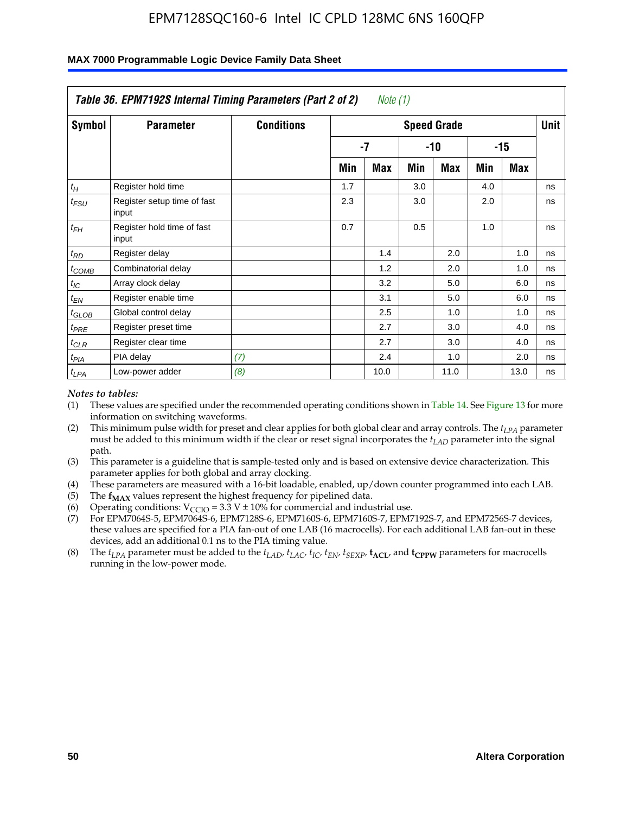|                    | Table 36. EPM7192S Internal Timing Parameters (Part 2 of 2) |                   |     | Note (1) |     |                    |     |       |      |
|--------------------|-------------------------------------------------------------|-------------------|-----|----------|-----|--------------------|-----|-------|------|
| Symbol             | <b>Parameter</b>                                            | <b>Conditions</b> |     |          |     | <b>Speed Grade</b> |     |       | Unit |
|                    |                                                             |                   |     | -7       |     | -10                |     | $-15$ |      |
|                    |                                                             |                   | Min | Max      | Min | Max                | Min | Max   |      |
| $t_H$              | Register hold time                                          |                   | 1.7 |          | 3.0 |                    | 4.0 |       | ns   |
| $t_{\mathit{FSU}}$ | Register setup time of fast<br>input                        |                   | 2.3 |          | 3.0 |                    | 2.0 |       | ns   |
| $t_{FH}$           | Register hold time of fast<br>input                         |                   | 0.7 |          | 0.5 |                    | 1.0 |       | ns   |
| $t_{RD}$           | Register delay                                              |                   |     | 1.4      |     | 2.0                |     | 1.0   | ns   |
| $t_{COMB}$         | Combinatorial delay                                         |                   |     | 1.2      |     | 2.0                |     | 1.0   | ns   |
| $t_{IC}$           | Array clock delay                                           |                   |     | 3.2      |     | 5.0                |     | 6.0   | ns   |
| $t_{EN}$           | Register enable time                                        |                   |     | 3.1      |     | 5.0                |     | 6.0   | ns   |
| $t_{GLOB}$         | Global control delay                                        |                   |     | 2.5      |     | 1.0                |     | 1.0   | ns   |
| $t_{PRE}$          | Register preset time                                        |                   |     | 2.7      |     | 3.0                |     | 4.0   | ns   |
| $t_{CLR}$          | Register clear time                                         |                   |     | 2.7      |     | 3.0                |     | 4.0   | ns   |
| t <sub>PIA</sub>   | PIA delay                                                   | (7)               |     | 2.4      |     | 1.0                |     | 2.0   | ns   |
| $t_{LPA}$          | Low-power adder                                             | (8)               |     | 10.0     |     | 11.0               |     | 13.0  | ns   |

#### **MAX 7000 Programmable Logic Device Family Data Sheet**

#### *Notes to tables:*

- (1) These values are specified under the recommended operating conditions shown in Table 14. See Figure 13 for more information on switching waveforms.
- (2) This minimum pulse width for preset and clear applies for both global clear and array controls. The *tLPA* parameter must be added to this minimum width if the clear or reset signal incorporates the *t<sub>LAD</sub>* parameter into the signal path.
- (3) This parameter is a guideline that is sample-tested only and is based on extensive device characterization. This parameter applies for both global and array clocking.
- (4) These parameters are measured with a 16-bit loadable, enabled, up/down counter programmed into each LAB.
- (5) The  $f_{MAX}$  values represent the highest frequency for pipelined data.
- (6) Operating conditions:  $V_{\text{CCIO}} = 3.3 \text{ V} \pm 10\%$  for commercial and industrial use.
- (7) For EPM7064S-5, EPM7064S-6, EPM7128S-6, EPM7160S-6, EPM7160S-7, EPM7192S-7, and EPM7256S-7 devices, these values are specified for a PIA fan-out of one LAB (16 macrocells). For each additional LAB fan-out in these devices, add an additional 0.1 ns to the PIA timing value.
- (8) The  $t_{LPA}$  parameter must be added to the  $t_{LAD}$ ,  $t_{LAC}$ ,  $t_{IC}$ ,  $t_{EN}$ ,  $t_{SIX}$ ,  $t_{ACL}$ , and  $t_{CPW}$  parameters for macrocells running in the low-power mode.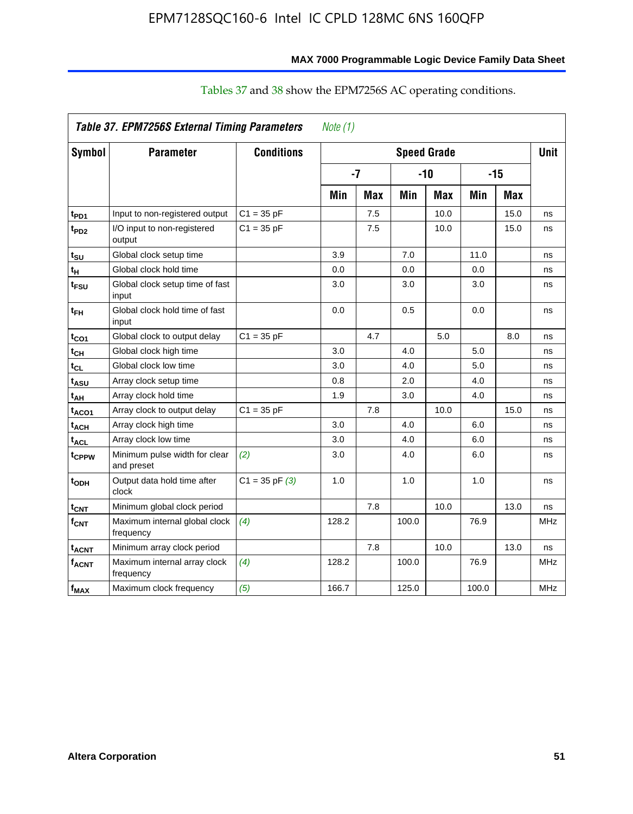|                    | Table 37. EPM7256S External Timing Parameters |                    | Note $(1)$ |            |                    |            |       |            |            |
|--------------------|-----------------------------------------------|--------------------|------------|------------|--------------------|------------|-------|------------|------------|
| Symbol             | <b>Parameter</b>                              | <b>Conditions</b>  |            |            | <b>Speed Grade</b> |            |       |            | Unit       |
|                    |                                               |                    | $-7$       |            |                    | $-10$      | $-15$ |            |            |
|                    |                                               |                    | Min        | <b>Max</b> | Min                | <b>Max</b> | Min   | <b>Max</b> |            |
| t <sub>PD1</sub>   | Input to non-registered output                | $C1 = 35 pF$       |            | 7.5        |                    | 10.0       |       | 15.0       | ns         |
| t <sub>PD2</sub>   | I/O input to non-registered<br>output         | $C1 = 35 pF$       |            | 7.5        |                    | 10.0       |       | 15.0       | ns         |
| $t_{\text{SU}}$    | Global clock setup time                       |                    | 3.9        |            | 7.0                |            | 11.0  |            | ns         |
| $t_H$              | Global clock hold time                        |                    | 0.0        |            | 0.0                |            | 0.0   |            | ns         |
| t <sub>FSU</sub>   | Global clock setup time of fast<br>input      |                    | 3.0        |            | 3.0                |            | 3.0   |            | ns         |
| $t_{FH}$           | Global clock hold time of fast<br>input       |                    | 0.0        |            | 0.5                |            | 0.0   |            | ns         |
| $t_{CO1}$          | Global clock to output delay                  | $C1 = 35 pF$       |            | 4.7        |                    | 5.0        |       | 8.0        | ns         |
| $t_{CH}$           | Global clock high time                        |                    | 3.0        |            | 4.0                |            | 5.0   |            | ns         |
| $t_{CL}$           | Global clock low time                         |                    | 3.0        |            | 4.0                |            | 5.0   |            | ns         |
| $t_{ASU}$          | Array clock setup time                        |                    | 0.8        |            | 2.0                |            | 4.0   |            | ns         |
| t <sub>AH</sub>    | Array clock hold time                         |                    | 1.9        |            | 3.0                |            | 4.0   |            | ns         |
| $t_{ACO1}$         | Array clock to output delay                   | $C1 = 35 pF$       |            | 7.8        |                    | 10.0       |       | 15.0       | ns         |
| t <sub>ACH</sub>   | Array clock high time                         |                    | 3.0        |            | 4.0                |            | 6.0   |            | ns         |
| $t_{ACL}$          | Array clock low time                          |                    | 3.0        |            | 4.0                |            | 6.0   |            | ns         |
| t <sub>CPPW</sub>  | Minimum pulse width for clear<br>and preset   | (2)                | 3.0        |            | 4.0                |            | 6.0   |            | ns         |
| t <sub>ODH</sub>   | Output data hold time after<br>clock          | $C1 = 35$ pF $(3)$ | 1.0        |            | 1.0                |            | 1.0   |            | ns         |
| $t_{CNT}$          | Minimum global clock period                   |                    |            | 7.8        |                    | 10.0       |       | 13.0       | ns         |
| $f_{\mathsf{CNT}}$ | Maximum internal global clock<br>frequency    | (4)                | 128.2      |            | 100.0              |            | 76.9  |            | <b>MHz</b> |
| t <sub>ACNT</sub>  | Minimum array clock period                    |                    |            | 7.8        |                    | 10.0       |       | 13.0       | ns         |
| $f_{ACNT}$         | Maximum internal array clock<br>frequency     | (4)                | 128.2      |            | 100.0              |            | 76.9  |            | <b>MHz</b> |
| f <sub>MAX</sub>   | Maximum clock frequency                       | (5)                | 166.7      |            | 125.0              |            | 100.0 |            | <b>MHz</b> |

# Tables 37 and 38 show the EPM7256S AC operating conditions.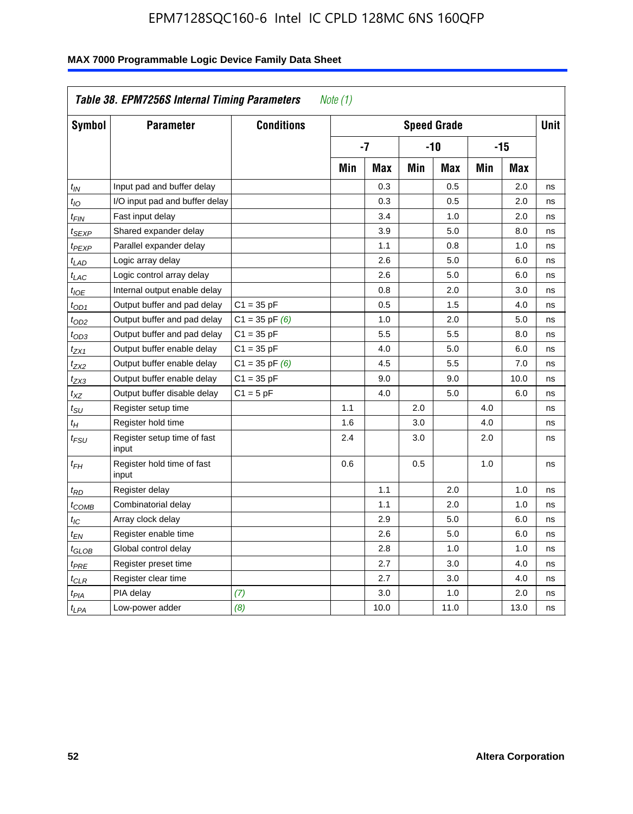| Symbol                      | <b>Parameter</b>                     | <b>Conditions</b>  |     |            |     | <b>Speed Grade</b> |     |            | <b>Unit</b> |
|-----------------------------|--------------------------------------|--------------------|-----|------------|-----|--------------------|-----|------------|-------------|
|                             |                                      |                    |     | $-7$       |     | $-10$              |     | $-15$      |             |
|                             |                                      |                    | Min | <b>Max</b> | Min | <b>Max</b>         | Min | <b>Max</b> |             |
| $t_{IN}$                    | Input pad and buffer delay           |                    |     | 0.3        |     | 0.5                |     | 2.0        | ns          |
| $t_{IO}$                    | I/O input pad and buffer delay       |                    |     | 0.3        |     | 0.5                |     | 2.0        | ns          |
| t <sub>FIN</sub>            | Fast input delay                     |                    |     | 3.4        |     | 1.0                |     | 2.0        | ns          |
| t <sub>SEXP</sub>           | Shared expander delay                |                    |     | 3.9        |     | 5.0                |     | 8.0        | ns          |
| t <sub>PEXP</sub>           | Parallel expander delay              |                    |     | 1.1        |     | 0.8                |     | 1.0        | ns          |
| t <sub>LAD</sub>            | Logic array delay                    |                    |     | 2.6        |     | 5.0                |     | 6.0        | ns          |
| $t_{LAC}$                   | Logic control array delay            |                    |     | 2.6        |     | 5.0                |     | 6.0        | ns          |
| $t_{IOE}$                   | Internal output enable delay         |                    |     | 0.8        |     | 2.0                |     | 3.0        | ns          |
| $t_{OD1}$                   | Output buffer and pad delay          | $C1 = 35 pF$       |     | 0.5        |     | 1.5                |     | 4.0        | ns          |
| t <sub>OD2</sub>            | Output buffer and pad delay          | $C1 = 35$ pF $(6)$ |     | 1.0        |     | 2.0                |     | 5.0        | ns          |
| $t_{OD3}$                   | Output buffer and pad delay          | $C1 = 35 pF$       |     | 5.5        |     | 5.5                |     | 8.0        | ns          |
| t <sub>ZX1</sub>            | Output buffer enable delay           | $C1 = 35 pF$       |     | 4.0        |     | 5.0                |     | 6.0        | ns          |
| t <sub>ZX2</sub>            | Output buffer enable delay           | $C1 = 35$ pF $(6)$ |     | 4.5        |     | 5.5                |     | 7.0        | ns          |
| t <sub>ZX3</sub>            | Output buffer enable delay           | $C1 = 35 pF$       |     | 9.0        |     | 9.0                |     | 10.0       | ns          |
| $t_{\chi Z}$                | Output buffer disable delay          | $C1 = 5pF$         |     | 4.0        |     | 5.0                |     | 6.0        | ns          |
| $t_{\scriptstyle\text{SU}}$ | Register setup time                  |                    | 1.1 |            | 2.0 |                    | 4.0 |            | ns          |
| $t_H$                       | Register hold time                   |                    | 1.6 |            | 3.0 |                    | 4.0 |            | ns          |
| t <sub>FSU</sub>            | Register setup time of fast<br>input |                    | 2.4 |            | 3.0 |                    | 2.0 |            | ns          |
| $t_{FH}$                    | Register hold time of fast<br>input  |                    | 0.6 |            | 0.5 |                    | 1.0 |            | ns          |
| $t_{RD}$                    | Register delay                       |                    |     | 1.1        |     | 2.0                |     | 1.0        | ns          |
| $t_{COMB}$                  | Combinatorial delay                  |                    |     | 1.1        |     | 2.0                |     | 1.0        | ns          |
| t <sub>IC</sub>             | Array clock delay                    |                    |     | 2.9        |     | 5.0                |     | 6.0        | ns          |
| t <sub>EN</sub>             | Register enable time                 |                    |     | 2.6        |     | 5.0                |     | 6.0        | ns          |
| t <sub>GLOB</sub>           | Global control delay                 |                    |     | 2.8        |     | 1.0                |     | 1.0        | ns          |
| $t_{PRE}$                   | Register preset time                 |                    |     | 2.7        |     | 3.0                |     | 4.0        | ns          |
| $t_{\sf CLR}$               | Register clear time                  |                    |     | 2.7        |     | 3.0                |     | 4.0        | ns          |
| $t_{PIA}$                   | PIA delay                            | (7)                |     | 3.0        |     | 1.0                |     | 2.0        | ns          |
| $t_{LPA}$                   | Low-power adder                      | (8)                |     | 10.0       |     | 11.0               |     | 13.0       | ns          |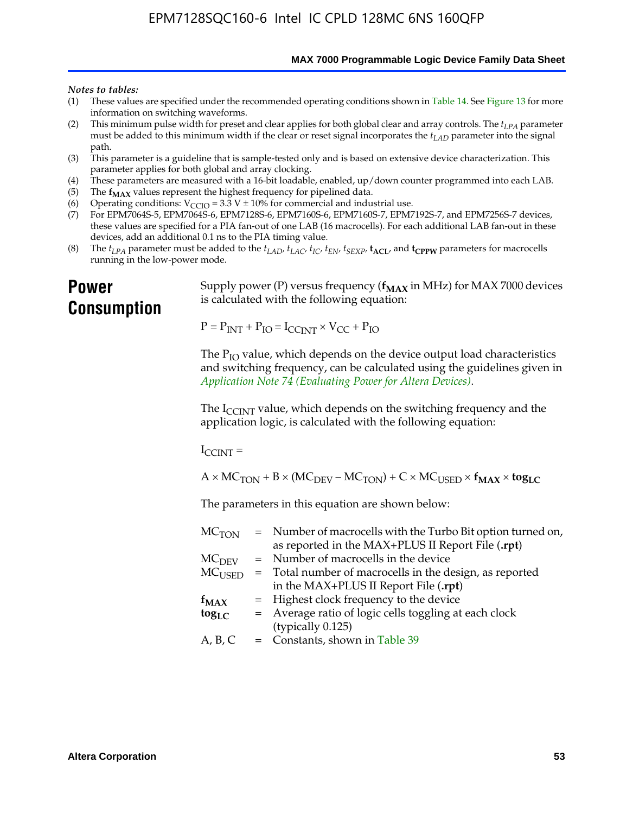**MAX 7000 Programmable Logic Device Family Data Sheet**

#### *Notes to tables:*

- (1) These values are specified under the recommended operating conditions shown in Table 14. See Figure 13 for more information on switching waveforms.
- (2) This minimum pulse width for preset and clear applies for both global clear and array controls. The  $t_{LPA}$  parameter must be added to this minimum width if the clear or reset signal incorporates the *tLAD* parameter into the signal path.
- (3) This parameter is a guideline that is sample-tested only and is based on extensive device characterization. This parameter applies for both global and array clocking.
- (4) These parameters are measured with a 16-bit loadable, enabled, up/down counter programmed into each LAB.
- (5) The  $f_{MAX}$  values represent the highest frequency for pipelined data.
- (6) Operating conditions:  $V_{\text{CCIO}} = 3.3 \text{ V} \pm 10\%$  for commercial and industrial use.
- (7) For EPM7064S-5, EPM7064S-6, EPM7128S-6, EPM7160S-6, EPM7160S-7, EPM7192S-7, and EPM7256S-7 devices, these values are specified for a PIA fan-out of one LAB (16 macrocells). For each additional LAB fan-out in these devices, add an additional 0.1 ns to the PIA timing value.
- (8) The  $t_{LPA}$  parameter must be added to the  $t_{LAD}$ ,  $t_{LAC}$ ,  $t_{IC}$ ,  $t_{EN}$ ,  $t_{SEXP}$ ,  $t_{ACL}$ , and  $t_{CPPW}$  parameters for macrocells running in the low-power mode.

# **Power Consumption**

[Supply power \(P\) versus frequency \(](http://www.altera.com/literature/an/an074.pdf) $f_{MAX}$  in MHz) for MAX 7000 devices is calculated with the following equation:

 $P = P_{INT} + P_{IO} = I_{CCLNT} \times V_{CC} + P_{IO}$ 

The  $P_{IO}$  value, which depends on the device output load characteristics and switching frequency, can be calculated using the guidelines given in *Application Note 74 (Evaluating Power for Altera Devices)*.

The  $I_{\text{CCINT}}$  value, which depends on the switching frequency and the application logic, is calculated with the following equation:

 $I_{\text{CCTNT}} =$ 

 $A \times MC_{TON} + B \times (MC_{DEFU} - MC_{TON}) + C \times MC_{LISED} \times f_{MAX} \times tog_{LC}$ 

The parameters in this equation are shown below:

| $MC$ <sub>TON</sub> | = Number of macrocells with the Turbo Bit option turned on,                |
|---------------------|----------------------------------------------------------------------------|
|                     | as reported in the MAX+PLUS II Report File (.rpt)                          |
| MC <sub>DFV</sub>   | = Number of macrocells in the device                                       |
|                     | $MC_{\text{USED}}$ = Total number of macrocells in the design, as reported |
|                     | in the MAX+PLUS II Report File (.rpt)                                      |
| $f_{MAX}$           | = Highest clock frequency to the device                                    |
| $tog_{LC}$          | = Average ratio of logic cells toggling at each clock                      |
|                     | (typically 0.125)                                                          |
| A, B, C             | = Constants, shown in Table 39                                             |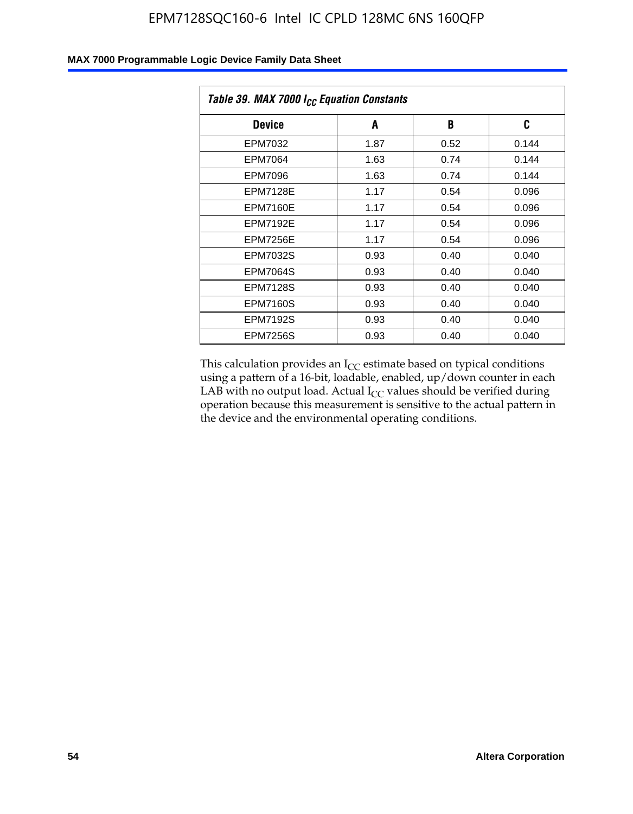| Table 39. MAX 7000 I <sub>CC</sub> Equation Constants |      |      |       |  |  |
|-------------------------------------------------------|------|------|-------|--|--|
| <b>Device</b>                                         | A    | B    | C     |  |  |
| EPM7032                                               | 1.87 | 0.52 | 0.144 |  |  |
| EPM7064                                               | 1.63 | 0.74 | 0.144 |  |  |
| <b>EPM7096</b>                                        | 1.63 | 0.74 | 0.144 |  |  |
| <b>EPM7128E</b>                                       | 1.17 | 0.54 | 0.096 |  |  |
| <b>EPM7160E</b>                                       | 1.17 | 0.54 | 0.096 |  |  |
| <b>EPM7192E</b>                                       | 1.17 | 0.54 | 0.096 |  |  |
| <b>EPM7256E</b>                                       | 1.17 | 0.54 | 0.096 |  |  |
| <b>EPM7032S</b>                                       | 0.93 | 0.40 | 0.040 |  |  |
| <b>EPM7064S</b>                                       | 0.93 | 0.40 | 0.040 |  |  |
| <b>EPM7128S</b>                                       | 0.93 | 0.40 | 0.040 |  |  |
| <b>EPM7160S</b>                                       | 0.93 | 0.40 | 0.040 |  |  |
| <b>EPM7192S</b>                                       | 0.93 | 0.40 | 0.040 |  |  |
| <b>EPM7256S</b>                                       | 0.93 | 0.40 | 0.040 |  |  |

This calculation provides an  $I_{CC}$  estimate based on typical conditions using a pattern of a 16-bit, loadable, enabled, up/down counter in each LAB with no output load. Actual  $I_{CC}$  values should be verified during operation because this measurement is sensitive to the actual pattern in the device and the environmental operating conditions.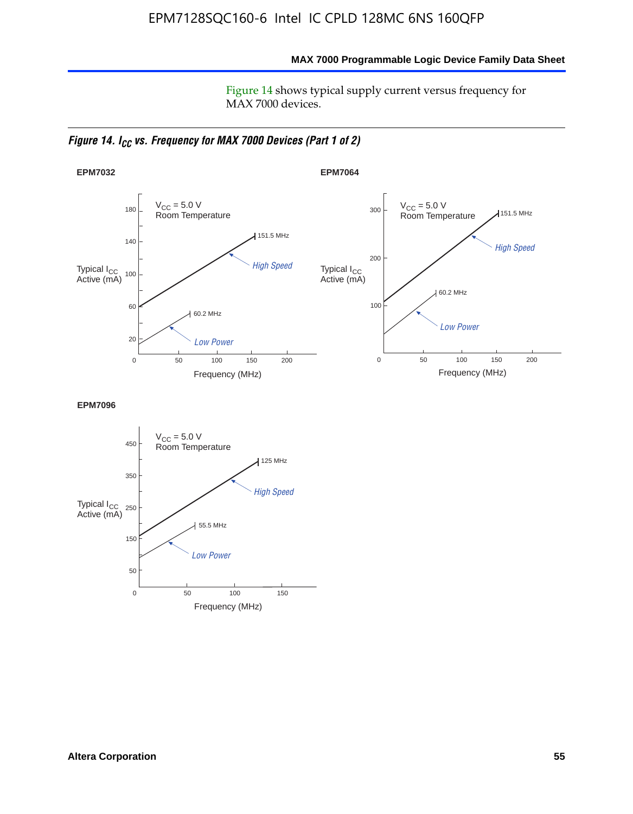### **MAX 7000 Programmable Logic Device Family Data Sheet**

Figure 14 shows typical supply current versus frequency for MAX 7000 devices.

*Figure 14. I<sub>CC</sub> vs. Frequency for MAX 7000 Devices (Part 1 of 2)* 



**EPM7096**

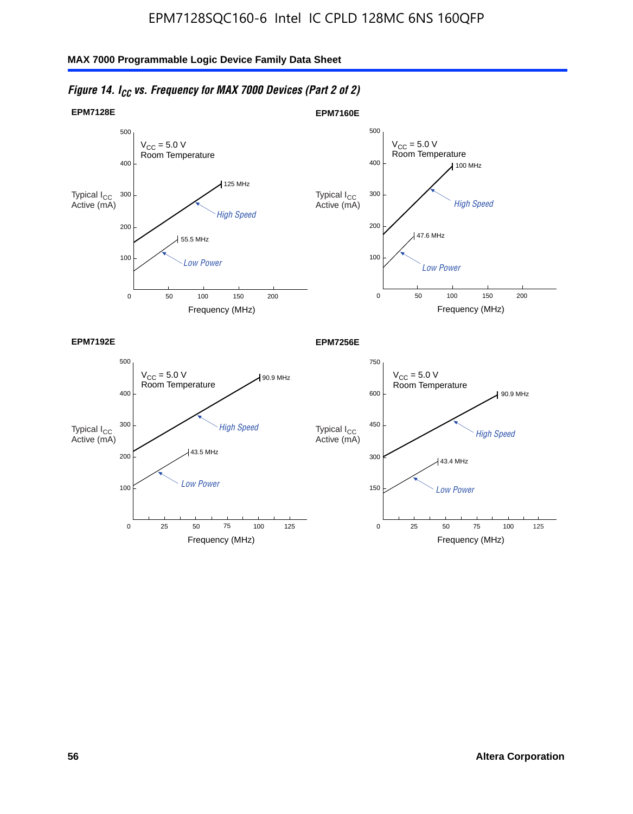

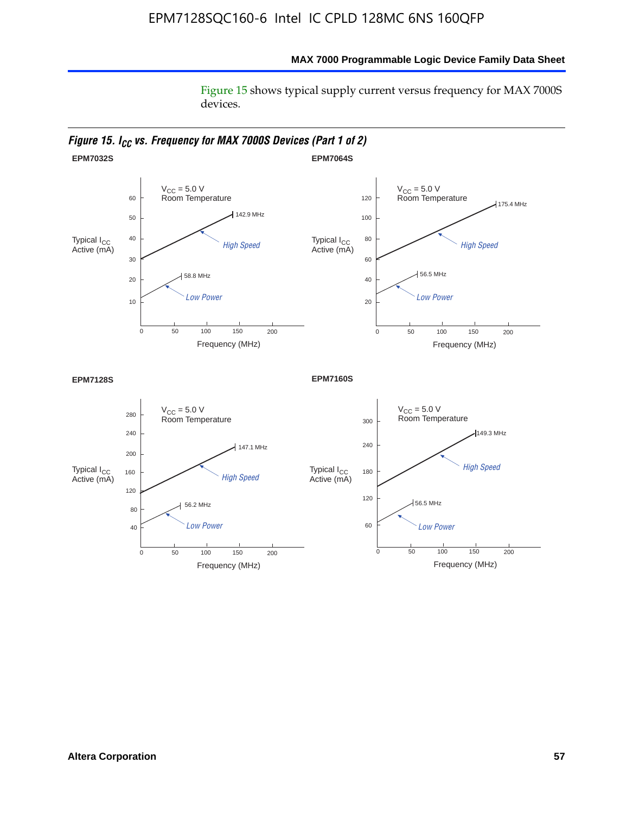Figure 15 shows typical supply current versus frequency for MAX 7000S devices.

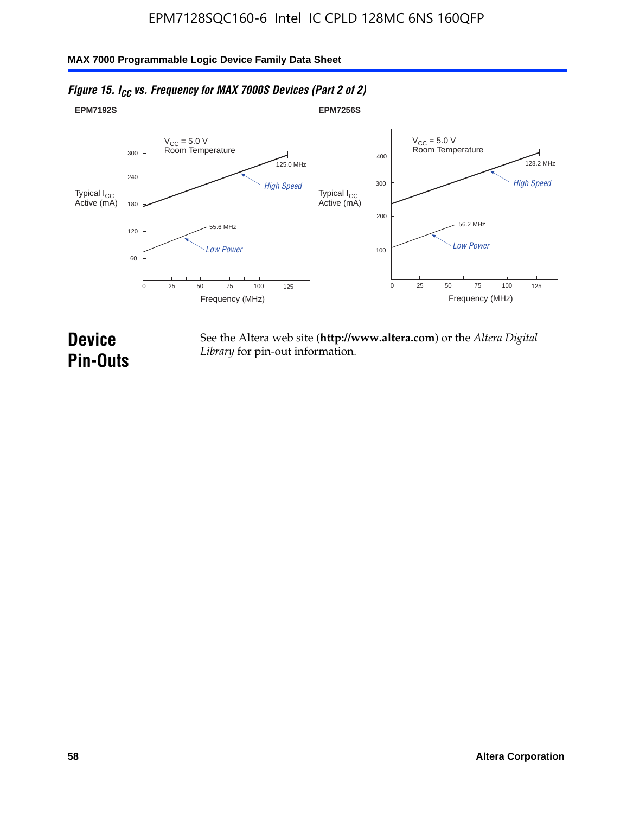#### **EPM7192S** V<sub>CC</sub> = 5.0 V<br>Room Temperature 0 Frequency (MHz) High Speed Low Power 25 100 125 125.0 MHz 55.6 MHz 60 120 180 240 300 50 75 **EPM7256S** V<sub>CC</sub> = 5.0 V<br>Room Temperature 0 Frequency (MHz) High Speed Low Power 25 100 125 128.2 MHz 56.2 MHz 100 200 300 400 50 75 Typical I<sub>CC</sub><br>Active (mA) Typical I<sub>CC</sub> Typical I<sub>CC</sub> Typical I<sub>C</sub> Typical I<sub>C</sub> Typical I<sub>C</sub> Typical I<sub>C</sub> Typical I<sub>C</sub> Typical I<sub>C</sub> Typical I<sub>C</sub> Typical I<sub>C</sub> Typical I<sub>C</sub> Typical I<sub>C</sub> Typical I<sub>C</sub> Typical I<sub>C</sub> Typical I<sub>C</sub> Typical I<sub>C</sub> Typical I<sub>C</sub> Typical I<sub>CC</sub><br>Active (mA)

## *Figure 15. I<sub>CC</sub> vs. Frequency for MAX 7000S Devices (Part 2 of 2)*

# **Device Pin-Outs**

See the Altera web site (**http://www.altera.com**) or the *Altera Digital Library* for pin-out information.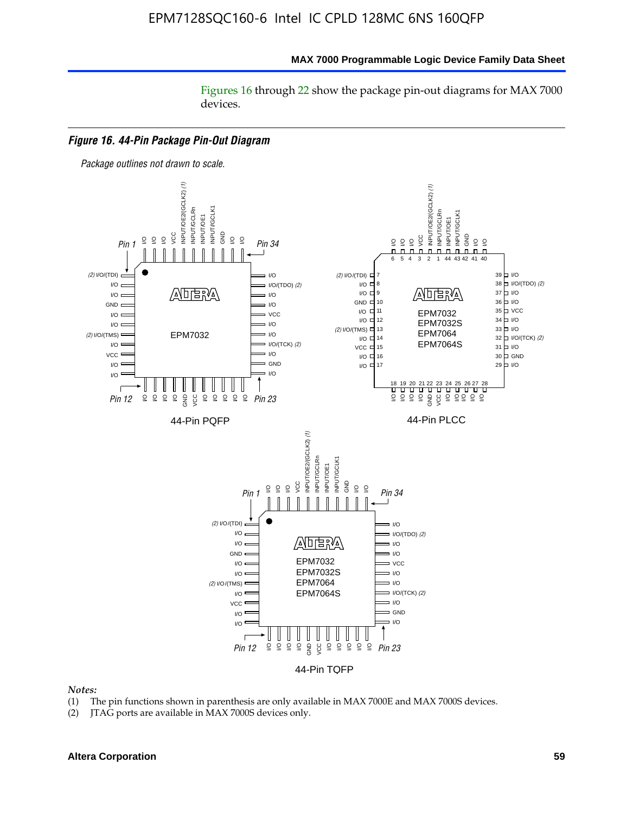Figures 16 through 22 show the package pin-out diagrams for MAX 7000 devices.



#### *Notes:*

- (1) The pin functions shown in parenthesis are only available in MAX 7000E and MAX 7000S devices.
- (2) JTAG ports are available in MAX 7000S devices only.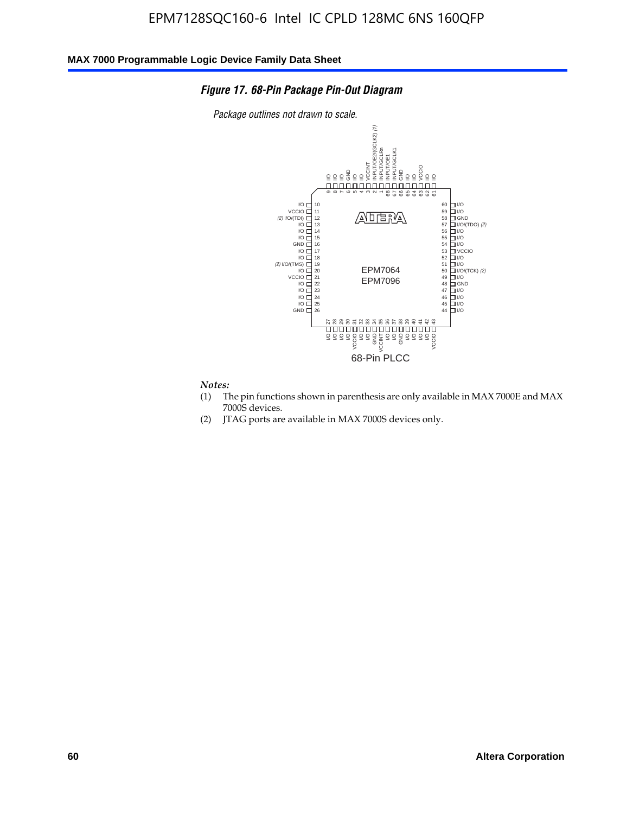#### *Figure 17. 68-Pin Package Pin-Out Diagram*

*Package outlines not drawn to scale.*



#### *Notes:*

- (1) The pin functions shown in parenthesis are only available in MAX 7000E and MAX 7000S devices.
- (2) JTAG ports are available in MAX 7000S devices only.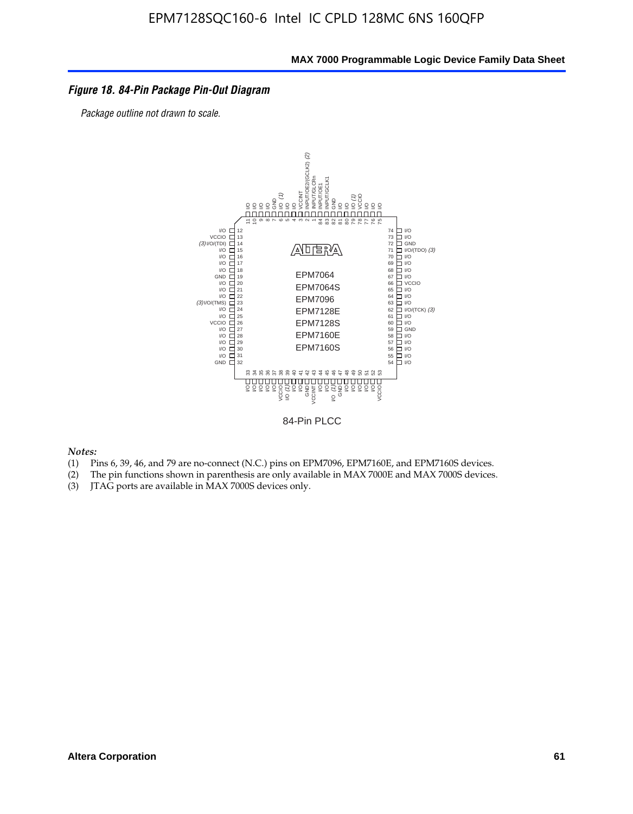### *Figure 18. 84-Pin Package Pin-Out Diagram*

*Package outline not drawn to scale.*



84-Pin PLCC

*Notes:*

- (1) Pins 6, 39, 46, and 79 are no-connect (N.C.) pins on EPM7096, EPM7160E, and EPM7160S devices.
- (2) The pin functions shown in parenthesis are only available in MAX 7000E and MAX 7000S devices.
-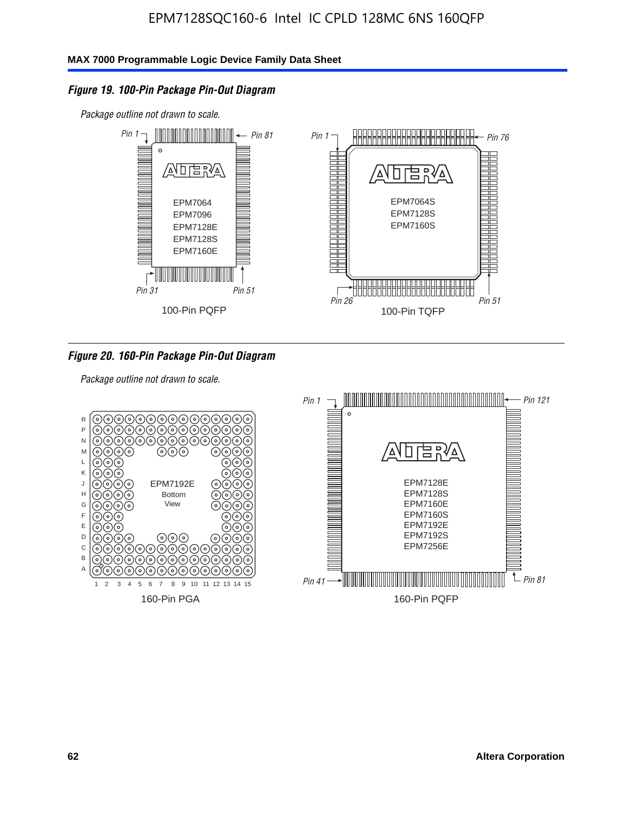### *Figure 19. 100-Pin Package Pin-Out Diagram*

*Package outline not drawn to scale.*



### *Figure 20. 160-Pin Package Pin-Out Diagram*

*Package outline not drawn to scale.*

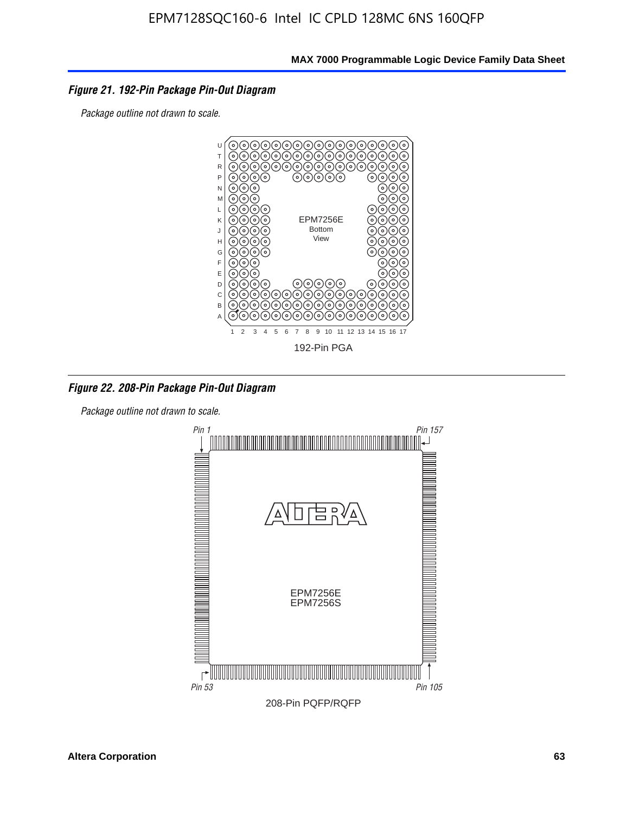### *Figure 21. 192-Pin Package Pin-Out Diagram*

*Package outline not drawn to scale.*



*Figure 22. 208-Pin Package Pin-Out Diagram*

*Package outline not drawn to scale.*

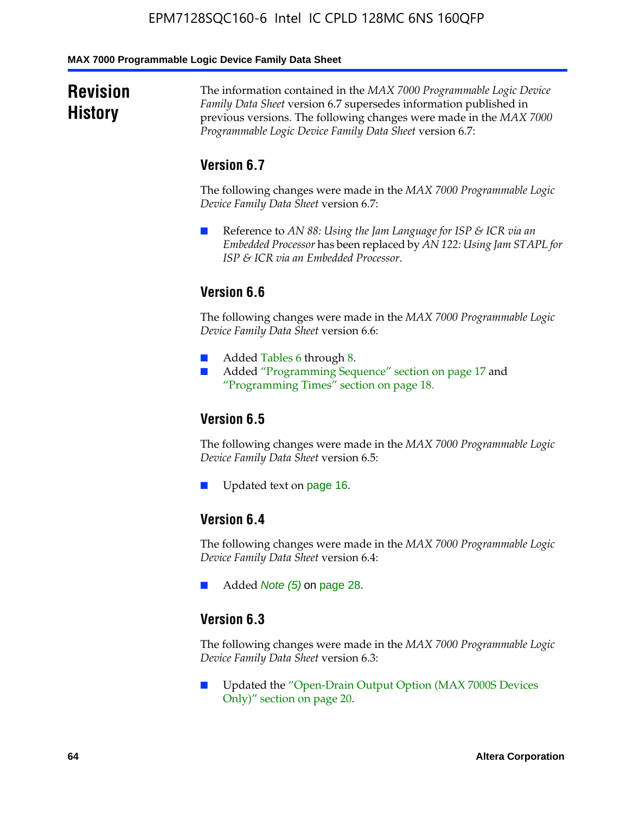#### **MAX 7000 Programmable Logic Device Family Data Sheet**

# **Revision History**

The information contained in the *MAX 7000 Programmable Logic Device Family Data Sheet* version 6.7 supersedes information published in previous versions. The following changes were made in the *MAX 7000 Programmable Logic Device Family Data Sheet* version 6.7:

# **Version 6.7**

The following changes were made in the *MAX 7000 Programmable Logic Device Family Data Sheet* version 6.7:

■ Reference to *AN 88: Using the Jam Language for ISP & ICR via an Embedded Processor* has been replaced by *AN 122: Using Jam STAPL for ISP & ICR via an Embedded Processor*.

# **Version 6.6**

The following changes were made in the *MAX 7000 Programmable Logic Device Family Data Sheet* version 6.6:

- Added Tables 6 through 8.
- Added "Programming Sequence" section on page 17 and "Programming Times" section on page 18.

# **Version 6.5**

The following changes were made in the *MAX 7000 Programmable Logic Device Family Data Sheet* version 6.5:

Updated text on page 16.

# **Version 6.4**

The following changes were made in the *MAX 7000 Programmable Logic Device Family Data Sheet* version 6.4:

■ Added *Note (5)* on page 28.

### **Version 6.3**

The following changes were made in the *MAX 7000 Programmable Logic Device Family Data Sheet* version 6.3:

■ Updated the "Open-Drain Output Option (MAX 7000S Devices Only)" section on page 20.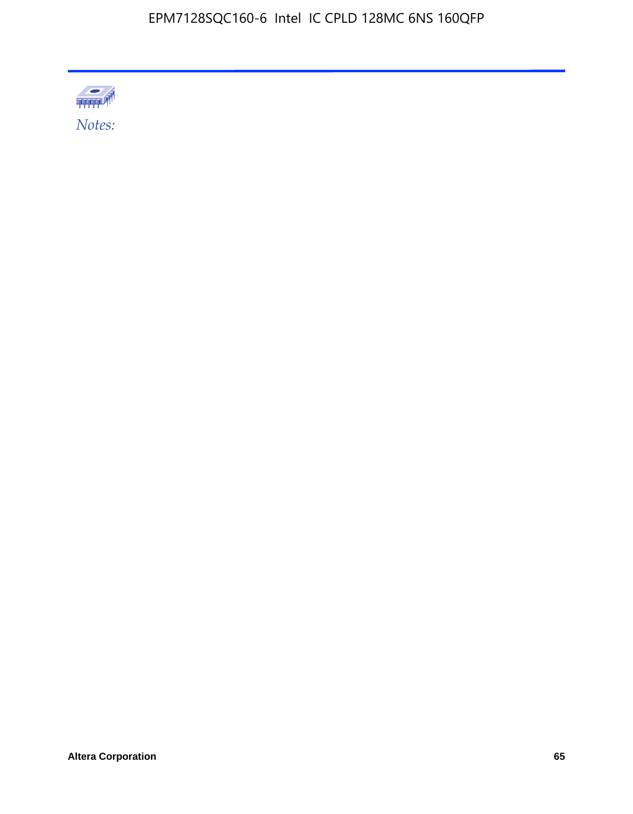

Altera Corporation 65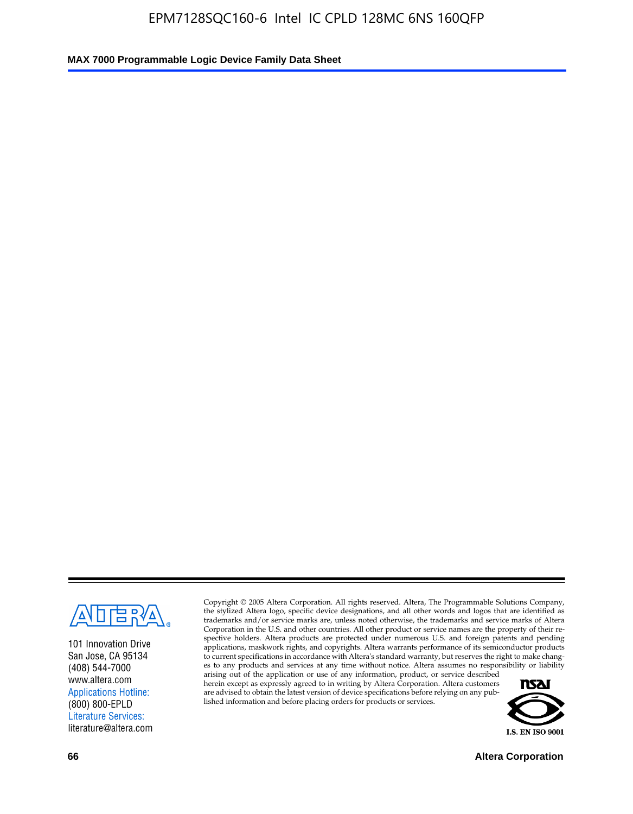

101 Innovation Drive San Jose, CA 95134 (408) 544-7000 www.altera.com Applications Hotline: (800) 800-EPLD Literature Services: literature@altera.com

Copyright © 2005 Altera Corporation. All rights reserved. Altera, The Programmable Solutions Company, the stylized Altera logo, specific device designations, and all other words and logos that are identified as trademarks and/or service marks are, unless noted otherwise, the trademarks and service marks of Altera Corporation in the U.S. and other countries. All other product or service names are the property of their respective holders. Altera products are protected under numerous U.S. and foreign patents and pending applications, maskwork rights, and copyrights. Altera warrants performance of its semiconductor products to current specifications in accordance with Altera's standard warranty, but reserves the right to make changes to any products and services at any time without notice. Altera assumes no responsibility or liability

arising out of the application or use of any information, product, or service described herein except as expressly agreed to in writing by Altera Corporation. Altera customers are advised to obtain the latest version of device specifications before relying on any published information and before placing orders for products or services.



**66 Altera Corporation**